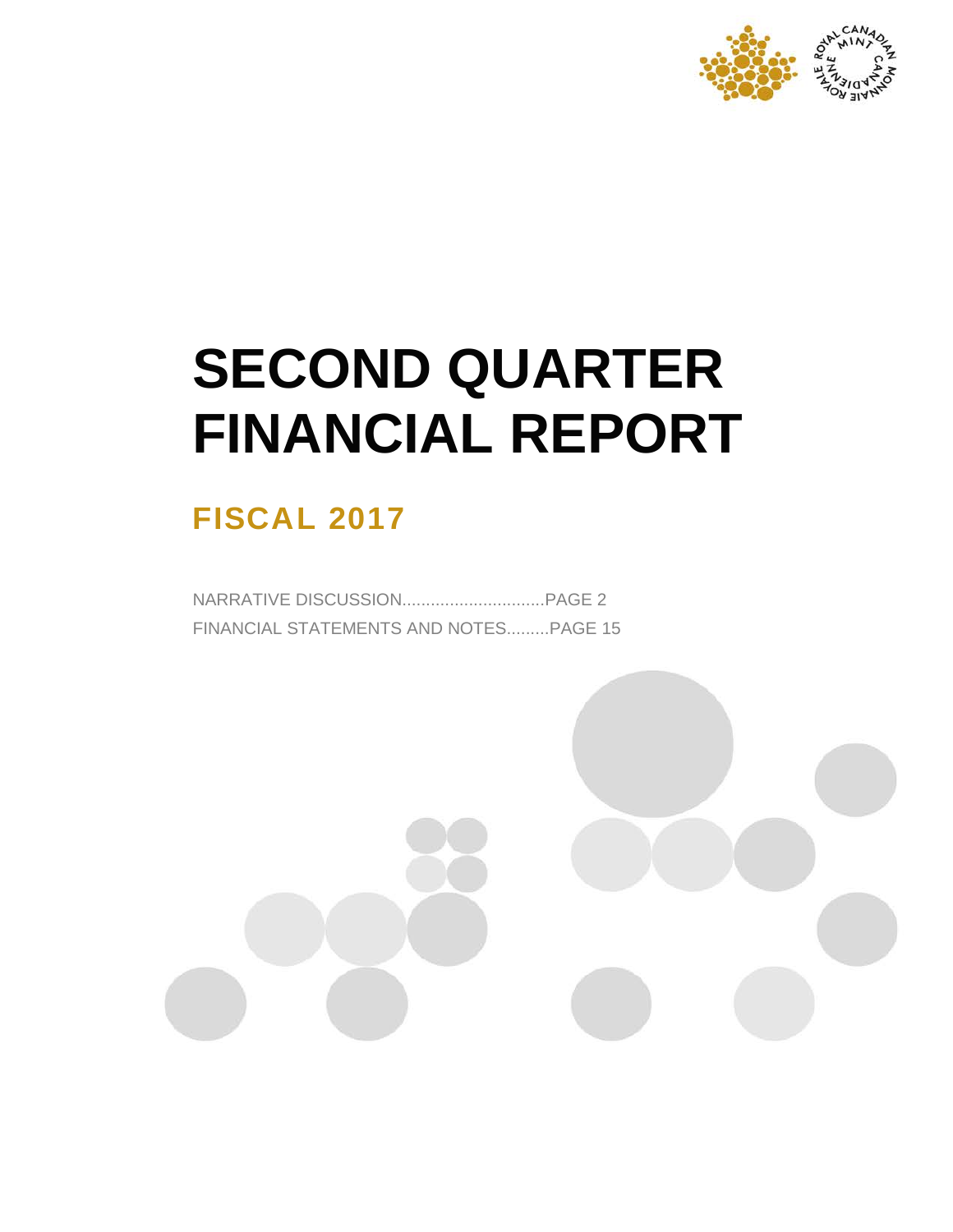

# **SECOND QUARTER FINANCIAL REPORT**

# **FISCAL 2017**

NARRATIVE DISCUSSION..............................PAGE 2 FINANCIAL STATEMENTS AND NOTES.........PAGE 15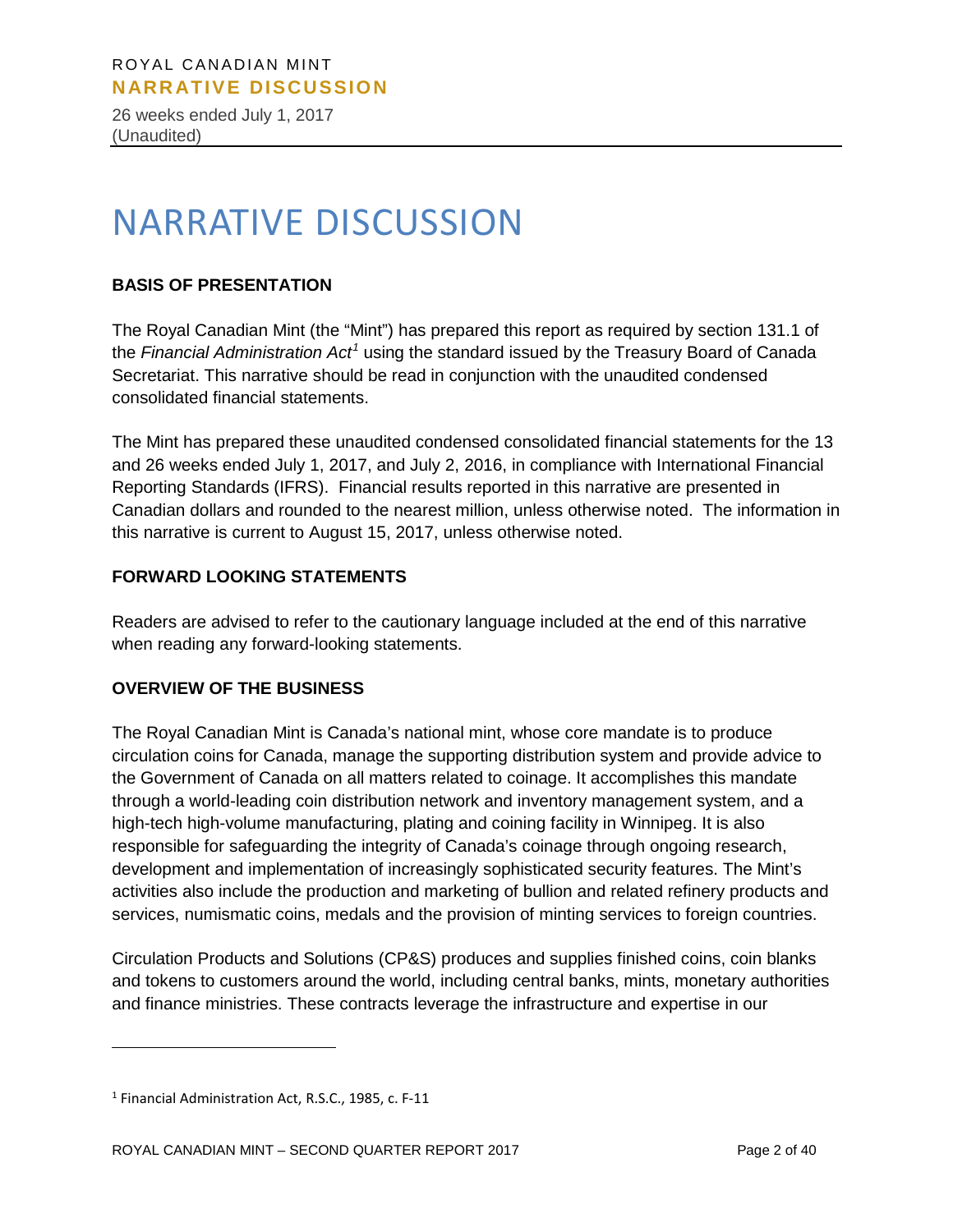26 weeks ended July 1, 2017 (Unaudited)

# NARRATIVE DISCUSSION

# **BASIS OF PRESENTATION**

The Royal Canadian Mint (the "Mint") has prepared this report as required by section 131.1 of the *Financial Administration Act[1](#page-1-0)* using the standard issued by the Treasury Board of Canada Secretariat. This narrative should be read in conjunction with the unaudited condensed consolidated financial statements.

The Mint has prepared these unaudited condensed consolidated financial statements for the 13 and 26 weeks ended July 1, 2017, and July 2, 2016, in compliance with International Financial Reporting Standards (IFRS). Financial results reported in this narrative are presented in Canadian dollars and rounded to the nearest million, unless otherwise noted. The information in this narrative is current to August 15, 2017, unless otherwise noted.

# **FORWARD LOOKING STATEMENTS**

Readers are advised to refer to the cautionary language included at the end of this narrative when reading any forward-looking statements.

# **OVERVIEW OF THE BUSINESS**

The Royal Canadian Mint is Canada's national mint, whose core mandate is to produce circulation coins for Canada, manage the supporting distribution system and provide advice to the Government of Canada on all matters related to coinage. It accomplishes this mandate through a world-leading coin distribution network and inventory management system, and a high-tech high-volume manufacturing, plating and coining facility in Winnipeg. It is also responsible for safeguarding the integrity of Canada's coinage through ongoing research, development and implementation of increasingly sophisticated security features. The Mint's activities also include the production and marketing of bullion and related refinery products and services, numismatic coins, medals and the provision of minting services to foreign countries.

Circulation Products and Solutions (CP&S) produces and supplies finished coins, coin blanks and tokens to customers around the world, including central banks, mints, monetary authorities and finance ministries. These contracts leverage the infrastructure and expertise in our

 $\overline{a}$ 

<span id="page-1-0"></span><sup>1</sup> Financial Administration Act, R.S.C., 1985, c. F-11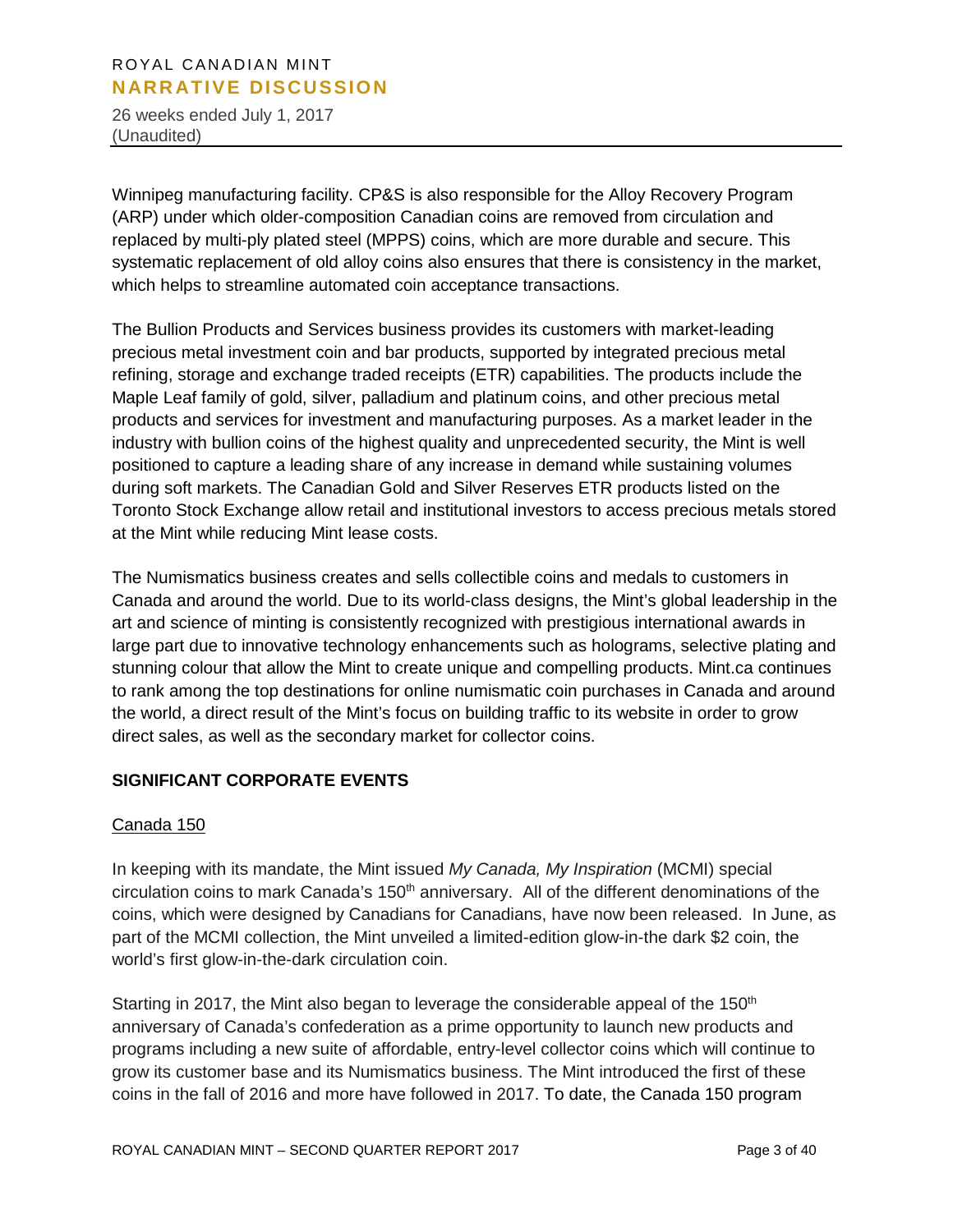26 weeks ended July 1, 2017 (Unaudited)

Winnipeg manufacturing facility. CP&S is also responsible for the Alloy Recovery Program (ARP) under which older-composition Canadian coins are removed from circulation and replaced by multi-ply plated steel (MPPS) coins, which are more durable and secure. This systematic replacement of old alloy coins also ensures that there is consistency in the market, which helps to streamline automated coin acceptance transactions.

The Bullion Products and Services business provides its customers with market-leading precious metal investment coin and bar products, supported by integrated precious metal refining, storage and exchange traded receipts (ETR) capabilities. The products include the Maple Leaf family of gold, silver, palladium and platinum coins, and other precious metal products and services for investment and manufacturing purposes. As a market leader in the industry with bullion coins of the highest quality and unprecedented security, the Mint is well positioned to capture a leading share of any increase in demand while sustaining volumes during soft markets. The Canadian Gold and Silver Reserves ETR products listed on the Toronto Stock Exchange allow retail and institutional investors to access precious metals stored at the Mint while reducing Mint lease costs.

The Numismatics business creates and sells collectible coins and medals to customers in Canada and around the world. Due to its world-class designs, the Mint's global leadership in the art and science of minting is consistently recognized with prestigious international awards in large part due to innovative technology enhancements such as holograms, selective plating and stunning colour that allow the Mint to create unique and compelling products. Mint.ca continues to rank among the top destinations for online numismatic coin purchases in Canada and around the world, a direct result of the Mint's focus on building traffic to its website in order to grow direct sales, as well as the secondary market for collector coins.

# **SIGNIFICANT CORPORATE EVENTS**

#### Canada 150

In keeping with its mandate, the Mint issued *My Canada, My Inspiration* (MCMI) special circulation coins to mark Canada's 150<sup>th</sup> anniversary. All of the different denominations of the coins, which were designed by Canadians for Canadians, have now been released. In June, as part of the MCMI collection, the Mint unveiled a limited-edition glow-in-the dark \$2 coin, the world's first glow-in-the-dark circulation coin.

Starting in 2017, the Mint also began to leverage the considerable appeal of the  $150<sup>th</sup>$ anniversary of Canada's confederation as a prime opportunity to launch new products and programs including a new suite of affordable, entry-level collector coins which will continue to grow its customer base and its Numismatics business. The Mint introduced the first of these coins in the fall of 2016 and more have followed in 2017. To date, the Canada 150 program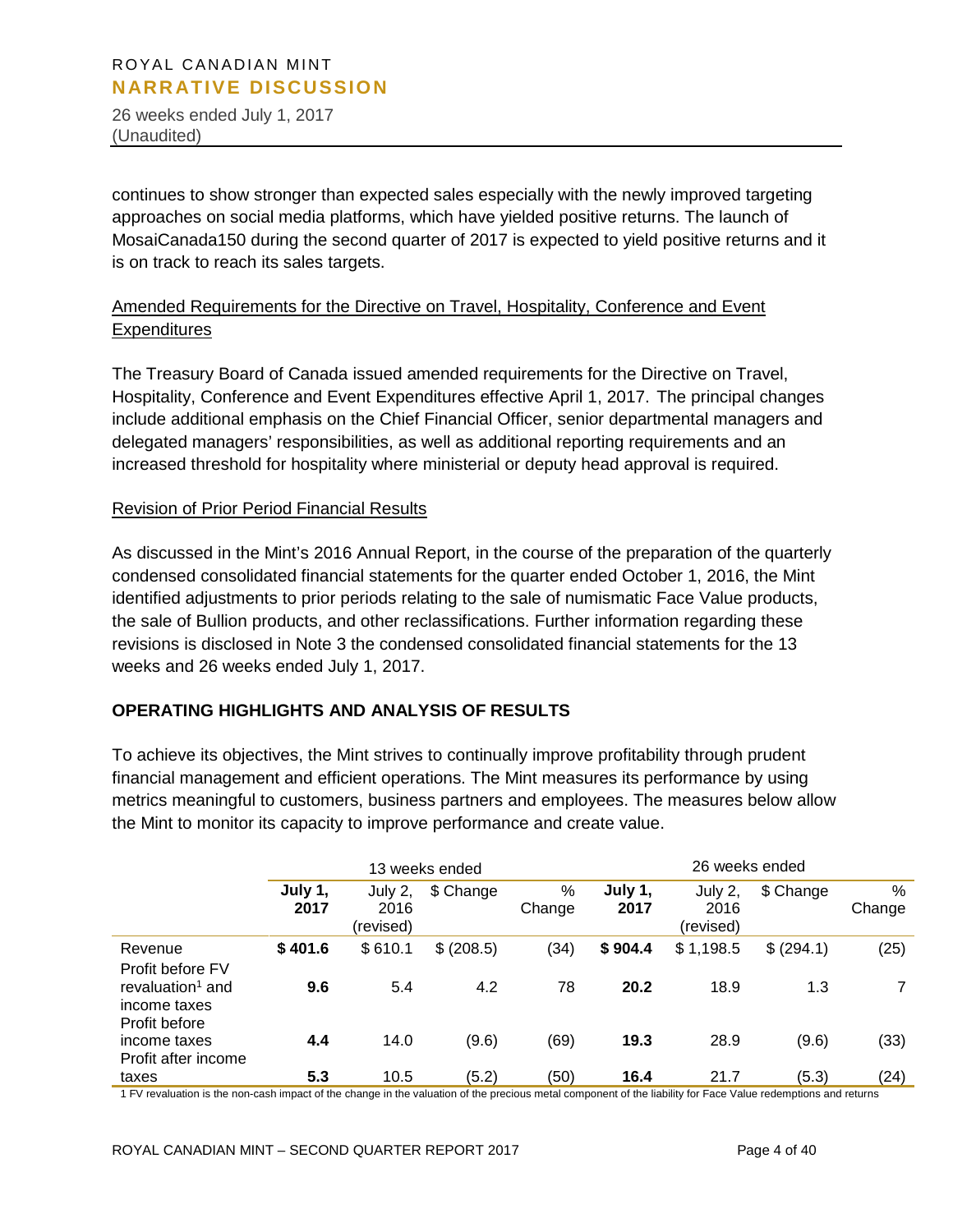26 weeks ended July 1, 2017 (Unaudited)

continues to show stronger than expected sales especially with the newly improved targeting approaches on social media platforms, which have yielded positive returns. The launch of MosaiCanada150 during the second quarter of 2017 is expected to yield positive returns and it is on track to reach its sales targets.

# Amended Requirements for the Directive on Travel, Hospitality, Conference and Event **Expenditures**

The Treasury Board of Canada issued amended requirements for the Directive on Travel, Hospitality, Conference and Event Expenditures effective April 1, 2017. The principal changes include additional emphasis on the Chief Financial Officer, senior departmental managers and delegated managers' responsibilities, as well as additional reporting requirements and an increased threshold for hospitality where ministerial or deputy head approval is required.

#### Revision of Prior Period Financial Results

As discussed in the Mint's 2016 Annual Report, in the course of the preparation of the quarterly condensed consolidated financial statements for the quarter ended October 1, 2016, the Mint identified adjustments to prior periods relating to the sale of numismatic Face Value products, the sale of Bullion products, and other reclassifications. Further information regarding these revisions is disclosed in Note 3 the condensed consolidated financial statements for the 13 weeks and 26 weeks ended July 1, 2017.

# **OPERATING HIGHLIGHTS AND ANALYSIS OF RESULTS**

To achieve its objectives, the Mint strives to continually improve profitability through prudent financial management and efficient operations. The Mint measures its performance by using metrics meaningful to customers, business partners and employees. The measures below allow the Mint to monitor its capacity to improve performance and create value.

|                                                                                   |                 |                              | 13 weeks ended |             |                 | 26 weeks ended               |            |             |
|-----------------------------------------------------------------------------------|-----------------|------------------------------|----------------|-------------|-----------------|------------------------------|------------|-------------|
|                                                                                   | July 1,<br>2017 | July 2,<br>2016<br>(revised) | \$ Change      | %<br>Change | July 1,<br>2017 | July 2,<br>2016<br>(revised) | \$ Change  | %<br>Change |
| Revenue                                                                           | \$401.6         | \$610.1                      | \$ (208.5)     | (34)        | \$904.4         | \$1,198.5                    | \$ (294.1) | (25)        |
| Profit before FV<br>revaluation <sup>1</sup> and<br>income taxes<br>Profit before | 9.6             | 5.4                          | 4.2            | 78          | 20.2            | 18.9                         | 1.3        |             |
| income taxes<br>Profit after income                                               | 4.4             | 14.0                         | (9.6)          | (69)        | 19.3            | 28.9                         | (9.6)      | (33)        |
| taxes                                                                             | 5.3             | 10.5                         | (5.2)          | (50)        | 16.4            | 21.7                         | (5.3)      | (24)        |

1 FV revaluation is the non-cash impact of the change in the valuation of the precious metal component of the liability for Face Value redemptions and returns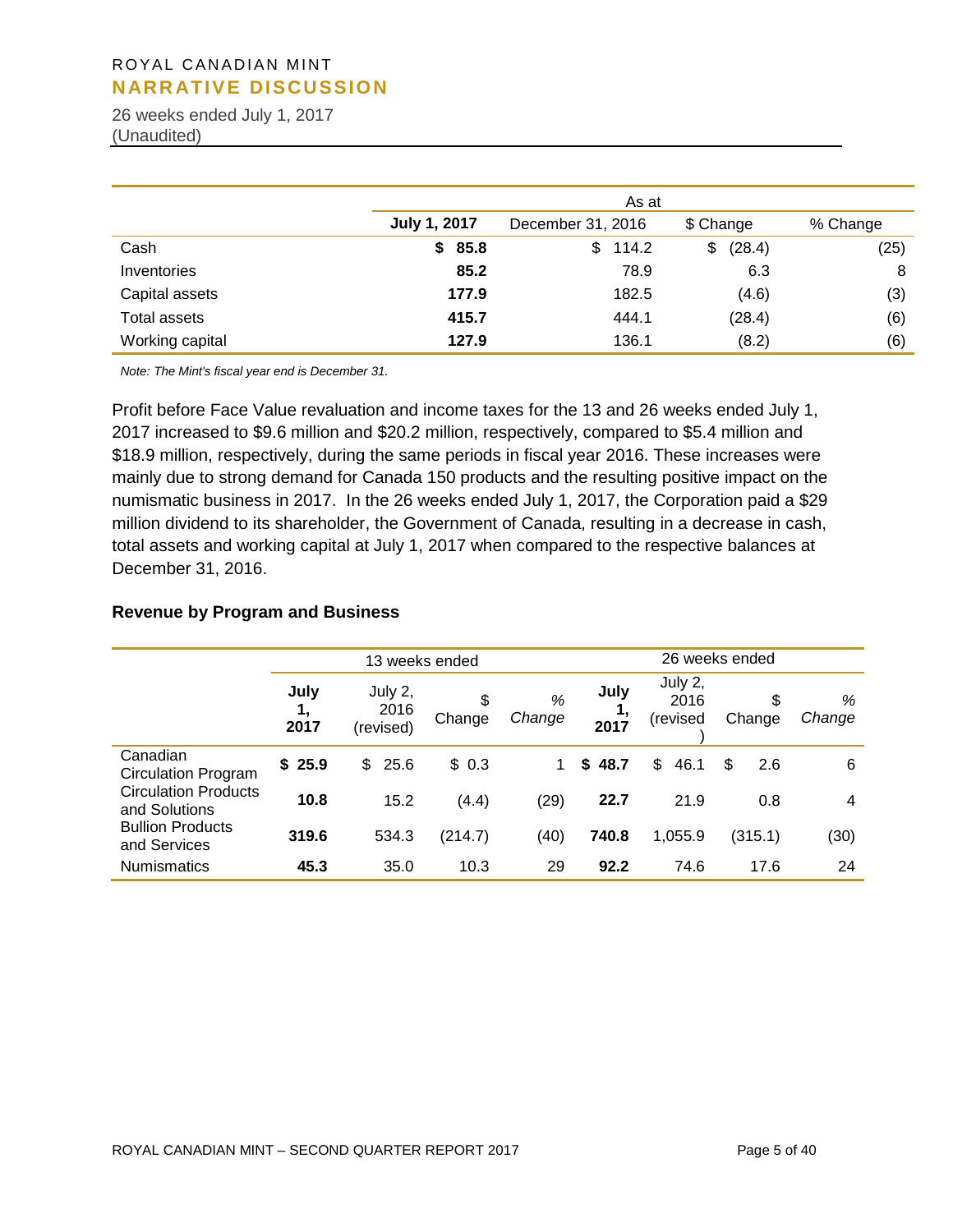26 weeks ended July 1, 2017 (Unaudited)

|                     |                     | As at             |              |          |  |  |  |  |  |  |  |  |
|---------------------|---------------------|-------------------|--------------|----------|--|--|--|--|--|--|--|--|
|                     | <b>July 1, 2017</b> | December 31, 2016 | \$ Change    | % Change |  |  |  |  |  |  |  |  |
| Cash                | \$85.8              | 114.2<br>\$       | (28.4)<br>\$ | (25)     |  |  |  |  |  |  |  |  |
| Inventories         | 85.2                | 78.9              | 6.3          | 8        |  |  |  |  |  |  |  |  |
| Capital assets      | 177.9               | 182.5             | (4.6)        | (3)      |  |  |  |  |  |  |  |  |
| <b>Total assets</b> | 415.7               | 444.1             | (28.4)       | (6)      |  |  |  |  |  |  |  |  |
| Working capital     | 127.9               | 136.1             | (8.2)        | (6)      |  |  |  |  |  |  |  |  |

*Note: The Mint's fiscal year end is December 31.* 

Profit before Face Value revaluation and income taxes for the 13 and 26 weeks ended July 1, 2017 increased to \$9.6 million and \$20.2 million, respectively, compared to \$5.4 million and \$18.9 million, respectively, during the same periods in fiscal year 2016. These increases were mainly due to strong demand for Canada 150 products and the resulting positive impact on the numismatic business in 2017. In the 26 weeks ended July 1, 2017, the Corporation paid a \$29 million dividend to its shareholder, the Government of Canada, resulting in a decrease in cash, total assets and working capital at July 1, 2017 when compared to the respective balances at December 31, 2016.

#### **Revenue by Program and Business**

|                                              |                    | 13 weeks ended               |              |             |              | 26 weeks ended              |              |             |  |  |
|----------------------------------------------|--------------------|------------------------------|--------------|-------------|--------------|-----------------------------|--------------|-------------|--|--|
|                                              | July<br>1,<br>2017 | July 2,<br>2016<br>(revised) | \$<br>Change | %<br>Change | July<br>2017 | July 2,<br>2016<br>(revised | \$<br>Change | %<br>Change |  |  |
| Canadian<br><b>Circulation Program</b>       | \$25.9             | \$<br>25.6                   | \$0.3        |             | 48.7<br>\$   | \$<br>46.1                  | \$<br>2.6    | 6           |  |  |
| <b>Circulation Products</b><br>and Solutions | 10.8               | 15.2                         | (4.4)        | (29)        | 22.7         | 21.9                        | 0.8          | 4           |  |  |
| <b>Bullion Products</b><br>and Services      | 319.6              | 534.3                        | (214.7)      | (40)        | 740.8        | 1,055.9                     | (315.1)      | (30)        |  |  |
| <b>Numismatics</b>                           | 45.3               | 35.0                         | 10.3         | 29          | 92.2         | 74.6                        | 17.6         | 24          |  |  |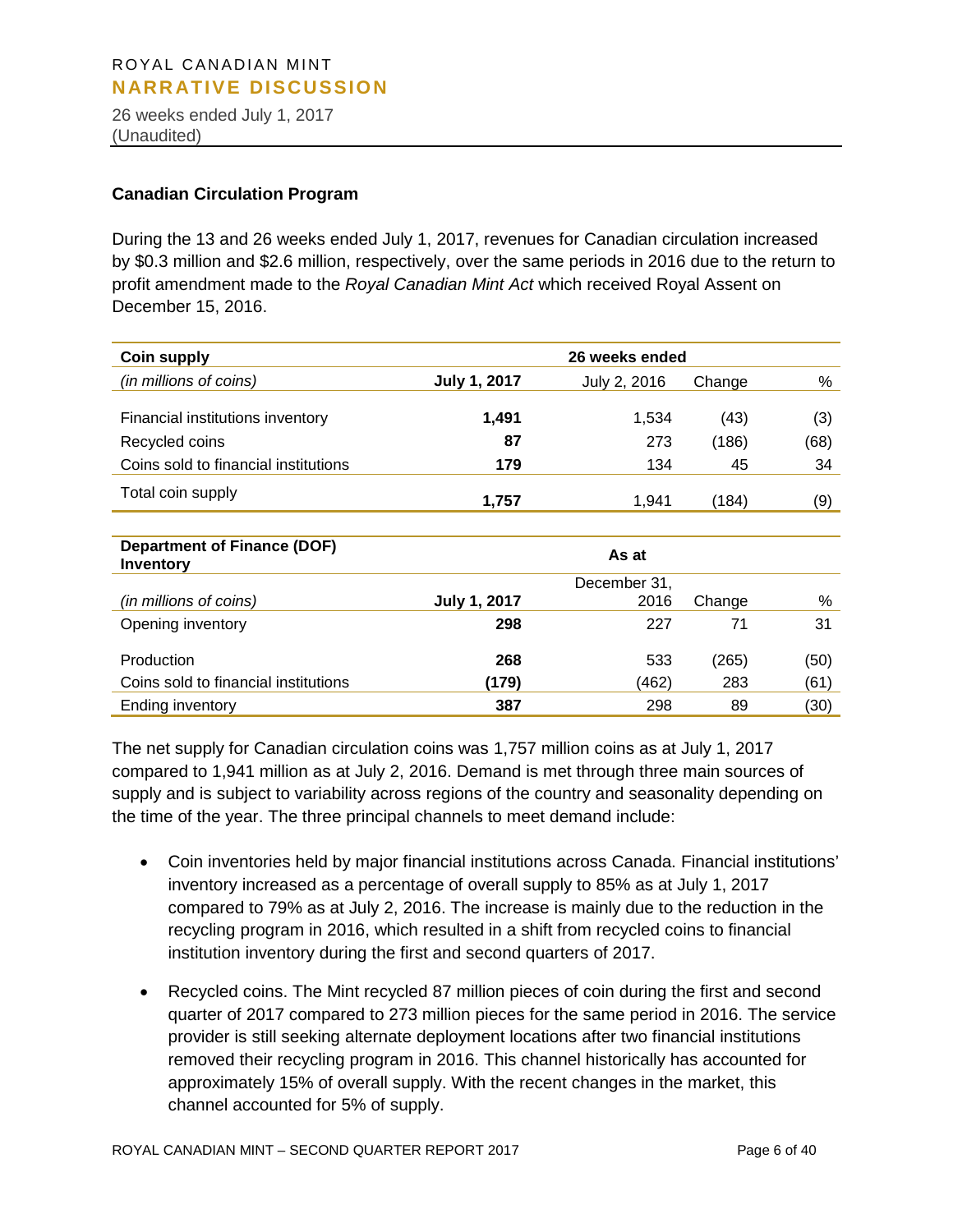26 weeks ended July 1, 2017 (Unaudited)

#### **Canadian Circulation Program**

During the 13 and 26 weeks ended July 1, 2017, revenues for Canadian circulation increased by \$0.3 million and \$2.6 million, respectively, over the same periods in 2016 due to the return to profit amendment made to the *Royal Canadian Mint Act* which received Royal Assent on December 15, 2016.

| <b>Coin supply</b>                              | 26 weeks ended      |              |        |      |  |  |  |  |  |
|-------------------------------------------------|---------------------|--------------|--------|------|--|--|--|--|--|
| (in millions of coins)                          | <b>July 1, 2017</b> | July 2, 2016 | Change | %    |  |  |  |  |  |
|                                                 |                     |              |        |      |  |  |  |  |  |
| Financial institutions inventory                | 1,491               | 1,534        | (43)   | (3)  |  |  |  |  |  |
| Recycled coins                                  | 87                  | 273          | (186)  | (68) |  |  |  |  |  |
| Coins sold to financial institutions            | 179                 | 134          | 45     | 34   |  |  |  |  |  |
| Total coin supply                               | 1,757               | 1,941        | (184)  | (9)  |  |  |  |  |  |
|                                                 |                     |              |        |      |  |  |  |  |  |
| <b>Department of Finance (DOF)</b><br>Inventory |                     | As at        |        |      |  |  |  |  |  |
|                                                 |                     | December 31, |        |      |  |  |  |  |  |
| (in millions of coins)                          | <b>July 1, 2017</b> | 2016         | Change | %    |  |  |  |  |  |
| Opening inventory                               | 298                 | 227          | 71     | 31   |  |  |  |  |  |
| Production                                      | 268                 | 533          | (265)  | (50) |  |  |  |  |  |

The net supply for Canadian circulation coins was 1,757 million coins as at July 1, 2017 compared to 1,941 million as at July 2, 2016. Demand is met through three main sources of supply and is subject to variability across regions of the country and seasonality depending on the time of the year. The three principal channels to meet demand include:

Coins sold to financial institutions **(179)** (462) 283 (61) Ending inventory **387** 298 89 (30)

- Coin inventories held by major financial institutions across Canada. Financial institutions' inventory increased as a percentage of overall supply to 85% as at July 1, 2017 compared to 79% as at July 2, 2016. The increase is mainly due to the reduction in the recycling program in 2016, which resulted in a shift from recycled coins to financial institution inventory during the first and second quarters of 2017.
- Recycled coins. The Mint recycled 87 million pieces of coin during the first and second quarter of 2017 compared to 273 million pieces for the same period in 2016. The service provider is still seeking alternate deployment locations after two financial institutions removed their recycling program in 2016. This channel historically has accounted for approximately 15% of overall supply. With the recent changes in the market, this channel accounted for 5% of supply.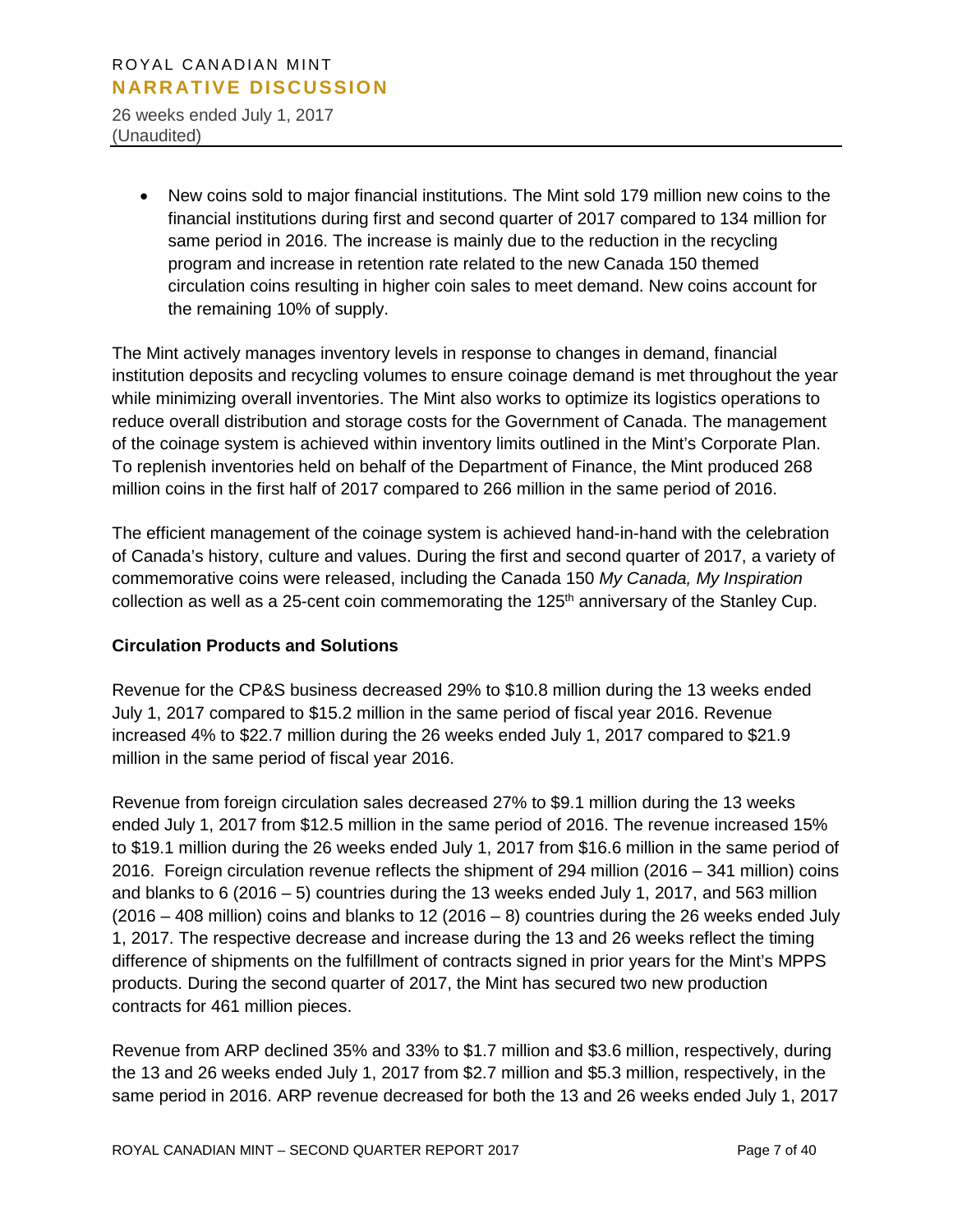26 weeks ended July 1, 2017 (Unaudited)

> • New coins sold to major financial institutions. The Mint sold 179 million new coins to the financial institutions during first and second quarter of 2017 compared to 134 million for same period in 2016. The increase is mainly due to the reduction in the recycling program and increase in retention rate related to the new Canada 150 themed circulation coins resulting in higher coin sales to meet demand. New coins account for the remaining 10% of supply.

The Mint actively manages inventory levels in response to changes in demand, financial institution deposits and recycling volumes to ensure coinage demand is met throughout the year while minimizing overall inventories. The Mint also works to optimize its logistics operations to reduce overall distribution and storage costs for the Government of Canada. The management of the coinage system is achieved within inventory limits outlined in the Mint's Corporate Plan. To replenish inventories held on behalf of the Department of Finance, the Mint produced 268 million coins in the first half of 2017 compared to 266 million in the same period of 2016.

The efficient management of the coinage system is achieved hand-in-hand with the celebration of Canada's history, culture and values. During the first and second quarter of 2017, a variety of commemorative coins were released, including the Canada 150 *My Canada, My Inspiration* collection as well as a 25-cent coin commemorating the 125<sup>th</sup> anniversary of the Stanley Cup.

# **Circulation Products and Solutions**

Revenue for the CP&S business decreased 29% to \$10.8 million during the 13 weeks ended July 1, 2017 compared to \$15.2 million in the same period of fiscal year 2016. Revenue increased 4% to \$22.7 million during the 26 weeks ended July 1, 2017 compared to \$21.9 million in the same period of fiscal year 2016.

Revenue from foreign circulation sales decreased 27% to \$9.1 million during the 13 weeks ended July 1, 2017 from \$12.5 million in the same period of 2016. The revenue increased 15% to \$19.1 million during the 26 weeks ended July 1, 2017 from \$16.6 million in the same period of 2016. Foreign circulation revenue reflects the shipment of 294 million (2016 – 341 million) coins and blanks to 6 (2016 – 5) countries during the 13 weeks ended July 1, 2017, and 563 million (2016 – 408 million) coins and blanks to 12 (2016 – 8) countries during the 26 weeks ended July 1, 2017. The respective decrease and increase during the 13 and 26 weeks reflect the timing difference of shipments on the fulfillment of contracts signed in prior years for the Mint's MPPS products. During the second quarter of 2017, the Mint has secured two new production contracts for 461 million pieces.

Revenue from ARP declined 35% and 33% to \$1.7 million and \$3.6 million, respectively, during the 13 and 26 weeks ended July 1, 2017 from \$2.7 million and \$5.3 million, respectively, in the same period in 2016. ARP revenue decreased for both the 13 and 26 weeks ended July 1, 2017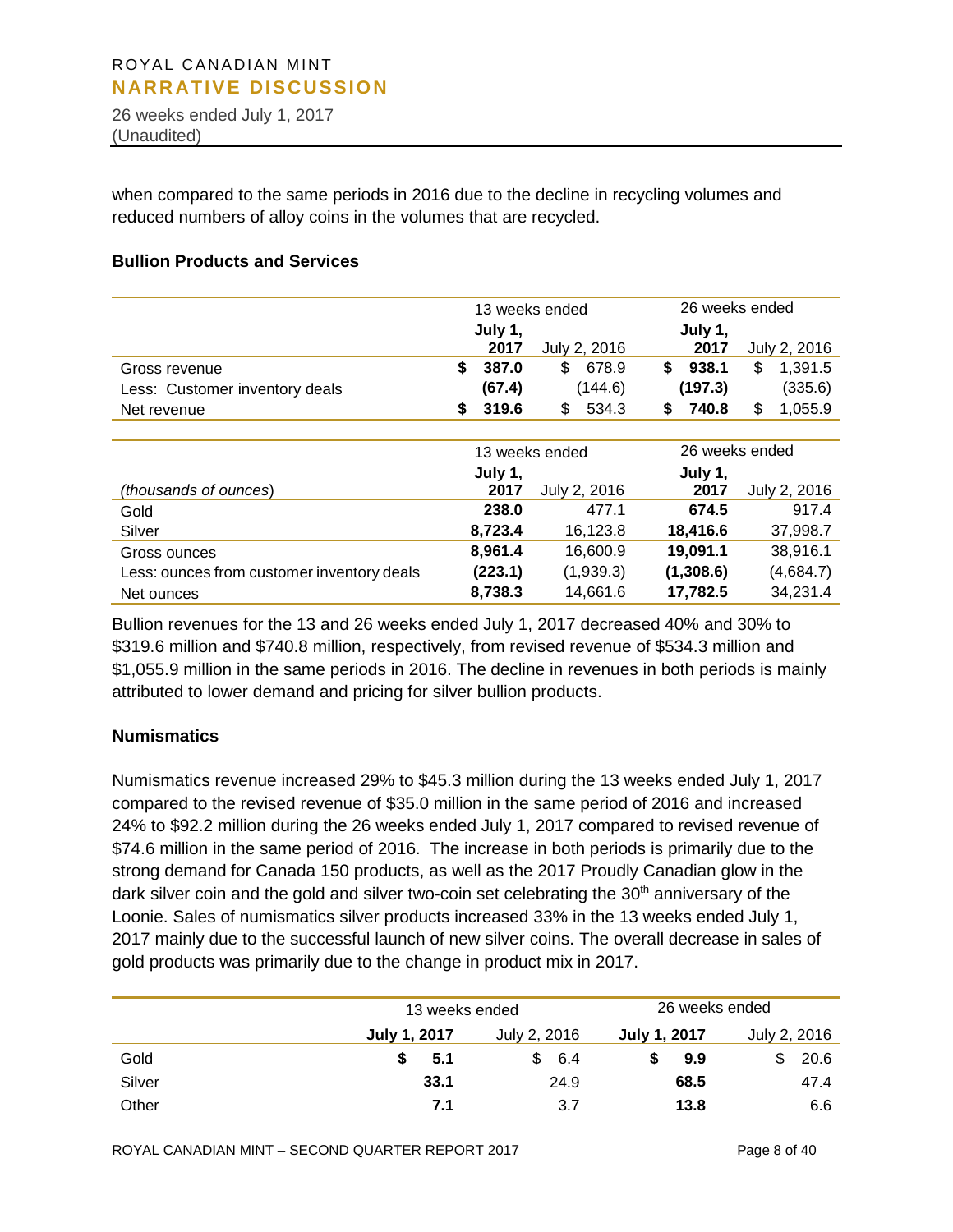26 weeks ended July 1, 2017 (Unaudited)

when compared to the same periods in 2016 due to the decline in recycling volumes and reduced numbers of alloy coins in the volumes that are recycled.

#### **Bullion Products and Services**

|                                            | 13 weeks ended |         |                |    |                | 26 weeks ended |              |
|--------------------------------------------|----------------|---------|----------------|----|----------------|----------------|--------------|
|                                            |                | July 1, |                |    | July 1,        |                |              |
|                                            |                | 2017    | July 2, 2016   |    | 2017           |                | July 2, 2016 |
| Gross revenue                              | \$             | 387.0   | \$<br>678.9    | \$ | 938.1          | \$             | 1,391.5      |
| Less: Customer inventory deals             |                | (67.4)  | (144.6)        |    | (197.3)        |                | (335.6)      |
| Net revenue                                | \$             | 319.6   | \$<br>534.3    | S. | 740.8          | \$             | 1,055.9      |
|                                            |                |         |                |    |                |                |              |
|                                            |                |         | 13 weeks ended |    | 26 weeks ended |                |              |
|                                            |                | July 1, |                |    | July 1,        |                |              |
| (thousands of ounces)                      |                | 2017    | July 2, 2016   |    | 2017           |                | July 2, 2016 |
| Gold                                       |                | 238.0   | 477.1          |    | 674.5          |                | 917.4        |
| Silver                                     |                | 8,723.4 | 16,123.8       |    | 18,416.6       |                | 37,998.7     |
| Gross ounces                               |                | 8,961.4 | 16,600.9       |    | 19,091.1       |                | 38,916.1     |
| Less: ounces from customer inventory deals |                | (223.1) | (1,939.3)      |    | (1,308.6)      |                | (4,684.7)    |
| Net ounces                                 |                | 8,738.3 | 14,661.6       |    | 17,782.5       |                | 34,231.4     |

Bullion revenues for the 13 and 26 weeks ended July 1, 2017 decreased 40% and 30% to \$319.6 million and \$740.8 million, respectively, from revised revenue of \$534.3 million and \$1,055.9 million in the same periods in 2016. The decline in revenues in both periods is mainly attributed to lower demand and pricing for silver bullion products.

#### **Numismatics**

Numismatics revenue increased 29% to \$45.3 million during the 13 weeks ended July 1, 2017 compared to the revised revenue of \$35.0 million in the same period of 2016 and increased 24% to \$92.2 million during the 26 weeks ended July 1, 2017 compared to revised revenue of \$74.6 million in the same period of 2016. The increase in both periods is primarily due to the strong demand for Canada 150 products, as well as the 2017 Proudly Canadian glow in the dark silver coin and the gold and silver two-coin set celebrating the  $30<sup>th</sup>$  anniversary of the Loonie. Sales of numismatics silver products increased 33% in the 13 weeks ended July 1, 2017 mainly due to the successful launch of new silver coins. The overall decrease in sales of gold products was primarily due to the change in product mix in 2017.

|        | 13 weeks ended      |              | 26 weeks ended      |              |
|--------|---------------------|--------------|---------------------|--------------|
|        | <b>July 1, 2017</b> | July 2, 2016 | <b>July 1, 2017</b> | July 2, 2016 |
| Gold   | 5.1                 | -6.4         | 9.9                 | 20.6         |
| Silver | 33.1                | 24.9         | 68.5                | 47.4         |
| Other  | 7.1                 | 3.7          | 13.8                | 6.6          |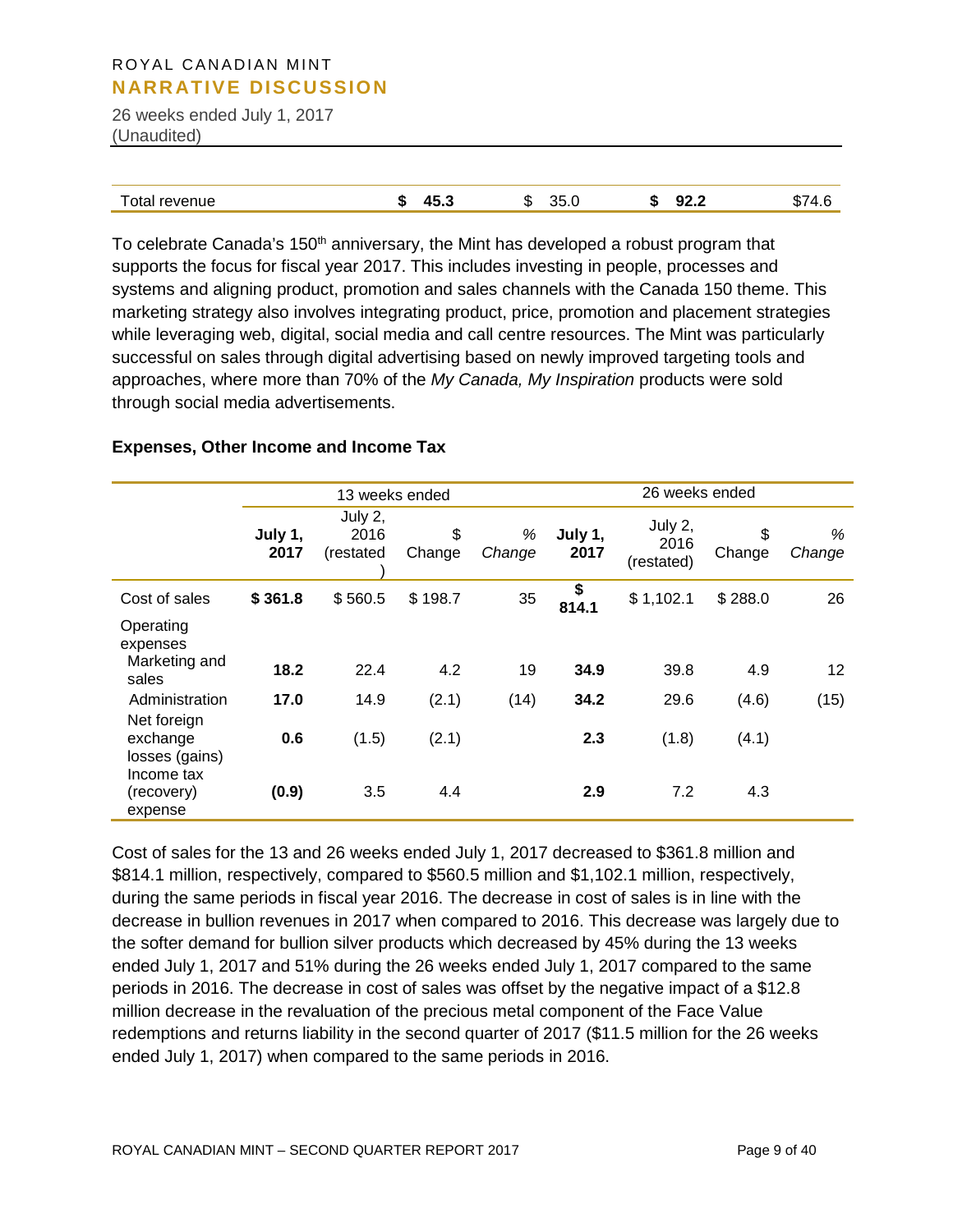26 weeks ended July 1, 2017 (Unaudited)

To celebrate Canada's 150<sup>th</sup> anniversary, the Mint has developed a robust program that supports the focus for fiscal year 2017. This includes investing in people, processes and systems and aligning product, promotion and sales channels with the Canada 150 theme. This marketing strategy also involves integrating product, price, promotion and placement strategies while leveraging web, digital, social media and call centre resources. The Mint was particularly successful on sales through digital advertising based on newly improved targeting tools and approaches, where more than 70% of the *My Canada, My Inspiration* products were sold through social media advertisements.

#### **Expenses, Other Income and Income Tax**

|                                           |                 | 13 weeks ended               |              |             | 26 weeks ended  |                               |              |             |  |
|-------------------------------------------|-----------------|------------------------------|--------------|-------------|-----------------|-------------------------------|--------------|-------------|--|
|                                           | July 1,<br>2017 | July 2,<br>2016<br>(restated | \$<br>Change | %<br>Change | July 1,<br>2017 | July 2,<br>2016<br>(restated) | \$<br>Change | %<br>Change |  |
| Cost of sales                             | \$361.8         | \$560.5                      | \$198.7      | 35          | \$<br>814.1     | \$1,102.1                     | \$288.0      | 26          |  |
| Operating<br>expenses<br>Marketing and    |                 |                              |              |             |                 |                               |              |             |  |
| sales                                     | 18.2            | 22.4                         | 4.2          | 19          | 34.9            | 39.8                          | 4.9          | 12          |  |
| Administration                            | 17.0            | 14.9                         | (2.1)        | (14)        | 34.2            | 29.6                          | (4.6)        | (15)        |  |
| Net foreign<br>exchange<br>losses (gains) | 0.6             | (1.5)                        | (2.1)        |             | 2.3             | (1.8)                         | (4.1)        |             |  |
| Income tax<br>(recovery)<br>expense       | (0.9)           | 3.5                          | 4.4          |             | 2.9             | 7.2                           | 4.3          |             |  |

Cost of sales for the 13 and 26 weeks ended July 1, 2017 decreased to \$361.8 million and \$814.1 million, respectively, compared to \$560.5 million and \$1,102.1 million, respectively, during the same periods in fiscal year 2016. The decrease in cost of sales is in line with the decrease in bullion revenues in 2017 when compared to 2016. This decrease was largely due to the softer demand for bullion silver products which decreased by 45% during the 13 weeks ended July 1, 2017 and 51% during the 26 weeks ended July 1, 2017 compared to the same periods in 2016. The decrease in cost of sales was offset by the negative impact of a \$12.8 million decrease in the revaluation of the precious metal component of the Face Value redemptions and returns liability in the second quarter of 2017 (\$11.5 million for the 26 weeks ended July 1, 2017) when compared to the same periods in 2016.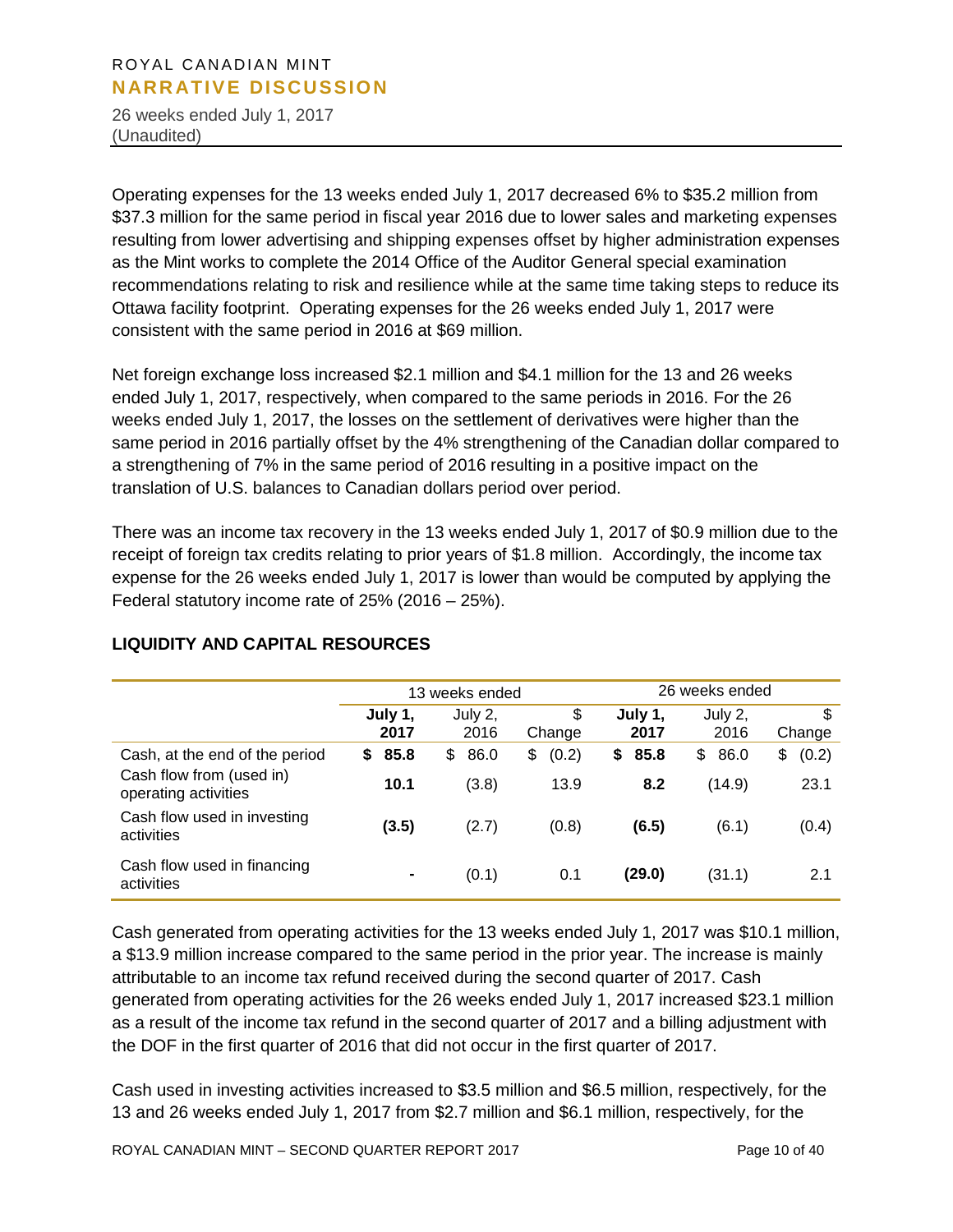26 weeks ended July 1, 2017 (Unaudited)

Operating expenses for the 13 weeks ended July 1, 2017 decreased 6% to \$35.2 million from \$37.3 million for the same period in fiscal year 2016 due to lower sales and marketing expenses resulting from lower advertising and shipping expenses offset by higher administration expenses as the Mint works to complete the 2014 Office of the Auditor General special examination recommendations relating to risk and resilience while at the same time taking steps to reduce its Ottawa facility footprint. Operating expenses for the 26 weeks ended July 1, 2017 were consistent with the same period in 2016 at \$69 million.

Net foreign exchange loss increased \$2.1 million and \$4.1 million for the 13 and 26 weeks ended July 1, 2017, respectively, when compared to the same periods in 2016. For the 26 weeks ended July 1, 2017, the losses on the settlement of derivatives were higher than the same period in 2016 partially offset by the 4% strengthening of the Canadian dollar compared to a strengthening of 7% in the same period of 2016 resulting in a positive impact on the translation of U.S. balances to Canadian dollars period over period.

There was an income tax recovery in the 13 weeks ended July 1, 2017 of \$0.9 million due to the receipt of foreign tax credits relating to prior years of \$1.8 million. Accordingly, the income tax expense for the 26 weeks ended July 1, 2017 is lower than would be computed by applying the Federal statutory income rate of 25% (2016 – 25%).

|                                                  |                 | 13 weeks ended  |              | 26 weeks ended  |                 |              |
|--------------------------------------------------|-----------------|-----------------|--------------|-----------------|-----------------|--------------|
|                                                  | July 1,<br>2017 | July 2,<br>2016 | \$<br>Change | July 1,<br>2017 | July 2,<br>2016 | \$<br>Change |
| Cash, at the end of the period                   | 85.8<br>S.      | 86.0<br>\$      | (0.2)<br>\$  | 85.8<br>S.      | 86.0<br>\$      | (0.2)<br>\$  |
| Cash flow from (used in)<br>operating activities | 10.1            | (3.8)           | 13.9         | 8.2             | (14.9)          | 23.1         |
| Cash flow used in investing<br>activities        | (3.5)           | (2.7)           | (0.8)        | (6.5)           | (6.1)           | (0.4)        |
| Cash flow used in financing<br>activities        | $\blacksquare$  | (0.1)           | 0.1          | (29.0)          | (31.1)          | 2.1          |

# **LIQUIDITY AND CAPITAL RESOURCES**

Cash generated from operating activities for the 13 weeks ended July 1, 2017 was \$10.1 million, a \$13.9 million increase compared to the same period in the prior year. The increase is mainly attributable to an income tax refund received during the second quarter of 2017. Cash generated from operating activities for the 26 weeks ended July 1, 2017 increased \$23.1 million as a result of the income tax refund in the second quarter of 2017 and a billing adjustment with the DOF in the first quarter of 2016 that did not occur in the first quarter of 2017.

Cash used in investing activities increased to \$3.5 million and \$6.5 million, respectively, for the 13 and 26 weeks ended July 1, 2017 from \$2.7 million and \$6.1 million, respectively, for the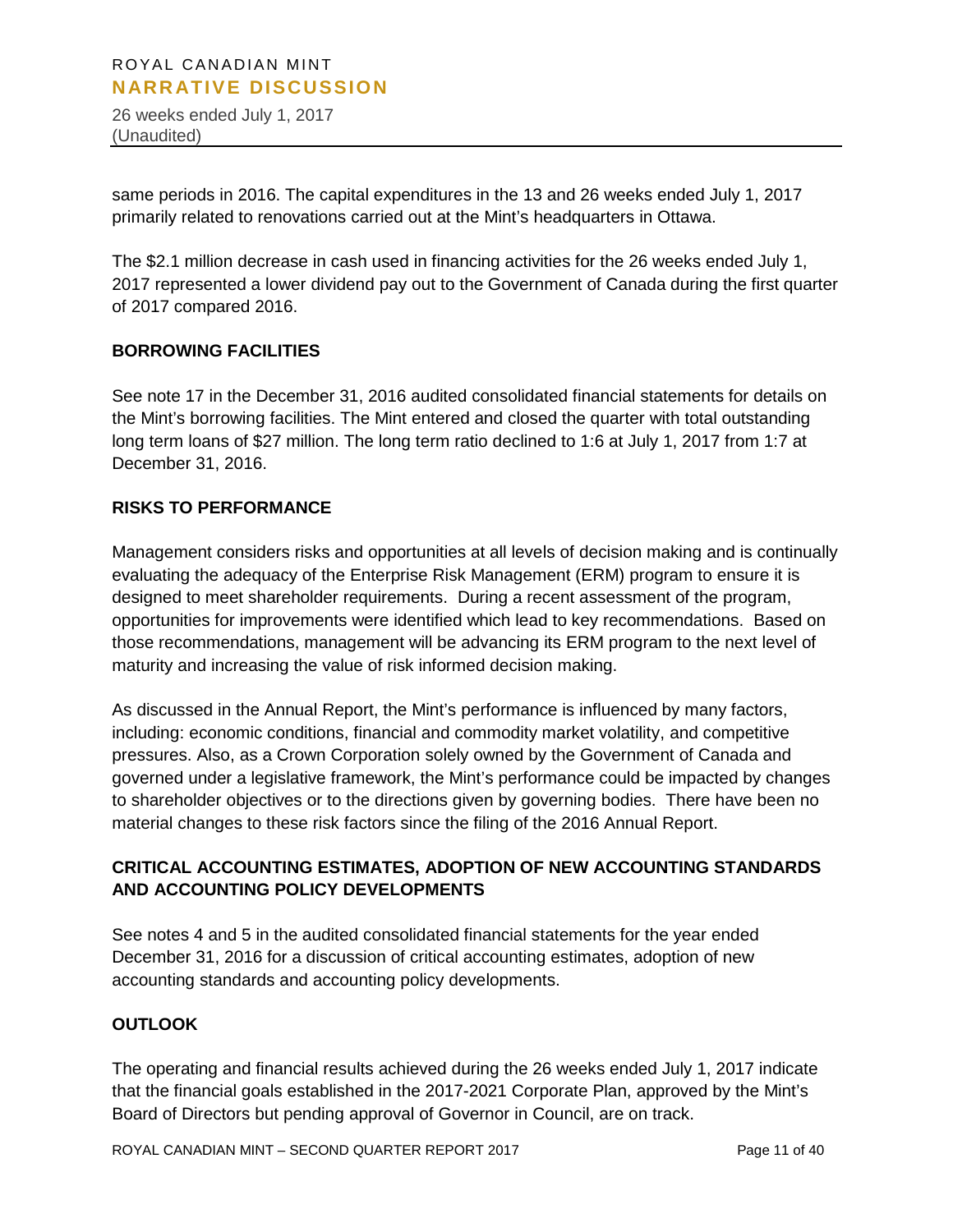26 weeks ended July 1, 2017 (Unaudited)

same periods in 2016. The capital expenditures in the 13 and 26 weeks ended July 1, 2017 primarily related to renovations carried out at the Mint's headquarters in Ottawa.

The \$2.1 million decrease in cash used in financing activities for the 26 weeks ended July 1, 2017 represented a lower dividend pay out to the Government of Canada during the first quarter of 2017 compared 2016.

#### **BORROWING FACILITIES**

See note 17 in the December 31, 2016 audited consolidated financial statements for details on the Mint's borrowing facilities. The Mint entered and closed the quarter with total outstanding long term loans of \$27 million. The long term ratio declined to 1:6 at July 1, 2017 from 1:7 at December 31, 2016.

#### **RISKS TO PERFORMANCE**

Management considers risks and opportunities at all levels of decision making and is continually evaluating the adequacy of the Enterprise Risk Management (ERM) program to ensure it is designed to meet shareholder requirements. During a recent assessment of the program, opportunities for improvements were identified which lead to key recommendations. Based on those recommendations, management will be advancing its ERM program to the next level of maturity and increasing the value of risk informed decision making.

As discussed in the Annual Report, the Mint's performance is influenced by many factors, including: economic conditions, financial and commodity market volatility, and competitive pressures. Also, as a Crown Corporation solely owned by the Government of Canada and governed under a legislative framework, the Mint's performance could be impacted by changes to shareholder objectives or to the directions given by governing bodies. There have been no material changes to these risk factors since the filing of the 2016 Annual Report.

# **CRITICAL ACCOUNTING ESTIMATES, ADOPTION OF NEW ACCOUNTING STANDARDS AND ACCOUNTING POLICY DEVELOPMENTS**

See notes 4 and 5 in the audited consolidated financial statements for the year ended December 31, 2016 for a discussion of critical accounting estimates, adoption of new accounting standards and accounting policy developments.

#### **OUTLOOK**

The operating and financial results achieved during the 26 weeks ended July 1, 2017 indicate that the financial goals established in the 2017-2021 Corporate Plan, approved by the Mint's Board of Directors but pending approval of Governor in Council, are on track.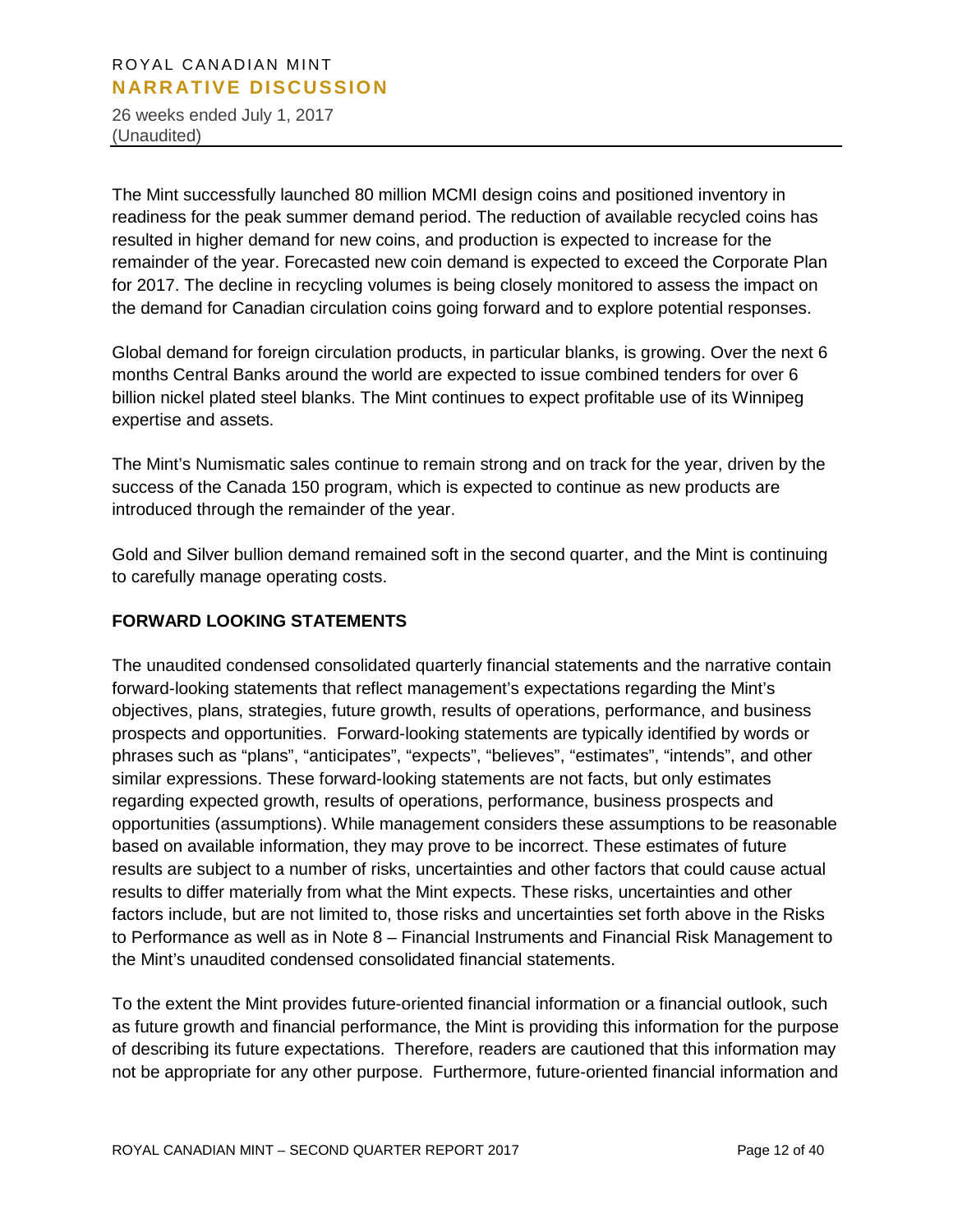26 weeks ended July 1, 2017 (Unaudited)

The Mint successfully launched 80 million MCMI design coins and positioned inventory in readiness for the peak summer demand period. The reduction of available recycled coins has resulted in higher demand for new coins, and production is expected to increase for the remainder of the year. Forecasted new coin demand is expected to exceed the Corporate Plan for 2017. The decline in recycling volumes is being closely monitored to assess the impact on the demand for Canadian circulation coins going forward and to explore potential responses.

Global demand for foreign circulation products, in particular blanks, is growing. Over the next 6 months Central Banks around the world are expected to issue combined tenders for over 6 billion nickel plated steel blanks. The Mint continues to expect profitable use of its Winnipeg expertise and assets.

The Mint's Numismatic sales continue to remain strong and on track for the year, driven by the success of the Canada 150 program, which is expected to continue as new products are introduced through the remainder of the year.

Gold and Silver bullion demand remained soft in the second quarter, and the Mint is continuing to carefully manage operating costs.

# **FORWARD LOOKING STATEMENTS**

The unaudited condensed consolidated quarterly financial statements and the narrative contain forward-looking statements that reflect management's expectations regarding the Mint's objectives, plans, strategies, future growth, results of operations, performance, and business prospects and opportunities. Forward-looking statements are typically identified by words or phrases such as "plans", "anticipates", "expects", "believes", "estimates", "intends", and other similar expressions. These forward-looking statements are not facts, but only estimates regarding expected growth, results of operations, performance, business prospects and opportunities (assumptions). While management considers these assumptions to be reasonable based on available information, they may prove to be incorrect. These estimates of future results are subject to a number of risks, uncertainties and other factors that could cause actual results to differ materially from what the Mint expects. These risks, uncertainties and other factors include, but are not limited to, those risks and uncertainties set forth above in the Risks to Performance as well as in Note 8 – Financial Instruments and Financial Risk Management to the Mint's unaudited condensed consolidated financial statements.

To the extent the Mint provides future-oriented financial information or a financial outlook, such as future growth and financial performance, the Mint is providing this information for the purpose of describing its future expectations. Therefore, readers are cautioned that this information may not be appropriate for any other purpose. Furthermore, future-oriented financial information and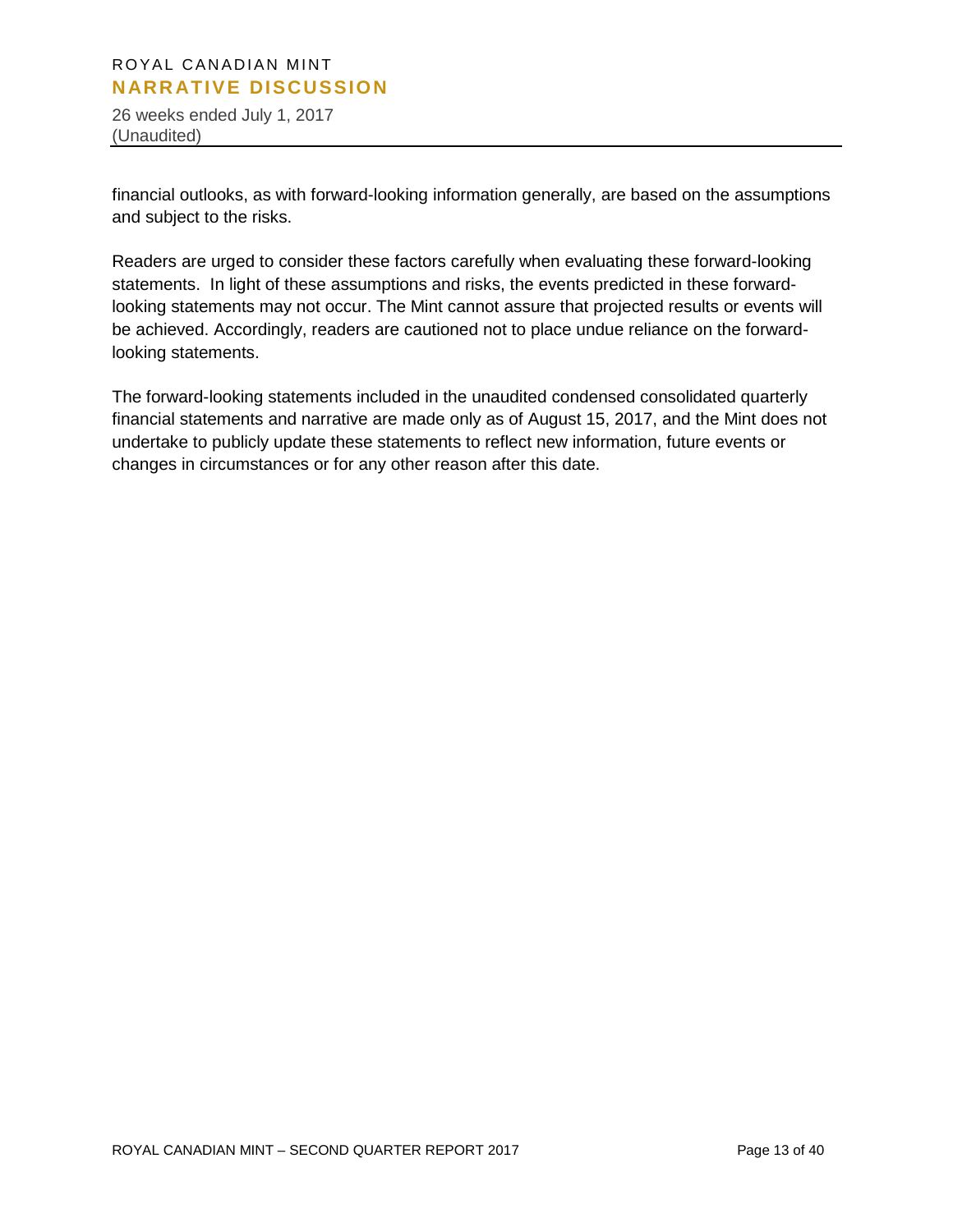26 weeks ended July 1, 2017 (Unaudited)

financial outlooks, as with forward-looking information generally, are based on the assumptions and subject to the risks.

Readers are urged to consider these factors carefully when evaluating these forward-looking statements. In light of these assumptions and risks, the events predicted in these forwardlooking statements may not occur. The Mint cannot assure that projected results or events will be achieved. Accordingly, readers are cautioned not to place undue reliance on the forwardlooking statements.

The forward-looking statements included in the unaudited condensed consolidated quarterly financial statements and narrative are made only as of August 15, 2017, and the Mint does not undertake to publicly update these statements to reflect new information, future events or changes in circumstances or for any other reason after this date.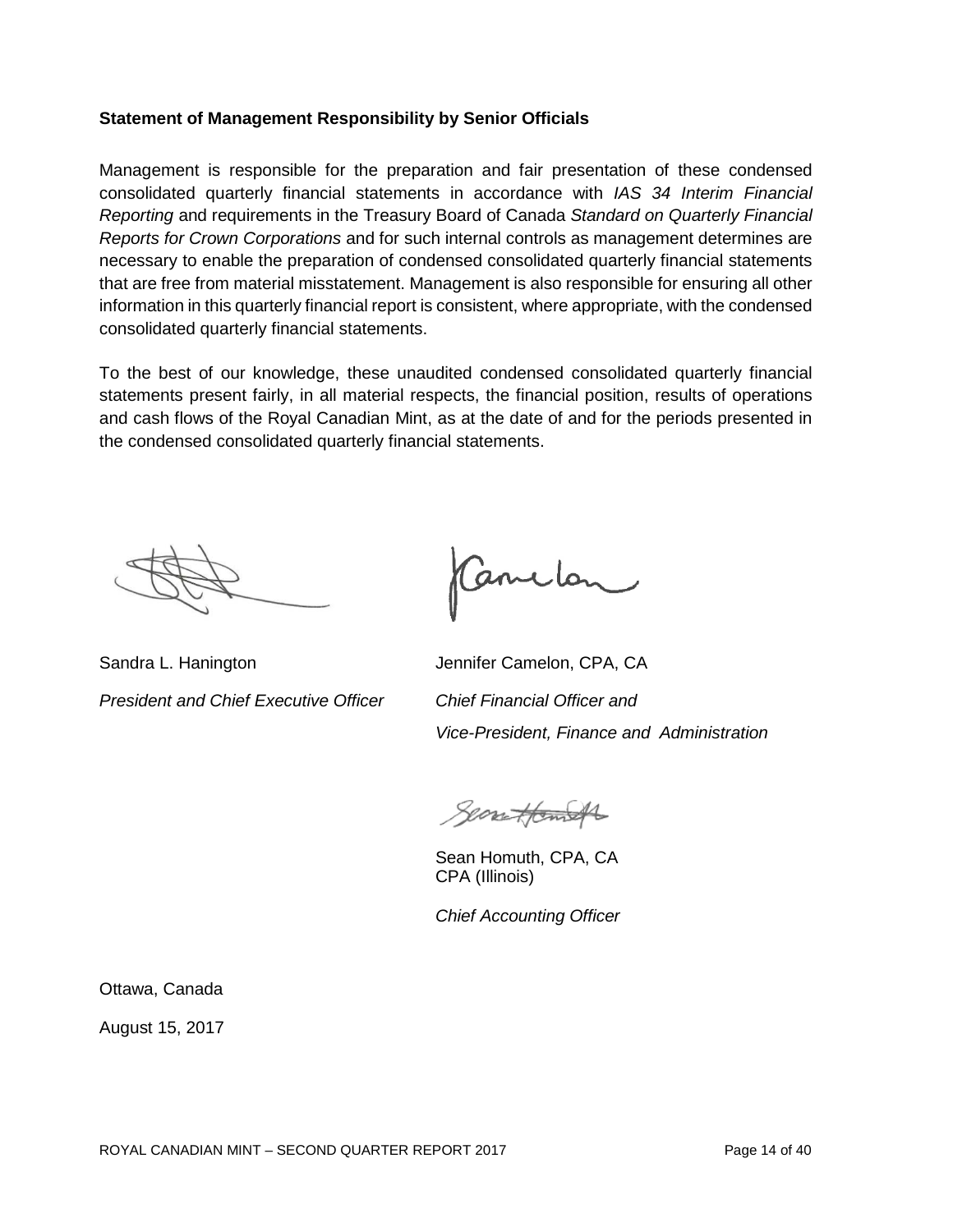#### **Statement of Management Responsibility by Senior Officials**

Management is responsible for the preparation and fair presentation of these condensed consolidated quarterly financial statements in accordance with *IAS 34 Interim Financial Reporting* and requirements in the Treasury Board of Canada *Standard on Quarterly Financial Reports for Crown Corporations* and for such internal controls as management determines are necessary to enable the preparation of condensed consolidated quarterly financial statements that are free from material misstatement. Management is also responsible for ensuring all other information in this quarterly financial report is consistent, where appropriate, with the condensed consolidated quarterly financial statements.

To the best of our knowledge, these unaudited condensed consolidated quarterly financial statements present fairly, in all material respects, the financial position, results of operations and cash flows of the Royal Canadian Mint, as at the date of and for the periods presented in the condensed consolidated quarterly financial statements.

Sandra L. Hanington **Jennifer Camelon, CPA, CA** *President and Chief Executive Officer Chief Financial Officer and* 

Canclon

*Vice-President, Finance and Administration*

Searettemoth

Sean Homuth, CPA, CA CPA (Illinois)

*Chief Accounting Officer*

Ottawa, Canada

August 15, 2017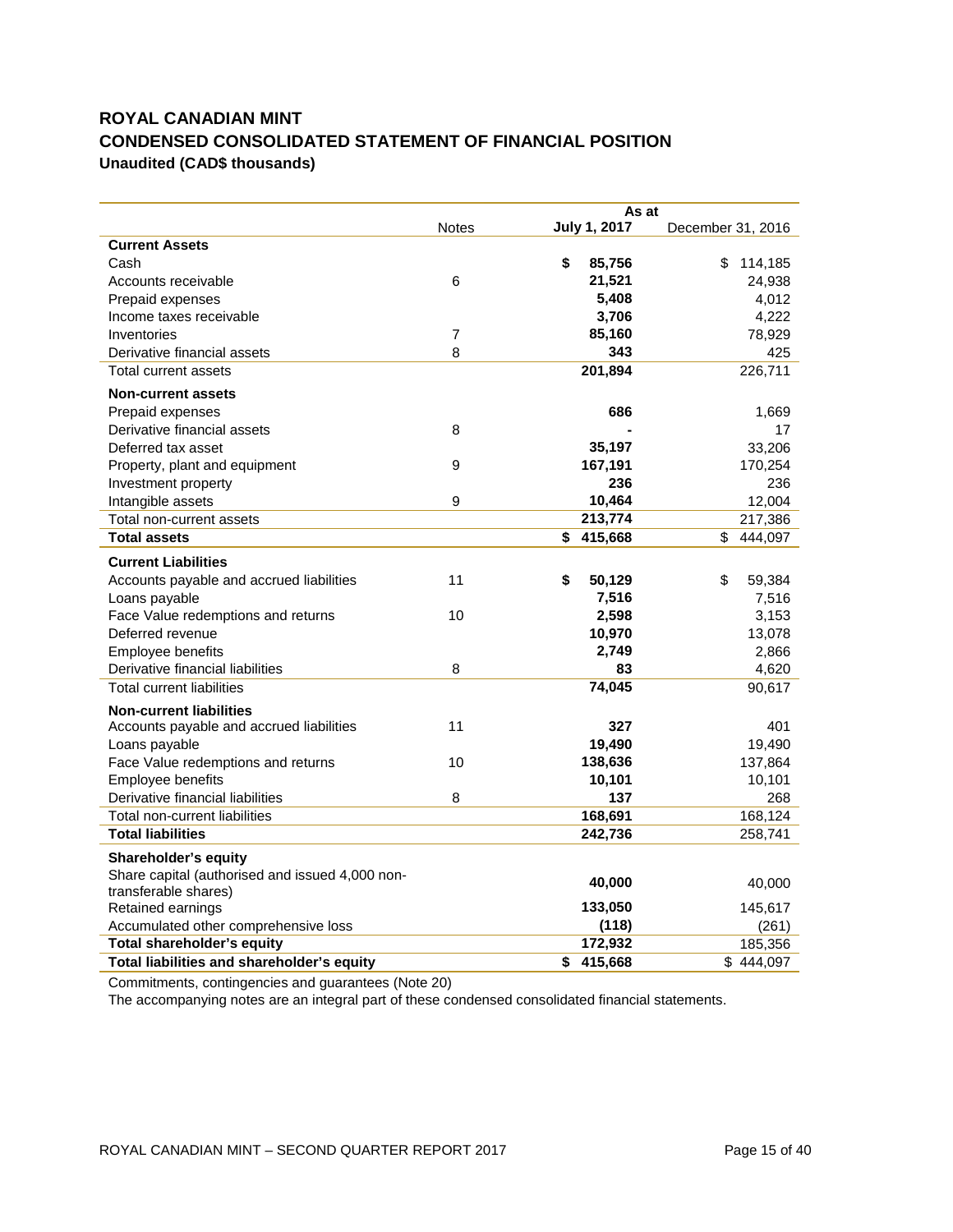# **ROYAL CANADIAN MINT CONDENSED CONSOLIDATED STATEMENT OF FINANCIAL POSITION Unaudited (CAD\$ thousands)**

|                                                 |                  | As at         |                   |
|-------------------------------------------------|------------------|---------------|-------------------|
|                                                 | <b>Notes</b>     | July 1, 2017  | December 31, 2016 |
| <b>Current Assets</b>                           |                  |               |                   |
| Cash                                            |                  | \$<br>85,756  | \$<br>114,185     |
| Accounts receivable                             | $6\phantom{1}6$  | 21,521        | 24,938            |
| Prepaid expenses                                |                  | 5,408         | 4,012             |
| Income taxes receivable                         |                  | 3,706         | 4,222             |
| Inventories                                     | $\overline{7}$   | 85,160        | 78,929            |
| Derivative financial assets                     | 8                | 343           | 425               |
| Total current assets                            |                  | 201,894       | 226,711           |
| <b>Non-current assets</b>                       |                  |               |                   |
| Prepaid expenses                                |                  | 686           | 1,669             |
| Derivative financial assets                     | 8                |               | 17                |
| Deferred tax asset                              |                  | 35,197        | 33,206            |
| Property, plant and equipment                   | 9                | 167,191       | 170,254           |
| Investment property                             |                  | 236           | 236               |
| Intangible assets                               | $\boldsymbol{9}$ | 10,464        | 12,004            |
| Total non-current assets                        |                  | 213,774       | 217,386           |
| <b>Total assets</b>                             |                  | \$415,668     | \$<br>444,097     |
| <b>Current Liabilities</b>                      |                  |               |                   |
| Accounts payable and accrued liabilities        | 11               | \$<br>50,129  | \$<br>59,384      |
| Loans payable                                   |                  | 7,516         | 7,516             |
| Face Value redemptions and returns              | 10               | 2,598         | 3,153             |
| Deferred revenue                                |                  | 10,970        | 13,078            |
| Employee benefits                               |                  | 2,749         | 2,866             |
| Derivative financial liabilities                | 8                | 83            | 4,620             |
| Total current liabilities                       |                  | 74,045        | 90,617            |
| <b>Non-current liabilities</b>                  |                  |               |                   |
| Accounts payable and accrued liabilities        | 11               | 327           | 401               |
| Loans payable                                   |                  | 19,490        | 19,490            |
| Face Value redemptions and returns              | 10               | 138,636       | 137,864           |
| <b>Employee benefits</b>                        |                  | 10,101        | 10,101            |
| Derivative financial liabilities                | 8                | 137           | 268               |
| Total non-current liabilities                   |                  | 168,691       | 168,124           |
| <b>Total liabilities</b>                        |                  | 242,736       | 258,741           |
| Shareholder's equity                            |                  |               |                   |
| Share capital (authorised and issued 4,000 non- |                  | 40,000        | 40,000            |
| transferable shares)                            |                  |               |                   |
| Retained earnings                               |                  | 133,050       | 145,617           |
| Accumulated other comprehensive loss            |                  | (118)         | (261)             |
| Total shareholder's equity                      |                  | 172,932       | 185,356           |
| Total liabilities and shareholder's equity      |                  | 415,668<br>\$ | \$444,097         |

Commitments, contingencies and guarantees (Note 20)

The accompanying notes are an integral part of these condensed consolidated financial statements.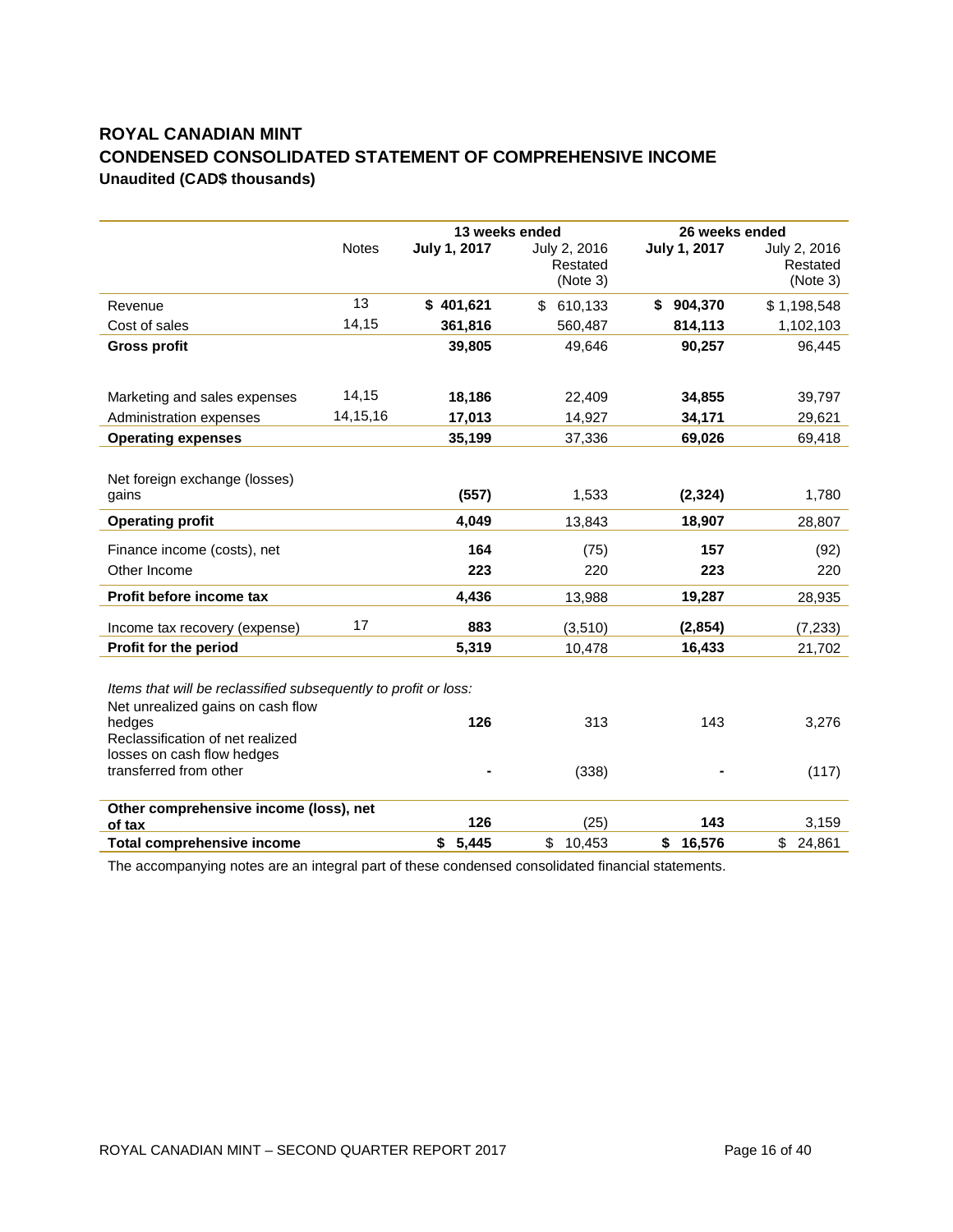# **ROYAL CANADIAN MINT CONDENSED CONSOLIDATED STATEMENT OF COMPREHENSIVE INCOME Unaudited (CAD\$ thousands)**

|                                                                                                                                                                                                            |              | 13 weeks ended |                                      | 26 weeks ended |                                      |  |  |
|------------------------------------------------------------------------------------------------------------------------------------------------------------------------------------------------------------|--------------|----------------|--------------------------------------|----------------|--------------------------------------|--|--|
|                                                                                                                                                                                                            | <b>Notes</b> | July 1, 2017   | July 2, 2016<br>Restated<br>(Note 3) | July 1, 2017   | July 2, 2016<br>Restated<br>(Note 3) |  |  |
| Revenue                                                                                                                                                                                                    | 13           | \$401,621      | \$<br>610,133                        | \$904,370      | \$1,198,548                          |  |  |
| Cost of sales                                                                                                                                                                                              | 14,15        | 361,816        | 560,487                              | 814,113        | 1,102,103                            |  |  |
| <b>Gross profit</b>                                                                                                                                                                                        |              | 39,805         | 49,646                               | 90,257         | 96,445                               |  |  |
| Marketing and sales expenses                                                                                                                                                                               | 14,15        | 18,186         | 22,409                               | 34,855         | 39,797                               |  |  |
| Administration expenses                                                                                                                                                                                    | 14, 15, 16   | 17,013         | 14,927                               | 34,171         | 29,621                               |  |  |
| <b>Operating expenses</b>                                                                                                                                                                                  |              | 35,199         | 37,336                               | 69,026         | 69,418                               |  |  |
| Net foreign exchange (losses)                                                                                                                                                                              |              |                |                                      |                |                                      |  |  |
| qains                                                                                                                                                                                                      |              | (557)          | 1,533                                | (2, 324)       | 1,780                                |  |  |
| <b>Operating profit</b>                                                                                                                                                                                    |              | 4.049          | 13,843                               | 18,907         | 28,807                               |  |  |
| Finance income (costs), net                                                                                                                                                                                |              | 164            | (75)                                 | 157            | (92)                                 |  |  |
| Other Income                                                                                                                                                                                               |              | 223            | 220                                  | 223            | 220                                  |  |  |
| Profit before income tax                                                                                                                                                                                   |              | 4,436          | 13,988                               | 19,287         | 28,935                               |  |  |
| Income tax recovery (expense)                                                                                                                                                                              | 17           | 883            | (3, 510)                             | (2,854)        | (7, 233)                             |  |  |
| Profit for the period                                                                                                                                                                                      |              | 5,319          | 10,478                               | 16,433         | 21,702                               |  |  |
| Items that will be reclassified subsequently to profit or loss:<br>Net unrealized gains on cash flow<br>hedges<br>Reclassification of net realized<br>losses on cash flow hedges<br>transferred from other |              | 126            | 313<br>(338)                         | 143            | 3,276<br>(117)                       |  |  |
|                                                                                                                                                                                                            |              |                |                                      |                |                                      |  |  |
| Other comprehensive income (loss), net<br>of tax                                                                                                                                                           |              | 126            | (25)                                 | 143            | 3,159                                |  |  |
| <b>Total comprehensive income</b>                                                                                                                                                                          |              | \$5,445        | \$<br>10,453                         | 16,576<br>\$   | \$24,861                             |  |  |

The accompanying notes are an integral part of these condensed consolidated financial statements.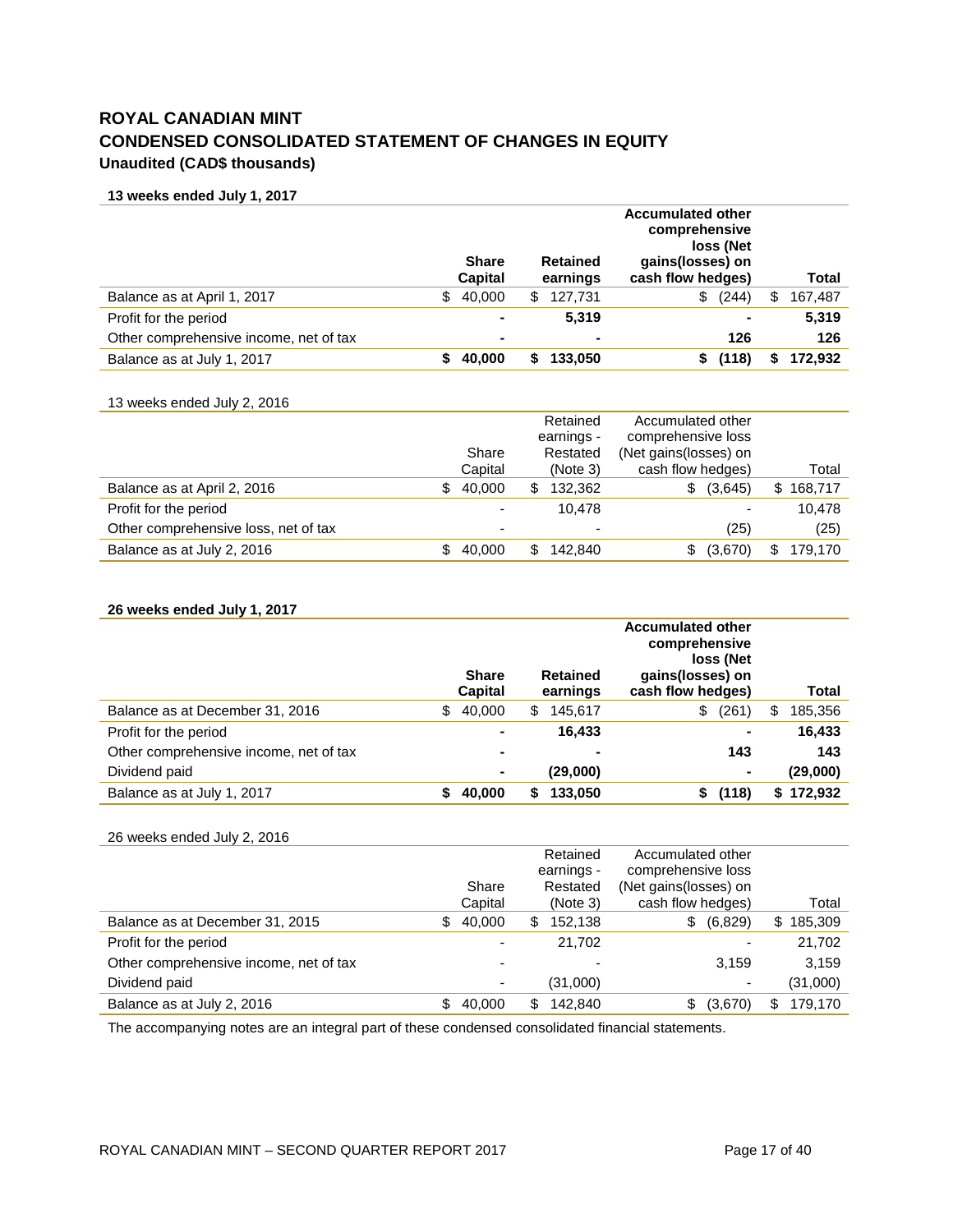# **ROYAL CANADIAN MINT CONDENSED CONSOLIDATED STATEMENT OF CHANGES IN EQUITY Unaudited (CAD\$ thousands)**

**13 weeks ended July 1, 2017**

|                                        | <b>Share</b><br><b>Capital</b> |     | <b>Retained</b><br>earnings | <b>Accumulated other</b><br>comprehensive<br>loss (Net<br>gains(losses) on<br>cash flow hedges) |   | Total   |
|----------------------------------------|--------------------------------|-----|-----------------------------|-------------------------------------------------------------------------------------------------|---|---------|
| Balance as at April 1, 2017            | \$<br>40.000                   | \$. | 127,731                     | (244)<br>\$                                                                                     | S | 167,487 |
| Profit for the period                  | $\blacksquare$                 |     | 5,319                       | ۰                                                                                               |   | 5,319   |
| Other comprehensive income, net of tax | ۰                              |     | $\blacksquare$              | 126                                                                                             |   | 126     |
| Balance as at July 1, 2017             | 40.000                         |     | 133,050                     | (118)                                                                                           |   | 172,932 |

#### 13 weeks ended July 2, 2016

|                                      |              |   | Retained<br>earnings - | Accumulated other<br>comprehensive loss |   |         |
|--------------------------------------|--------------|---|------------------------|-----------------------------------------|---|---------|
|                                      | Share        |   | Restated               | (Net gains(losses) on                   |   |         |
|                                      | Capital      |   | (Note 3)               | cash flow hedges)                       |   | Total   |
| Balance as at April 2, 2016          | \$<br>40.000 | S | 132,362                | (3,645)<br>\$.                          | S | 168,717 |
| Profit for the period                | -            |   | 10.478                 | ٠                                       |   | 10.478  |
| Other comprehensive loss, net of tax |              |   | -                      | (25)                                    |   | (25)    |
| Balance as at July 2, 2016           | 40.000       |   | 142.840                | (3,670)                                 |   | 179,170 |

#### **26 weeks ended July 1, 2017**

|                                        | <b>Share</b><br>Capital |   | <b>Retained</b><br>earnings | <b>Accumulated other</b><br>comprehensive<br>loss (Net<br>gains(losses) on<br>cash flow hedges) |   | Total    |
|----------------------------------------|-------------------------|---|-----------------------------|-------------------------------------------------------------------------------------------------|---|----------|
| Balance as at December 31, 2016        | \$<br>40,000            | S | 145,617                     | \$<br>(261)                                                                                     | S | 185,356  |
| Profit for the period                  | ۰                       |   | 16.433                      | $\overline{\phantom{a}}$                                                                        |   | 16,433   |
| Other comprehensive income, net of tax | ٠                       |   |                             | 143                                                                                             |   | 143      |
| Dividend paid                          | $\blacksquare$          |   | (29,000)                    | $\blacksquare$                                                                                  |   | (29,000) |
| Balance as at July 1, 2017             | 40.000                  |   | 133,050                     | (118)                                                                                           | S | 172,932  |

#### 26 weeks ended July 2, 2016

|                                        |   |         |     | Retained<br>earnings - | Accumulated other<br>comprehensive loss |                          |    |          |
|----------------------------------------|---|---------|-----|------------------------|-----------------------------------------|--------------------------|----|----------|
|                                        |   | Share   |     | Restated               | (Net gains (losses) on                  |                          |    |          |
|                                        |   | Capital |     | (Note 3)               | cash flow hedges)                       |                          |    | Total    |
| Balance as at December 31, 2015        | S | 40,000  | S   | 152,138                | S.                                      | (6,829)                  | S. | 185,309  |
| Profit for the period                  |   | ۰       |     | 21.702                 |                                         |                          |    | 21,702   |
| Other comprehensive income, net of tax |   | ۰       |     |                        |                                         | 3.159                    |    | 3.159    |
| Dividend paid                          |   | ۰       |     | (31,000)               |                                         | $\overline{\phantom{0}}$ |    | (31,000) |
| Balance as at July 2, 2016             |   | 40,000  | \$. | 142.840                |                                         | (3,670)                  | \$ | 179,170  |
|                                        |   |         |     |                        |                                         |                          |    |          |

The accompanying notes are an integral part of these condensed consolidated financial statements.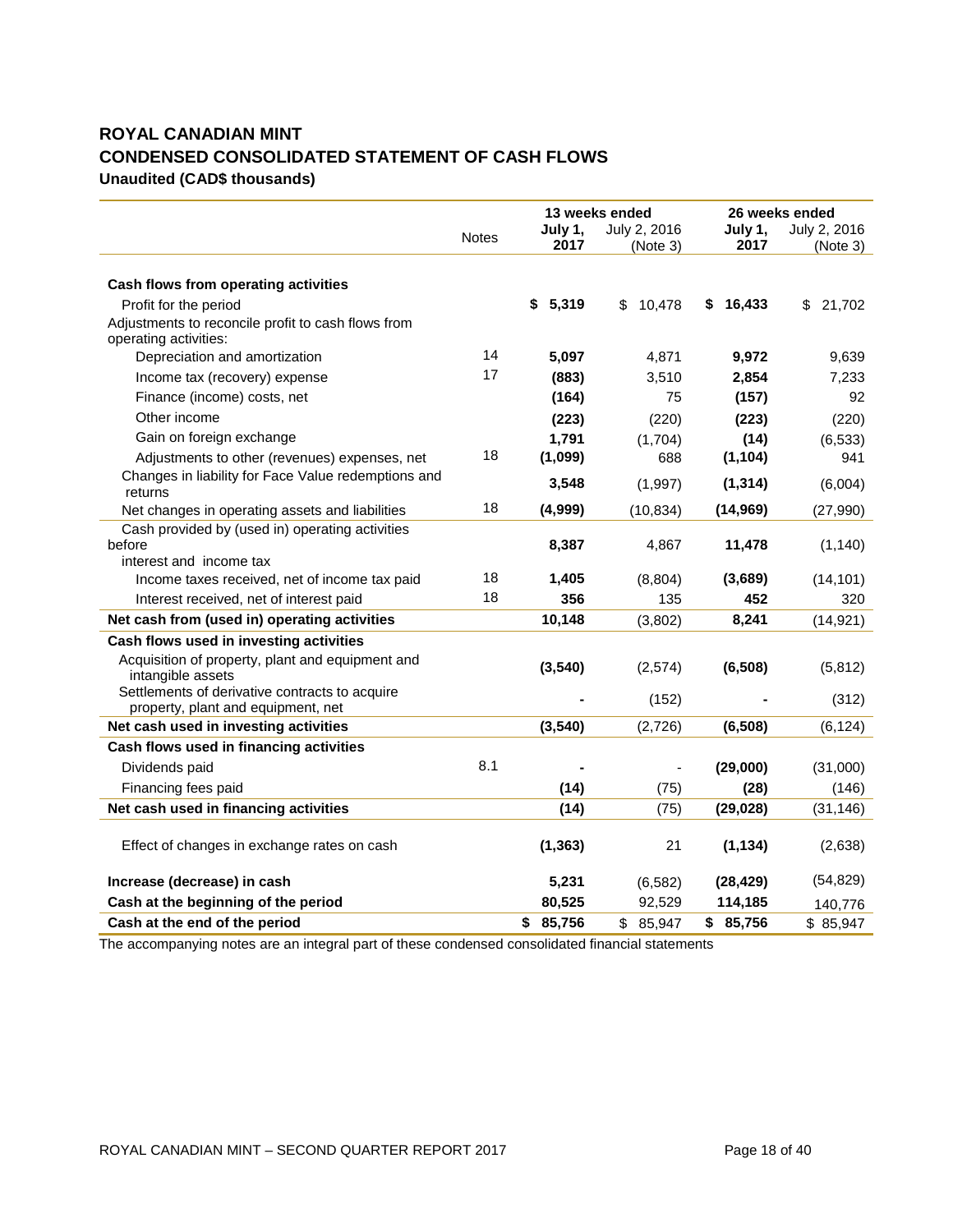# **ROYAL CANADIAN MINT CONDENSED CONSOLIDATED STATEMENT OF CASH FLOWS Unaudited (CAD\$ thousands)**

|                                                                                      |       |                 | 13 weeks ended           |                 | 26 weeks ended           |
|--------------------------------------------------------------------------------------|-------|-----------------|--------------------------|-----------------|--------------------------|
|                                                                                      | Notes | July 1,<br>2017 | July 2, 2016<br>(Note 3) | July 1,<br>2017 | July 2, 2016<br>(Note 3) |
|                                                                                      |       |                 |                          |                 |                          |
| Cash flows from operating activities                                                 |       |                 |                          |                 |                          |
| Profit for the period                                                                |       | \$<br>5,319     | 10,478<br>\$             | 16,433<br>S.    | 21,702<br>\$             |
| Adjustments to reconcile profit to cash flows from<br>operating activities:          |       |                 |                          |                 |                          |
| Depreciation and amortization                                                        | 14    | 5,097           | 4,871                    | 9,972           | 9,639                    |
| Income tax (recovery) expense                                                        | 17    | (883)           | 3,510                    | 2,854           | 7,233                    |
| Finance (income) costs, net                                                          |       | (164)           | 75                       | (157)           | 92                       |
| Other income                                                                         |       | (223)           | (220)                    | (223)           | (220)                    |
| Gain on foreign exchange                                                             |       | 1,791           | (1,704)                  | (14)            | (6, 533)                 |
| Adjustments to other (revenues) expenses, net                                        | 18    | (1,099)         | 688                      | (1, 104)        | 941                      |
| Changes in liability for Face Value redemptions and<br>returns                       |       | 3,548           | (1,997)                  | (1, 314)        | (6,004)                  |
| Net changes in operating assets and liabilities                                      | 18    | (4,999)         | (10, 834)                | (14, 969)       | (27,990)                 |
| Cash provided by (used in) operating activities<br>before                            |       | 8,387           | 4,867                    | 11,478          | (1, 140)                 |
| interest and income tax                                                              | 18    |                 |                          |                 |                          |
| Income taxes received, net of income tax paid                                        | 18    | 1,405           | (8,804)                  | (3,689)         | (14, 101)                |
| Interest received, net of interest paid                                              |       | 356             | 135                      | 452             | 320                      |
| Net cash from (used in) operating activities                                         |       | 10,148          | (3,802)                  | 8,241           | (14, 921)                |
| Cash flows used in investing activities                                              |       |                 |                          |                 |                          |
| Acquisition of property, plant and equipment and<br>intangible assets                |       | (3, 540)        | (2,574)                  | (6, 508)        | (5, 812)                 |
| Settlements of derivative contracts to acquire<br>property, plant and equipment, net |       |                 | (152)                    |                 | (312)                    |
| Net cash used in investing activities                                                |       | (3, 540)        | (2,726)                  | (6, 508)        | (6, 124)                 |
| Cash flows used in financing activities                                              |       |                 |                          |                 |                          |
| Dividends paid                                                                       | 8.1   |                 |                          | (29,000)        | (31,000)                 |
| Financing fees paid                                                                  |       | (14)            | (75)                     | (28)            | (146)                    |
| Net cash used in financing activities                                                |       | (14)            | (75)                     | (29, 028)       | (31, 146)                |
| Effect of changes in exchange rates on cash                                          |       | (1, 363)        | 21                       | (1, 134)        | (2,638)                  |
| Increase (decrease) in cash                                                          |       | 5,231           | (6, 582)                 | (28, 429)       | (54, 829)                |
| Cash at the beginning of the period                                                  |       | 80,525          | 92,529                   | 114,185         | 140,776                  |
| Cash at the end of the period                                                        |       | \$<br>85,756    | \$85,947                 | \$85,756        | \$85,947                 |

The accompanying notes are an integral part of these condensed consolidated financial statements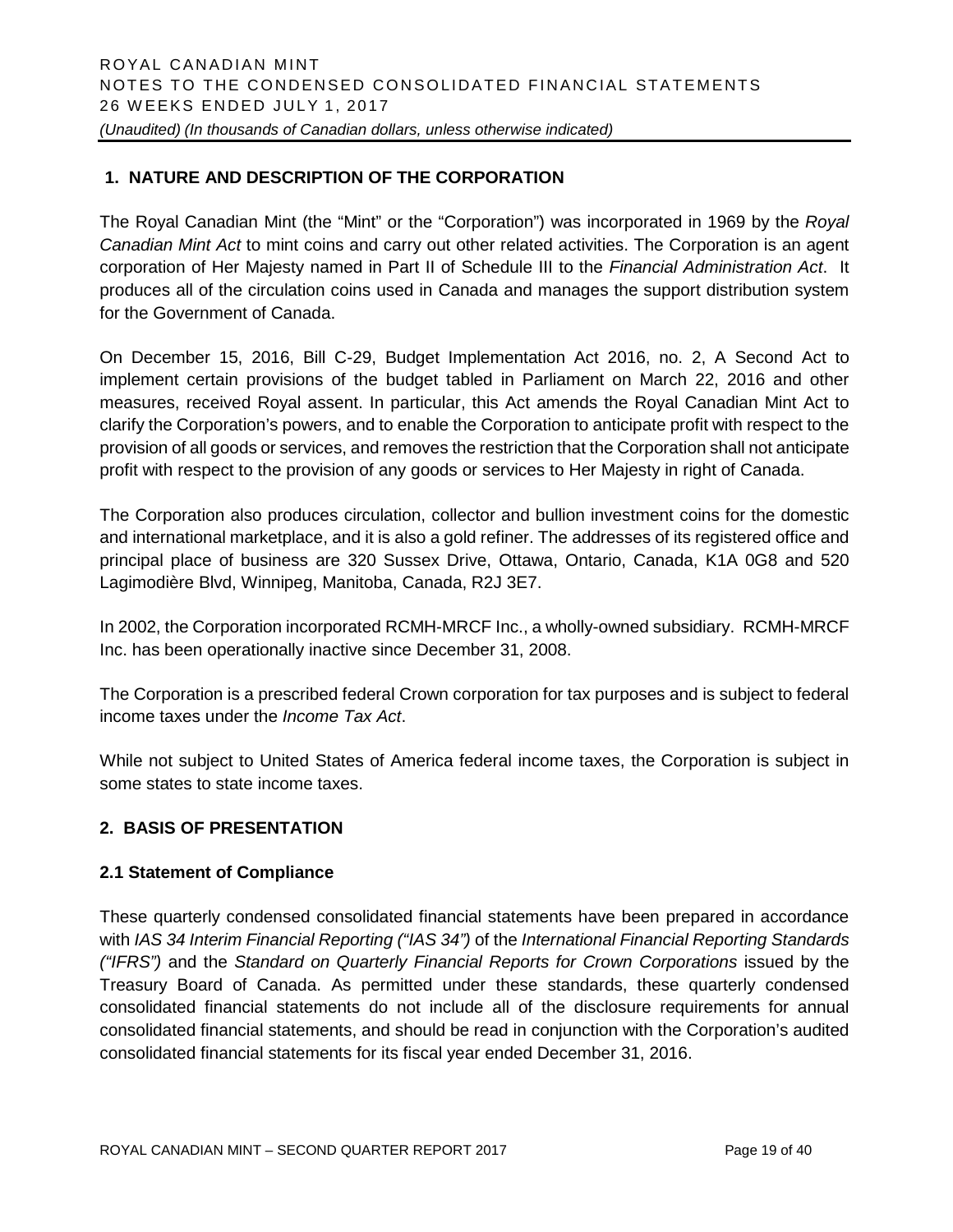# **1. NATURE AND DESCRIPTION OF THE CORPORATION**

The Royal Canadian Mint (the "Mint" or the "Corporation") was incorporated in 1969 by the *Royal Canadian Mint Act* to mint coins and carry out other related activities. The Corporation is an agent corporation of Her Majesty named in Part II of Schedule III to the *Financial Administration Act*. It produces all of the circulation coins used in Canada and manages the support distribution system for the Government of Canada.

On December 15, 2016, Bill C-29, Budget Implementation Act 2016, no. 2, A Second Act to implement certain provisions of the budget tabled in Parliament on March 22, 2016 and other measures, received Royal assent. In particular, this Act amends the Royal Canadian Mint Act to clarify the Corporation's powers, and to enable the Corporation to anticipate profit with respect to the provision of all goods or services, and removes the restriction that the Corporation shall not anticipate profit with respect to the provision of any goods or services to Her Majesty in right of Canada.

The Corporation also produces circulation, collector and bullion investment coins for the domestic and international marketplace, and it is also a gold refiner. The addresses of its registered office and principal place of business are 320 Sussex Drive, Ottawa, Ontario, Canada, K1A 0G8 and 520 Lagimodière Blvd, Winnipeg, Manitoba, Canada, R2J 3E7.

In 2002, the Corporation incorporated RCMH-MRCF Inc., a wholly-owned subsidiary. RCMH-MRCF Inc. has been operationally inactive since December 31, 2008.

The Corporation is a prescribed federal Crown corporation for tax purposes and is subject to federal income taxes under the *Income Tax Act*.

While not subject to United States of America federal income taxes, the Corporation is subject in some states to state income taxes.

# **2. BASIS OF PRESENTATION**

#### **2.1 Statement of Compliance**

These quarterly condensed consolidated financial statements have been prepared in accordance with *IAS 34 Interim Financial Reporting ("IAS 34")* of the *International Financial Reporting Standards ("IFRS")* and the *Standard on Quarterly Financial Reports for Crown Corporations* issued by the Treasury Board of Canada. As permitted under these standards, these quarterly condensed consolidated financial statements do not include all of the disclosure requirements for annual consolidated financial statements, and should be read in conjunction with the Corporation's audited consolidated financial statements for its fiscal year ended December 31, 2016.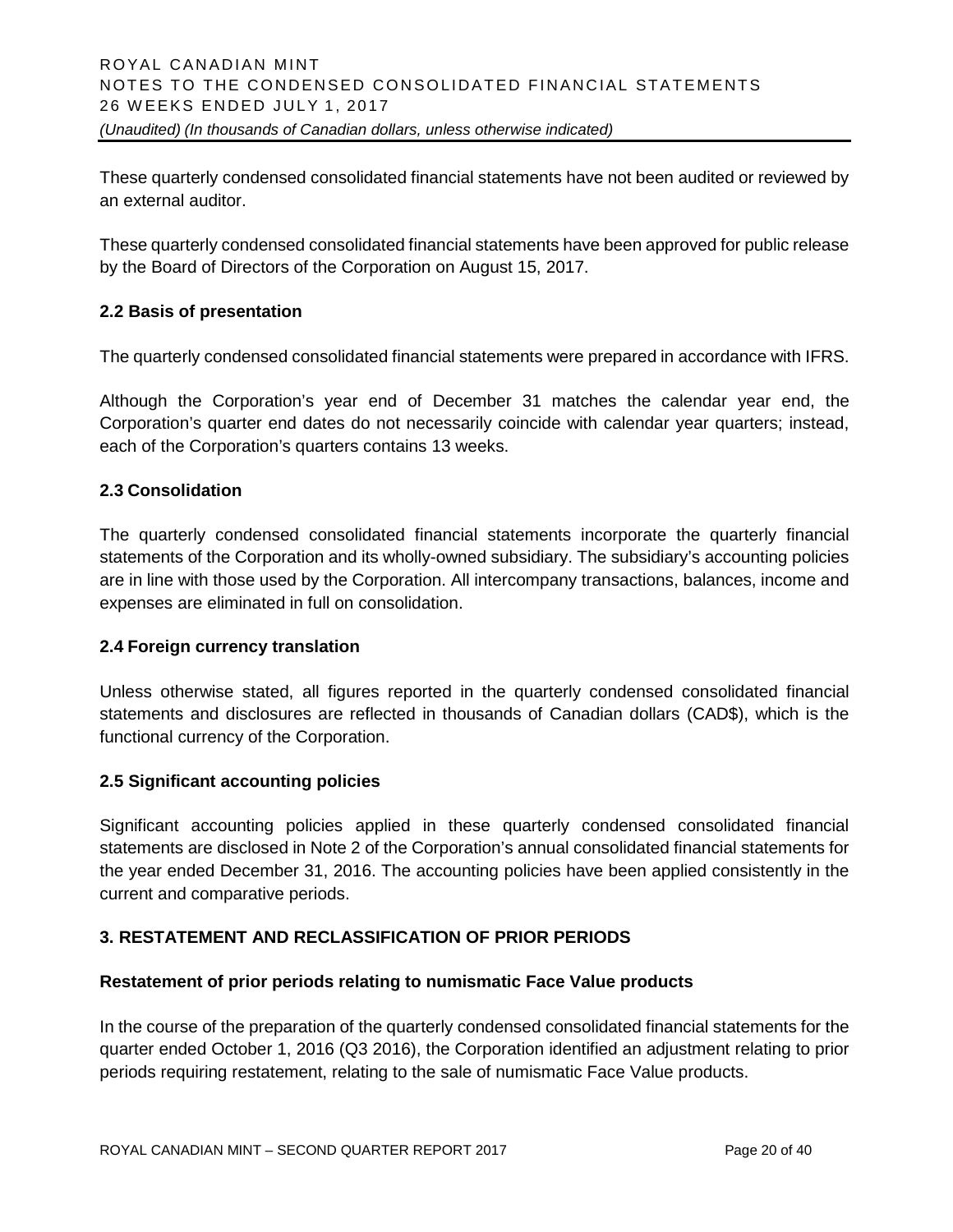These quarterly condensed consolidated financial statements have not been audited or reviewed by an external auditor.

These quarterly condensed consolidated financial statements have been approved for public release by the Board of Directors of the Corporation on August 15, 2017.

# **2.2 Basis of presentation**

The quarterly condensed consolidated financial statements were prepared in accordance with IFRS.

Although the Corporation's year end of December 31 matches the calendar year end, the Corporation's quarter end dates do not necessarily coincide with calendar year quarters; instead, each of the Corporation's quarters contains 13 weeks.

#### **2.3 Consolidation**

The quarterly condensed consolidated financial statements incorporate the quarterly financial statements of the Corporation and its wholly-owned subsidiary. The subsidiary's accounting policies are in line with those used by the Corporation. All intercompany transactions, balances, income and expenses are eliminated in full on consolidation.

#### **2.4 Foreign currency translation**

Unless otherwise stated, all figures reported in the quarterly condensed consolidated financial statements and disclosures are reflected in thousands of Canadian dollars (CAD\$), which is the functional currency of the Corporation.

#### **2.5 Significant accounting policies**

Significant accounting policies applied in these quarterly condensed consolidated financial statements are disclosed in Note 2 of the Corporation's annual consolidated financial statements for the year ended December 31, 2016. The accounting policies have been applied consistently in the current and comparative periods.

# **3. RESTATEMENT AND RECLASSIFICATION OF PRIOR PERIODS**

#### **Restatement of prior periods relating to numismatic Face Value products**

In the course of the preparation of the quarterly condensed consolidated financial statements for the quarter ended October 1, 2016 (Q3 2016), the Corporation identified an adjustment relating to prior periods requiring restatement, relating to the sale of numismatic Face Value products.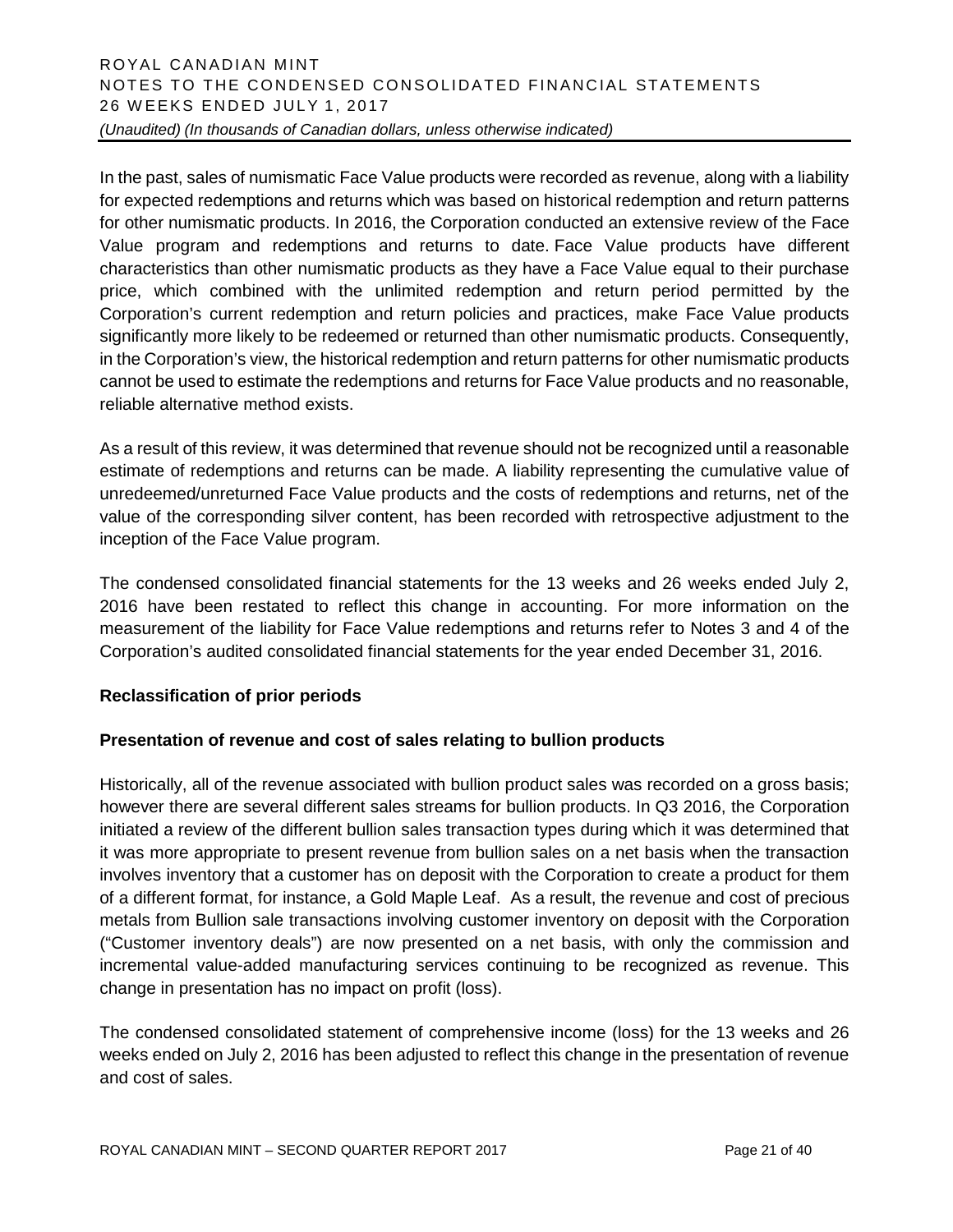In the past, sales of numismatic Face Value products were recorded as revenue, along with a liability for expected redemptions and returns which was based on historical redemption and return patterns for other numismatic products. In 2016, the Corporation conducted an extensive review of the Face Value program and redemptions and returns to date. Face Value products have different characteristics than other numismatic products as they have a Face Value equal to their purchase price, which combined with the unlimited redemption and return period permitted by the Corporation's current redemption and return policies and practices, make Face Value products significantly more likely to be redeemed or returned than other numismatic products. Consequently, in the Corporation's view, the historical redemption and return patterns for other numismatic products cannot be used to estimate the redemptions and returns for Face Value products and no reasonable, reliable alternative method exists.

As a result of this review, it was determined that revenue should not be recognized until a reasonable estimate of redemptions and returns can be made. A liability representing the cumulative value of unredeemed/unreturned Face Value products and the costs of redemptions and returns, net of the value of the corresponding silver content, has been recorded with retrospective adjustment to the inception of the Face Value program.

The condensed consolidated financial statements for the 13 weeks and 26 weeks ended July 2, 2016 have been restated to reflect this change in accounting. For more information on the measurement of the liability for Face Value redemptions and returns refer to Notes 3 and 4 of the Corporation's audited consolidated financial statements for the year ended December 31, 2016.

#### **Reclassification of prior periods**

#### **Presentation of revenue and cost of sales relating to bullion products**

Historically, all of the revenue associated with bullion product sales was recorded on a gross basis; however there are several different sales streams for bullion products. In Q3 2016, the Corporation initiated a review of the different bullion sales transaction types during which it was determined that it was more appropriate to present revenue from bullion sales on a net basis when the transaction involves inventory that a customer has on deposit with the Corporation to create a product for them of a different format, for instance, a Gold Maple Leaf. As a result, the revenue and cost of precious metals from Bullion sale transactions involving customer inventory on deposit with the Corporation ("Customer inventory deals") are now presented on a net basis, with only the commission and incremental value-added manufacturing services continuing to be recognized as revenue. This change in presentation has no impact on profit (loss).

The condensed consolidated statement of comprehensive income (loss) for the 13 weeks and 26 weeks ended on July 2, 2016 has been adjusted to reflect this change in the presentation of revenue and cost of sales.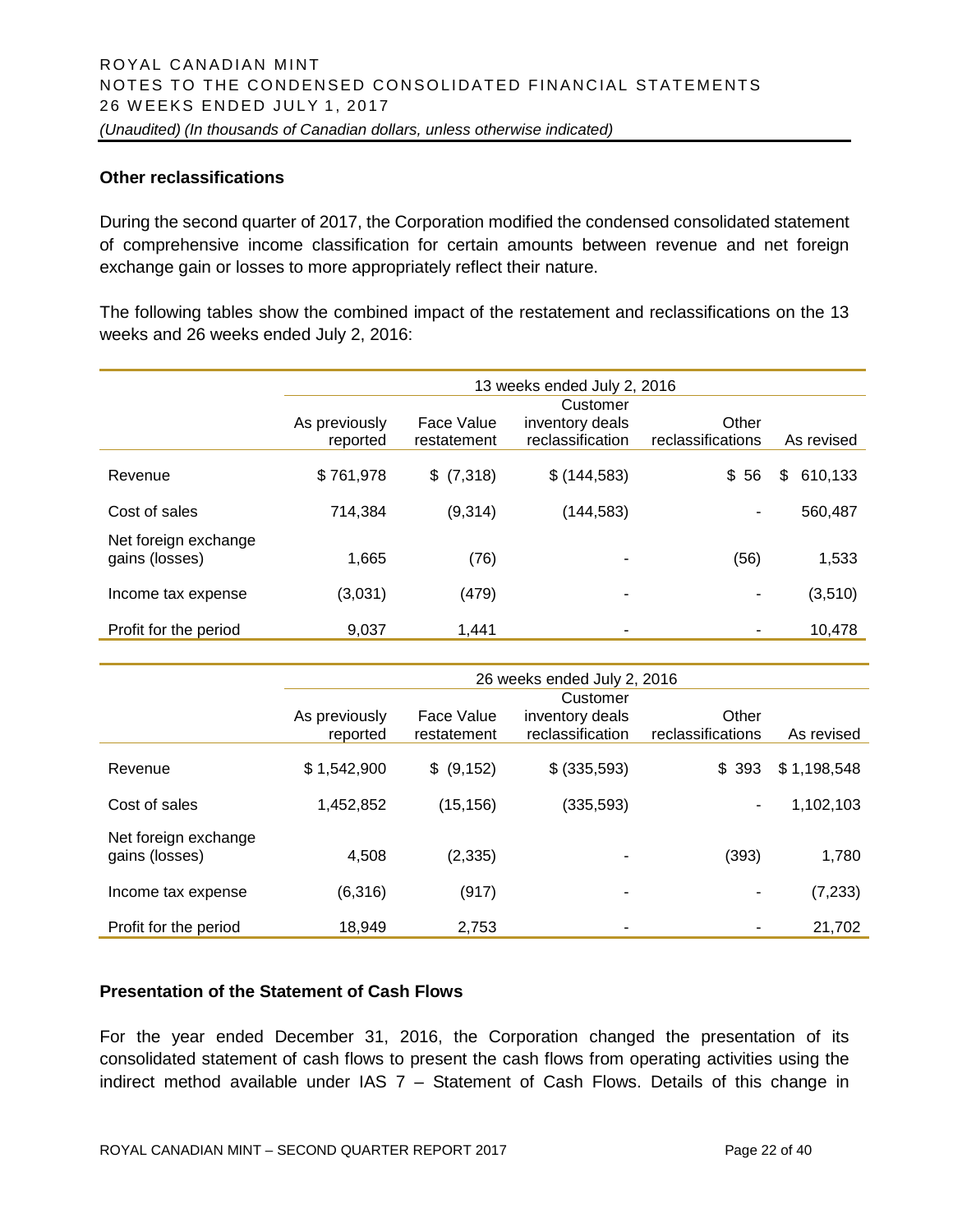#### **Other reclassifications**

During the second quarter of 2017, the Corporation modified the condensed consolidated statement of comprehensive income classification for certain amounts between revenue and net foreign exchange gain or losses to more appropriately reflect their nature.

The following tables show the combined impact of the restatement and reclassifications on the 13 weeks and 26 weeks ended July 2, 2016:

|                                        | 13 weeks ended July 2, 2016 |                           |                                                 |                            |               |  |  |
|----------------------------------------|-----------------------------|---------------------------|-------------------------------------------------|----------------------------|---------------|--|--|
|                                        | As previously<br>reported   | Face Value<br>restatement | Customer<br>inventory deals<br>reclassification | Other<br>reclassifications | As revised    |  |  |
| Revenue                                | \$761,978                   | \$ (7,318)                | \$(144, 583)                                    | \$56                       | 610,133<br>\$ |  |  |
| Cost of sales                          | 714,384                     | (9,314)                   | (144, 583)                                      | ۰                          | 560,487       |  |  |
| Net foreign exchange<br>gains (losses) | 1,665                       | (76)                      |                                                 | (56)                       | 1,533         |  |  |
| Income tax expense                     | (3,031)                     | (479)                     | ۰                                               | ٠                          | (3,510)       |  |  |
| Profit for the period                  | 9,037                       | 1,441                     |                                                 | ۰                          | 10,478        |  |  |

|                                        | 26 weeks ended July 2, 2016 |                           |                                                 |                            |             |  |  |
|----------------------------------------|-----------------------------|---------------------------|-------------------------------------------------|----------------------------|-------------|--|--|
|                                        | As previously<br>reported   | Face Value<br>restatement | Customer<br>inventory deals<br>reclassification | Other<br>reclassifications | As revised  |  |  |
| Revenue                                | \$1,542,900                 | \$ (9,152)                | \$ (335,593)                                    | \$393                      | \$1,198,548 |  |  |
| Cost of sales                          | 1,452,852                   | (15, 156)                 | (335, 593)                                      |                            | 1,102,103   |  |  |
| Net foreign exchange<br>gains (losses) | 4,508                       | (2, 335)                  |                                                 | (393)                      | 1,780       |  |  |
| Income tax expense                     | (6,316)                     | (917)                     |                                                 |                            | (7, 233)    |  |  |
| Profit for the period                  | 18,949                      | 2,753                     |                                                 |                            | 21,702      |  |  |

#### **Presentation of the Statement of Cash Flows**

For the year ended December 31, 2016, the Corporation changed the presentation of its consolidated statement of cash flows to present the cash flows from operating activities using the indirect method available under IAS  $7 -$  Statement of Cash Flows. Details of this change in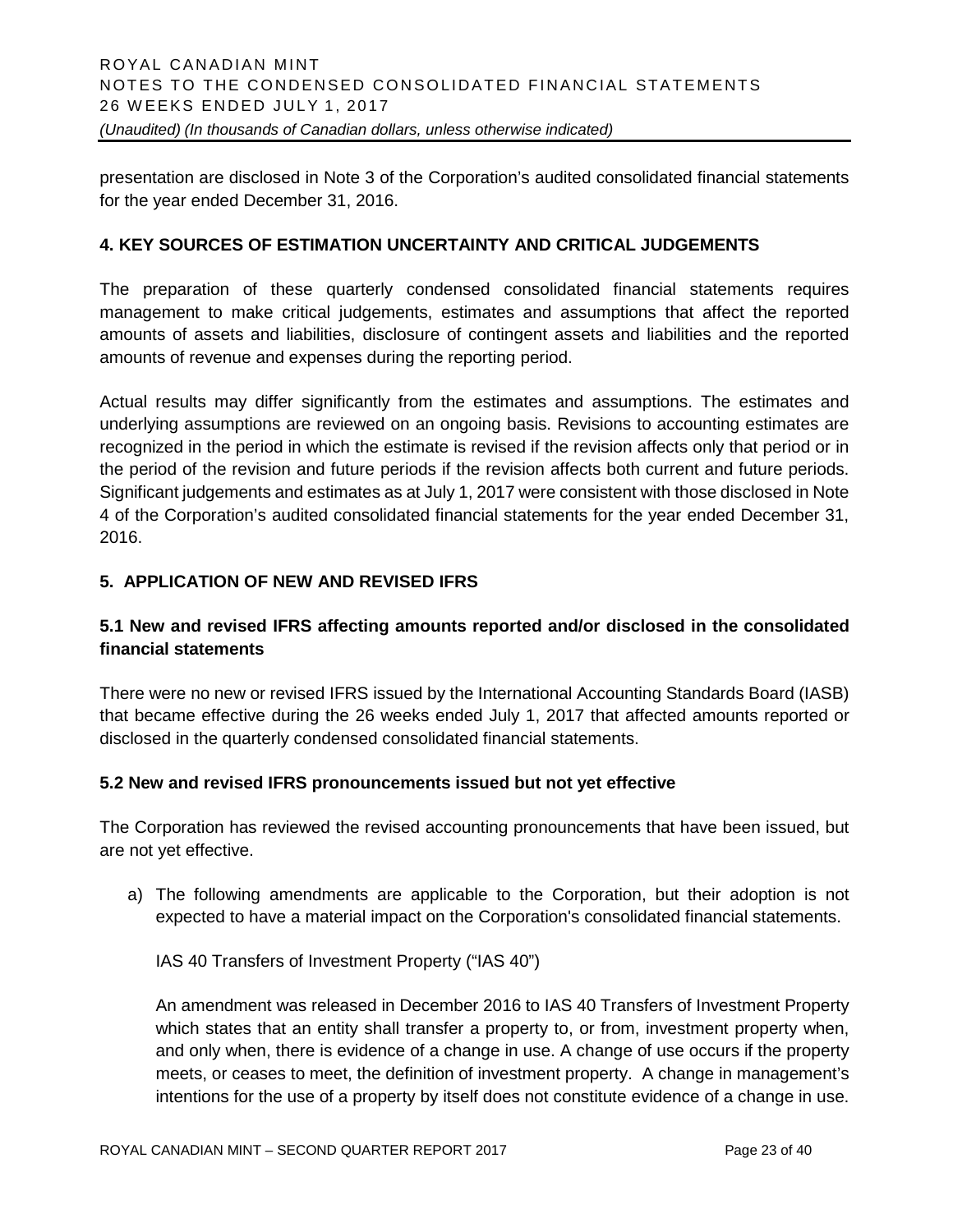presentation are disclosed in Note 3 of the Corporation's audited consolidated financial statements for the year ended December 31, 2016.

#### **4. KEY SOURCES OF ESTIMATION UNCERTAINTY AND CRITICAL JUDGEMENTS**

The preparation of these quarterly condensed consolidated financial statements requires management to make critical judgements, estimates and assumptions that affect the reported amounts of assets and liabilities, disclosure of contingent assets and liabilities and the reported amounts of revenue and expenses during the reporting period.

Actual results may differ significantly from the estimates and assumptions. The estimates and underlying assumptions are reviewed on an ongoing basis. Revisions to accounting estimates are recognized in the period in which the estimate is revised if the revision affects only that period or in the period of the revision and future periods if the revision affects both current and future periods. Significant judgements and estimates as at July 1, 2017 were consistent with those disclosed in Note 4 of the Corporation's audited consolidated financial statements for the year ended December 31, 2016.

# **5. APPLICATION OF NEW AND REVISED IFRS**

# **5.1 New and revised IFRS affecting amounts reported and/or disclosed in the consolidated financial statements**

There were no new or revised IFRS issued by the International Accounting Standards Board (IASB) that became effective during the 26 weeks ended July 1, 2017 that affected amounts reported or disclosed in the quarterly condensed consolidated financial statements.

#### **5.2 New and revised IFRS pronouncements issued but not yet effective**

The Corporation has reviewed the revised accounting pronouncements that have been issued, but are not yet effective.

a) The following amendments are applicable to the Corporation, but their adoption is not expected to have a material impact on the Corporation's consolidated financial statements.

IAS 40 Transfers of Investment Property ("IAS 40")

An amendment was released in December 2016 to IAS 40 Transfers of Investment Property which states that an entity shall transfer a property to, or from, investment property when, and only when, there is evidence of a change in use. A change of use occurs if the property meets, or ceases to meet, the definition of investment property. A change in management's intentions for the use of a property by itself does not constitute evidence of a change in use.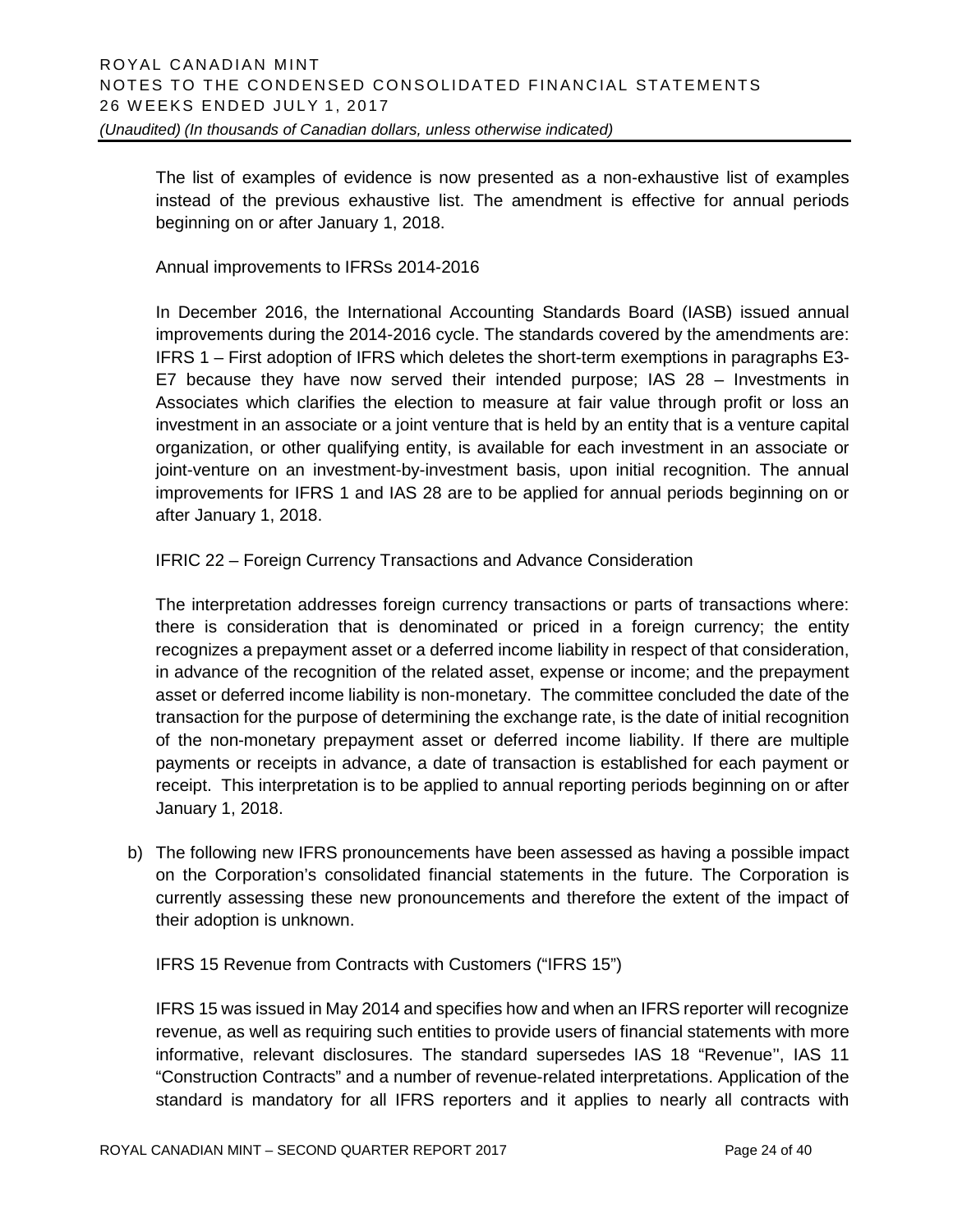The list of examples of evidence is now presented as a non-exhaustive list of examples instead of the previous exhaustive list. The amendment is effective for annual periods beginning on or after January 1, 2018.

Annual improvements to IFRSs 2014-2016

In December 2016, the International Accounting Standards Board (IASB) issued annual improvements during the 2014-2016 cycle. The standards covered by the amendments are: IFRS 1 – First adoption of IFRS which deletes the short-term exemptions in paragraphs E3- E7 because they have now served their intended purpose; IAS 28 – Investments in Associates which clarifies the election to measure at fair value through profit or loss an investment in an associate or a joint venture that is held by an entity that is a venture capital organization, or other qualifying entity, is available for each investment in an associate or joint-venture on an investment-by-investment basis, upon initial recognition. The annual improvements for IFRS 1 and IAS 28 are to be applied for annual periods beginning on or after January 1, 2018.

IFRIC 22 – Foreign Currency Transactions and Advance Consideration

The interpretation addresses foreign currency transactions or parts of transactions where: there is consideration that is denominated or priced in a foreign currency; the entity recognizes a prepayment asset or a deferred income liability in respect of that consideration, in advance of the recognition of the related asset, expense or income; and the prepayment asset or deferred income liability is non-monetary. The committee concluded the date of the transaction for the purpose of determining the exchange rate, is the date of initial recognition of the non-monetary prepayment asset or deferred income liability. If there are multiple payments or receipts in advance, a date of transaction is established for each payment or receipt. This interpretation is to be applied to annual reporting periods beginning on or after January 1, 2018.

b) The following new IFRS pronouncements have been assessed as having a possible impact on the Corporation's consolidated financial statements in the future. The Corporation is currently assessing these new pronouncements and therefore the extent of the impact of their adoption is unknown.

IFRS 15 Revenue from Contracts with Customers ("IFRS 15")

IFRS 15 was issued in May 2014 and specifies how and when an IFRS reporter will recognize revenue, as well as requiring such entities to provide users of financial statements with more informative, relevant disclosures. The standard supersedes IAS 18 "Revenue'', IAS 11 "Construction Contracts" and a number of revenue-related interpretations. Application of the standard is mandatory for all IFRS reporters and it applies to nearly all contracts with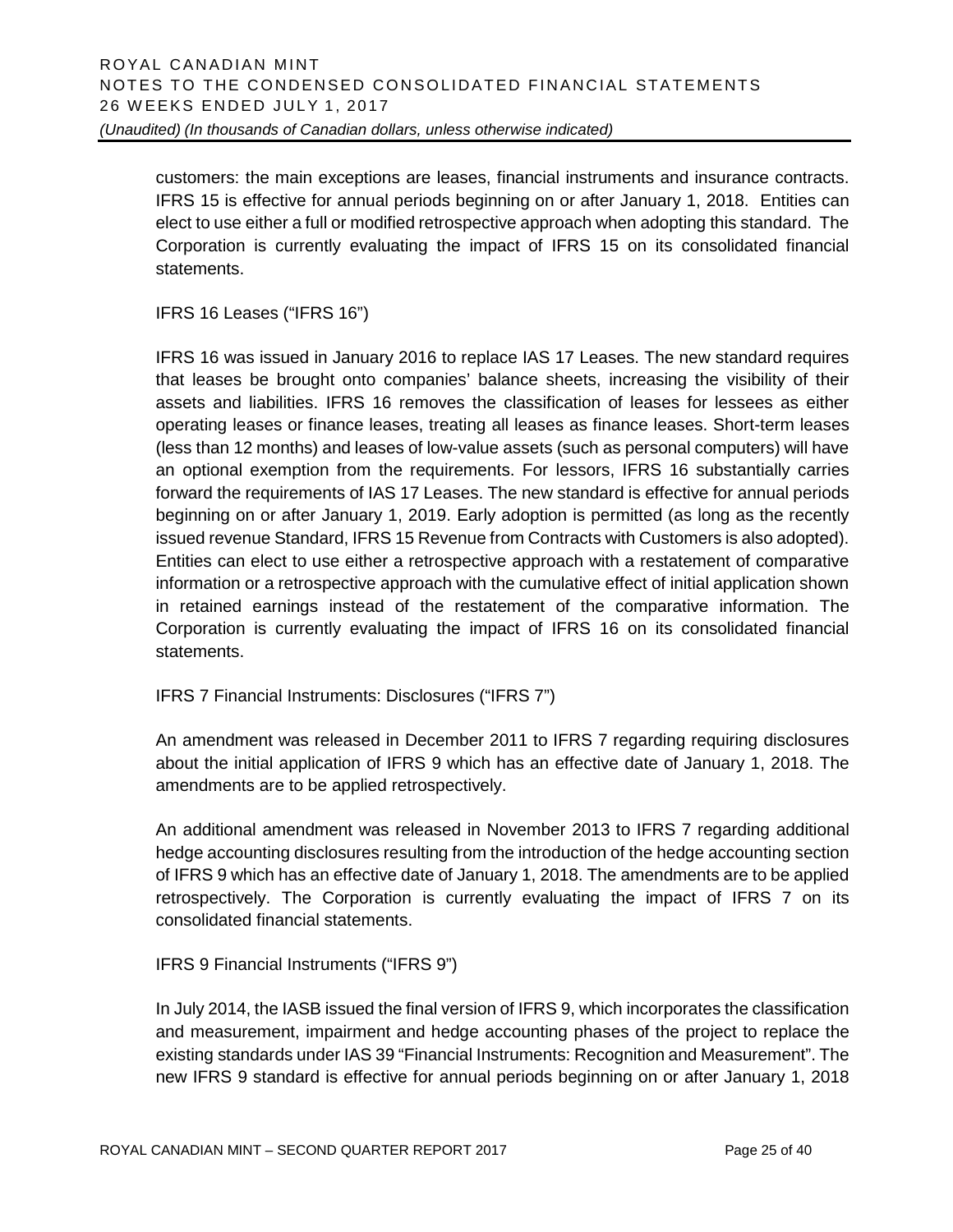customers: the main exceptions are leases, financial instruments and insurance contracts. IFRS 15 is effective for annual periods beginning on or after January 1, 2018. Entities can elect to use either a full or modified retrospective approach when adopting this standard. The Corporation is currently evaluating the impact of IFRS 15 on its consolidated financial statements.

IFRS 16 Leases ("IFRS 16")

IFRS 16 was issued in January 2016 to replace IAS 17 Leases. The new standard requires that leases be brought onto companies' balance sheets, increasing the visibility of their assets and liabilities. IFRS 16 removes the classification of leases for lessees as either operating leases or finance leases, treating all leases as finance leases. Short-term leases (less than 12 months) and leases of low-value assets (such as personal computers) will have an optional exemption from the requirements. For lessors, IFRS 16 substantially carries forward the requirements of IAS 17 Leases. The new standard is effective for annual periods beginning on or after January 1, 2019. Early adoption is permitted (as long as the recently issued revenue Standard, IFRS 15 Revenue from Contracts with Customers is also adopted). Entities can elect to use either a retrospective approach with a restatement of comparative information or a retrospective approach with the cumulative effect of initial application shown in retained earnings instead of the restatement of the comparative information. The Corporation is currently evaluating the impact of IFRS 16 on its consolidated financial statements.

IFRS 7 Financial Instruments: Disclosures ("IFRS 7")

An amendment was released in December 2011 to IFRS 7 regarding requiring disclosures about the initial application of IFRS 9 which has an effective date of January 1, 2018. The amendments are to be applied retrospectively.

An additional amendment was released in November 2013 to IFRS 7 regarding additional hedge accounting disclosures resulting from the introduction of the hedge accounting section of IFRS 9 which has an effective date of January 1, 2018. The amendments are to be applied retrospectively. The Corporation is currently evaluating the impact of IFRS 7 on its consolidated financial statements.

IFRS 9 Financial Instruments ("IFRS 9")

In July 2014, the IASB issued the final version of IFRS 9, which incorporates the classification and measurement, impairment and hedge accounting phases of the project to replace the existing standards under IAS 39 "Financial Instruments: Recognition and Measurement". The new IFRS 9 standard is effective for annual periods beginning on or after January 1, 2018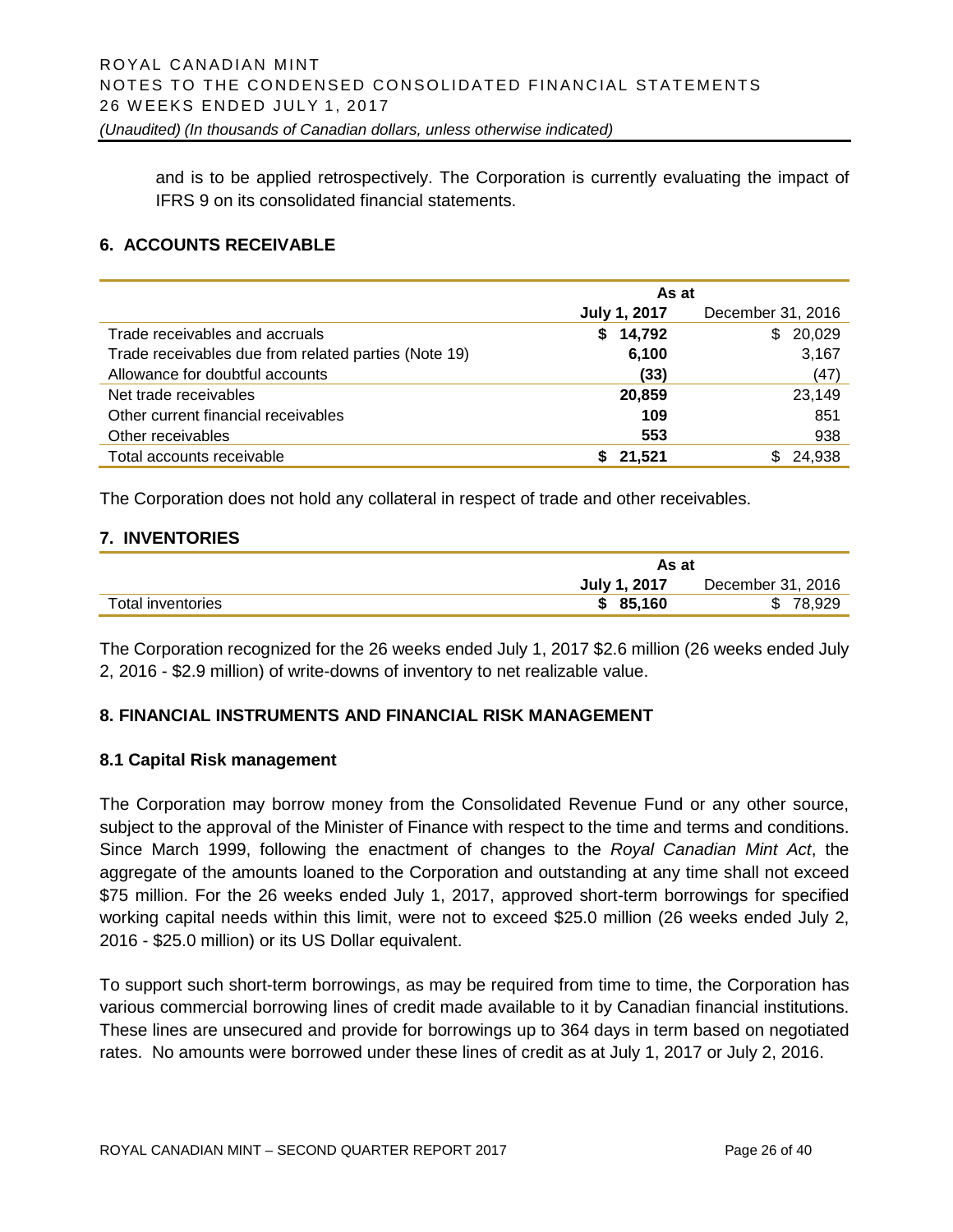and is to be applied retrospectively. The Corporation is currently evaluating the impact of IFRS 9 on its consolidated financial statements.

# **6. ACCOUNTS RECEIVABLE**

|                                                      | As at               |                   |  |  |  |
|------------------------------------------------------|---------------------|-------------------|--|--|--|
|                                                      | <b>July 1, 2017</b> | December 31, 2016 |  |  |  |
| Trade receivables and accruals                       | \$14,792            | 20,029<br>\$      |  |  |  |
| Trade receivables due from related parties (Note 19) | 6,100               | 3,167             |  |  |  |
| Allowance for doubtful accounts                      | (33)                | (47)              |  |  |  |
| Net trade receivables                                | 20,859              | 23,149            |  |  |  |
| Other current financial receivables                  | 109                 | 851               |  |  |  |
| Other receivables                                    | 553                 | 938               |  |  |  |
| Total accounts receivable                            | 21.521              | 24,938            |  |  |  |

The Corporation does not hold any collateral in respect of trade and other receivables.

#### **7. INVENTORIES**

|                   | As at        |                   |  |  |
|-------------------|--------------|-------------------|--|--|
|                   | July 1, 2017 | December 31, 2016 |  |  |
| Total inventories | \$85,160     | \$78,929          |  |  |

The Corporation recognized for the 26 weeks ended July 1, 2017 \$2.6 million (26 weeks ended July 2, 2016 - \$2.9 million) of write-downs of inventory to net realizable value.

#### **8. FINANCIAL INSTRUMENTS AND FINANCIAL RISK MANAGEMENT**

#### **8.1 Capital Risk management**

The Corporation may borrow money from the Consolidated Revenue Fund or any other source, subject to the approval of the Minister of Finance with respect to the time and terms and conditions. Since March 1999, following the enactment of changes to the *Royal Canadian Mint Act*, the aggregate of the amounts loaned to the Corporation and outstanding at any time shall not exceed \$75 million. For the 26 weeks ended July 1, 2017, approved short-term borrowings for specified working capital needs within this limit, were not to exceed \$25.0 million (26 weeks ended July 2, 2016 - \$25.0 million) or its US Dollar equivalent.

To support such short-term borrowings, as may be required from time to time, the Corporation has various commercial borrowing lines of credit made available to it by Canadian financial institutions. These lines are unsecured and provide for borrowings up to 364 days in term based on negotiated rates. No amounts were borrowed under these lines of credit as at July 1, 2017 or July 2, 2016.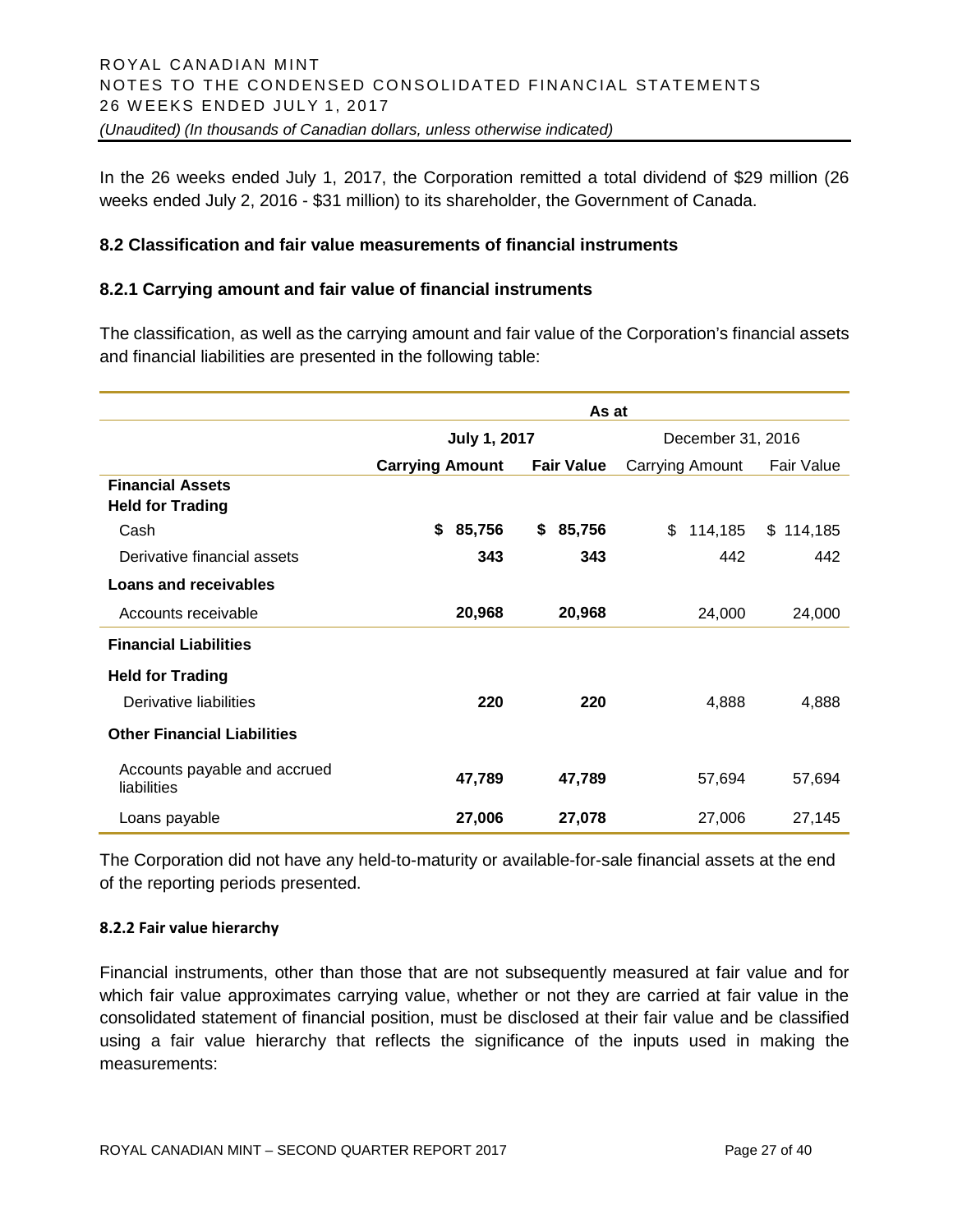In the 26 weeks ended July 1, 2017, the Corporation remitted a total dividend of \$29 million (26 weeks ended July 2, 2016 - \$31 million) to its shareholder, the Government of Canada.

#### **8.2 Classification and fair value measurements of financial instruments**

#### **8.2.1 Carrying amount and fair value of financial instruments**

The classification, as well as the carrying amount and fair value of the Corporation's financial assets and financial liabilities are presented in the following table:

|                                             | As at                  |                   |                   |               |  |
|---------------------------------------------|------------------------|-------------------|-------------------|---------------|--|
|                                             | <b>July 1, 2017</b>    |                   | December 31, 2016 |               |  |
|                                             | <b>Carrying Amount</b> | <b>Fair Value</b> | Carrying Amount   | Fair Value    |  |
| <b>Financial Assets</b>                     |                        |                   |                   |               |  |
| <b>Held for Trading</b>                     |                        |                   |                   |               |  |
| Cash                                        | \$<br>85,756           | 85,756<br>\$      | \$<br>114,185     | \$<br>114,185 |  |
| Derivative financial assets                 | 343                    | 343               | 442               | 442           |  |
| Loans and receivables                       |                        |                   |                   |               |  |
| Accounts receivable                         | 20,968                 | 20,968            | 24,000            | 24,000        |  |
| <b>Financial Liabilities</b>                |                        |                   |                   |               |  |
| <b>Held for Trading</b>                     |                        |                   |                   |               |  |
| Derivative liabilities                      | 220                    | 220               | 4,888             | 4,888         |  |
| <b>Other Financial Liabilities</b>          |                        |                   |                   |               |  |
| Accounts payable and accrued<br>liabilities | 47,789                 | 47,789            | 57,694            | 57,694        |  |
| Loans payable                               | 27,006                 | 27,078            | 27,006            | 27,145        |  |

The Corporation did not have any held-to-maturity or available-for-sale financial assets at the end of the reporting periods presented.

#### **8.2.2 Fair value hierarchy**

Financial instruments, other than those that are not subsequently measured at fair value and for which fair value approximates carrying value, whether or not they are carried at fair value in the consolidated statement of financial position, must be disclosed at their fair value and be classified using a fair value hierarchy that reflects the significance of the inputs used in making the measurements: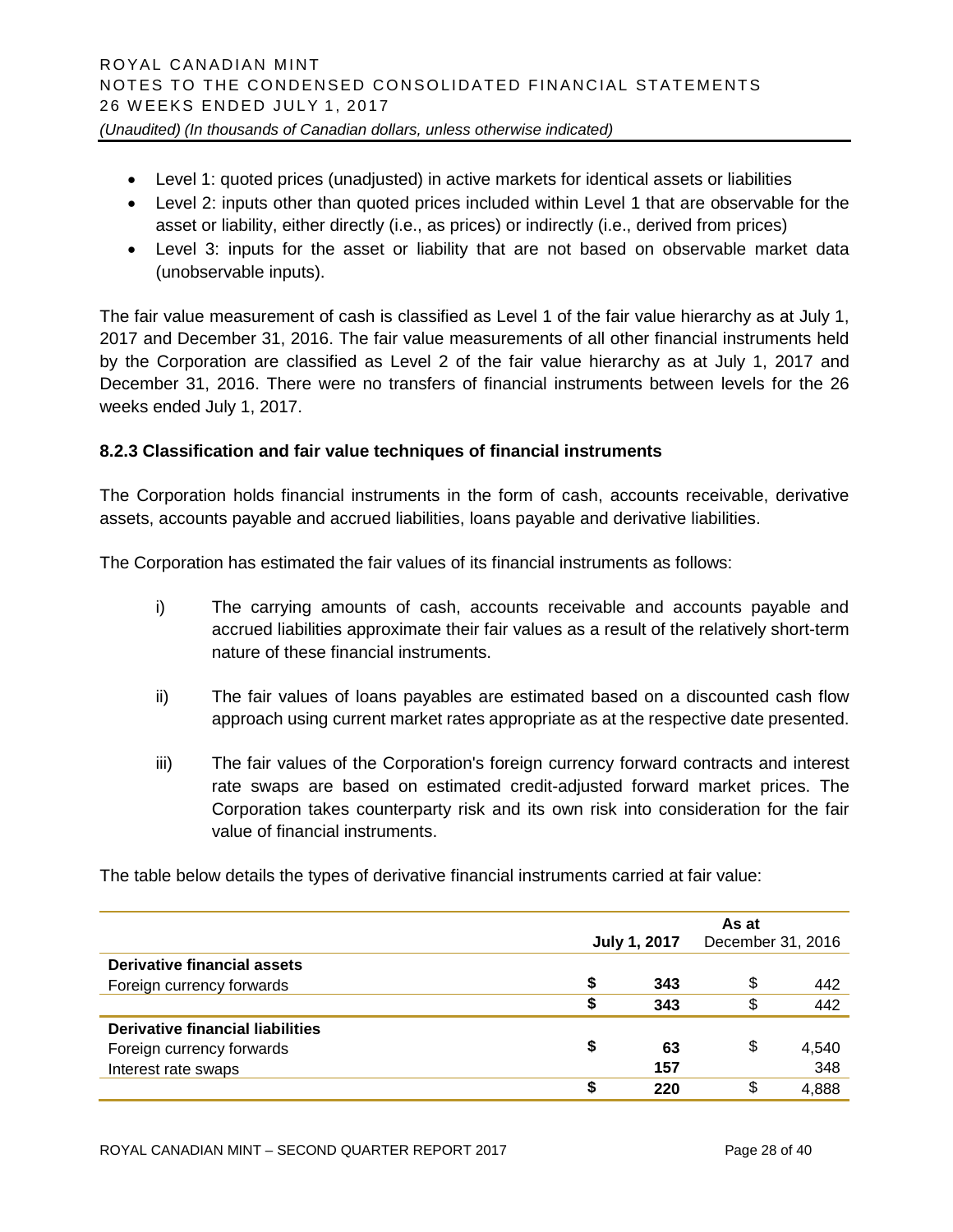- Level 1: quoted prices (unadjusted) in active markets for identical assets or liabilities
- Level 2: inputs other than quoted prices included within Level 1 that are observable for the asset or liability, either directly (i.e., as prices) or indirectly (i.e., derived from prices)
- Level 3: inputs for the asset or liability that are not based on observable market data (unobservable inputs).

The fair value measurement of cash is classified as Level 1 of the fair value hierarchy as at July 1, 2017 and December 31, 2016. The fair value measurements of all other financial instruments held by the Corporation are classified as Level 2 of the fair value hierarchy as at July 1, 2017 and December 31, 2016. There were no transfers of financial instruments between levels for the 26 weeks ended July 1, 2017.

# **8.2.3 Classification and fair value techniques of financial instruments**

The Corporation holds financial instruments in the form of cash, accounts receivable, derivative assets, accounts payable and accrued liabilities, loans payable and derivative liabilities.

The Corporation has estimated the fair values of its financial instruments as follows:

- i) The carrying amounts of cash, accounts receivable and accounts payable and accrued liabilities approximate their fair values as a result of the relatively short-term nature of these financial instruments.
- ii) The fair values of loans payables are estimated based on a discounted cash flow approach using current market rates appropriate as at the respective date presented.
- iii) The fair values of the Corporation's foreign currency forward contracts and interest rate swaps are based on estimated credit-adjusted forward market prices. The Corporation takes counterparty risk and its own risk into consideration for the fair value of financial instruments.

The table below details the types of derivative financial instruments carried at fair value:

|                                  |   | As at<br>December 31, 2016<br><b>July 1, 2017</b> |    |       |
|----------------------------------|---|---------------------------------------------------|----|-------|
| Derivative financial assets      |   |                                                   |    |       |
| Foreign currency forwards        | S | 343                                               | \$ | 442   |
|                                  | S | 343                                               | S  | 442   |
| Derivative financial liabilities |   |                                                   |    |       |
| Foreign currency forwards        | S | 63                                                | S  | 4,540 |
| Interest rate swaps              |   | 157                                               |    | 348   |
|                                  | œ | 220                                               | S  | 4,888 |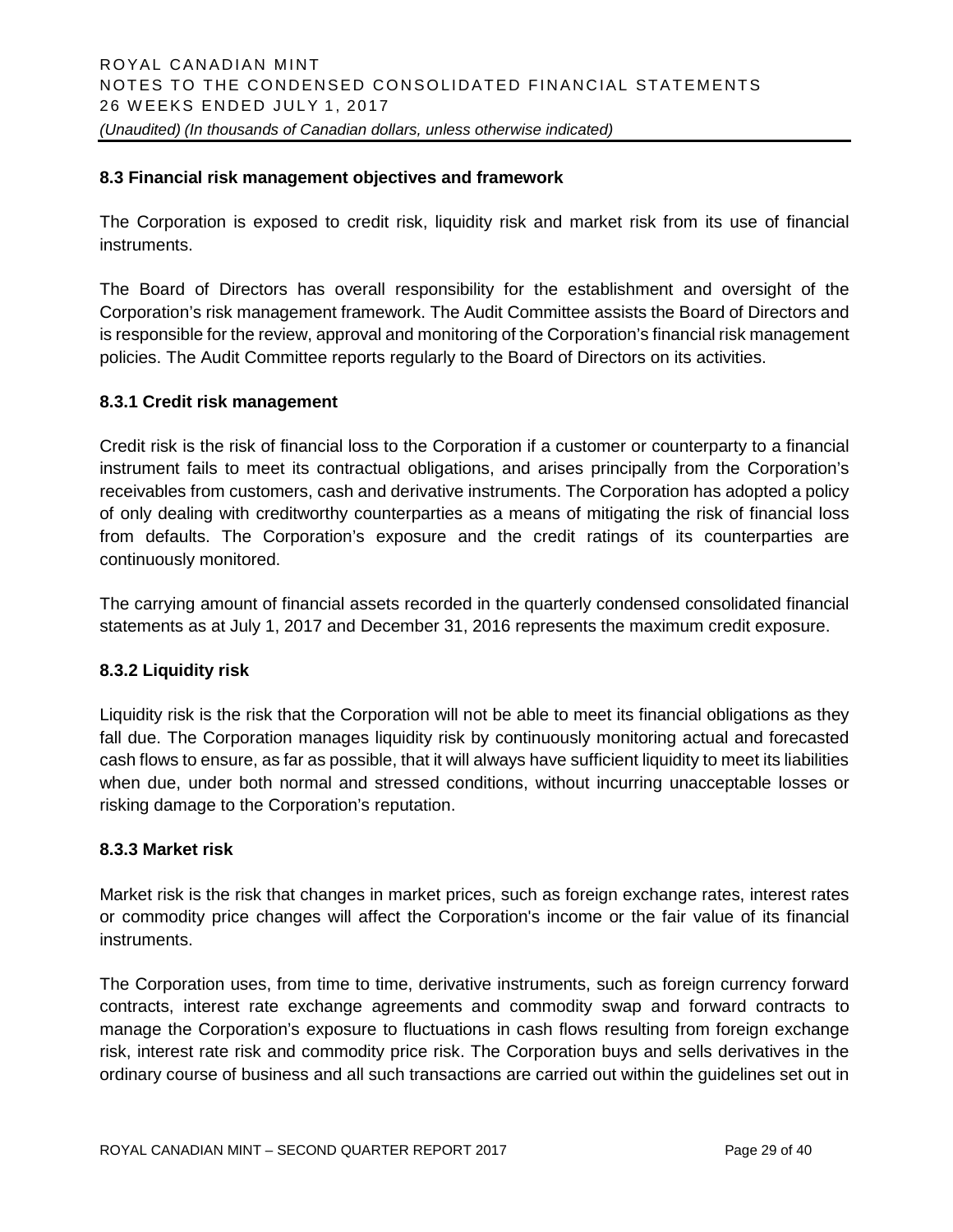#### **8.3 Financial risk management objectives and framework**

The Corporation is exposed to credit risk, liquidity risk and market risk from its use of financial instruments.

The Board of Directors has overall responsibility for the establishment and oversight of the Corporation's risk management framework. The Audit Committee assists the Board of Directors and is responsible for the review, approval and monitoring of the Corporation's financial risk management policies. The Audit Committee reports regularly to the Board of Directors on its activities.

#### **8.3.1 Credit risk management**

Credit risk is the risk of financial loss to the Corporation if a customer or counterparty to a financial instrument fails to meet its contractual obligations, and arises principally from the Corporation's receivables from customers, cash and derivative instruments. The Corporation has adopted a policy of only dealing with creditworthy counterparties as a means of mitigating the risk of financial loss from defaults. The Corporation's exposure and the credit ratings of its counterparties are continuously monitored.

The carrying amount of financial assets recorded in the quarterly condensed consolidated financial statements as at July 1, 2017 and December 31, 2016 represents the maximum credit exposure.

#### **8.3.2 Liquidity risk**

Liquidity risk is the risk that the Corporation will not be able to meet its financial obligations as they fall due. The Corporation manages liquidity risk by continuously monitoring actual and forecasted cash flows to ensure, as far as possible, that it will always have sufficient liquidity to meet its liabilities when due, under both normal and stressed conditions, without incurring unacceptable losses or risking damage to the Corporation's reputation.

#### **8.3.3 Market risk**

Market risk is the risk that changes in market prices, such as foreign exchange rates, interest rates or commodity price changes will affect the Corporation's income or the fair value of its financial instruments.

The Corporation uses, from time to time, derivative instruments, such as foreign currency forward contracts, interest rate exchange agreements and commodity swap and forward contracts to manage the Corporation's exposure to fluctuations in cash flows resulting from foreign exchange risk, interest rate risk and commodity price risk. The Corporation buys and sells derivatives in the ordinary course of business and all such transactions are carried out within the guidelines set out in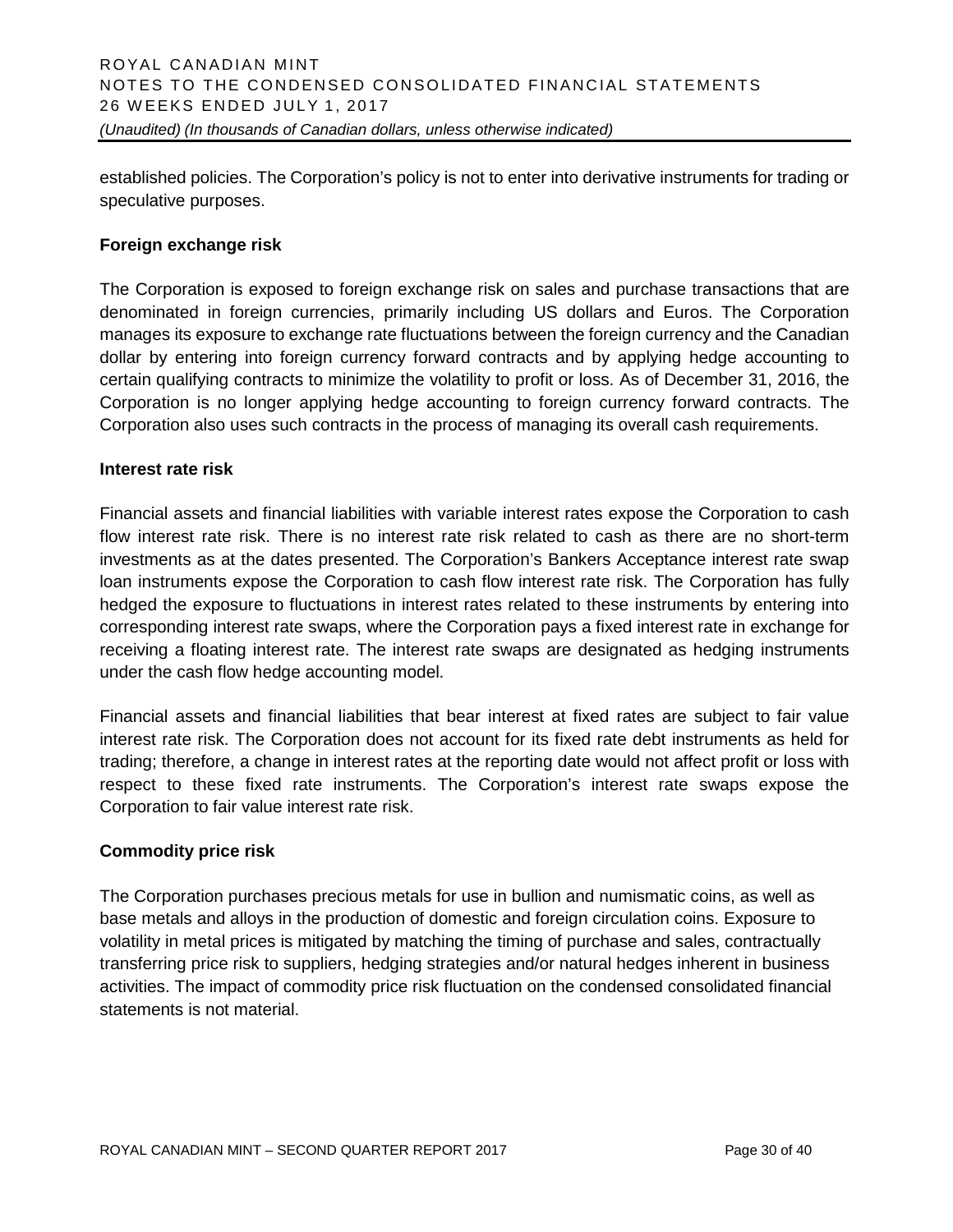established policies. The Corporation's policy is not to enter into derivative instruments for trading or speculative purposes.

#### **Foreign exchange risk**

The Corporation is exposed to foreign exchange risk on sales and purchase transactions that are denominated in foreign currencies, primarily including US dollars and Euros. The Corporation manages its exposure to exchange rate fluctuations between the foreign currency and the Canadian dollar by entering into foreign currency forward contracts and by applying hedge accounting to certain qualifying contracts to minimize the volatility to profit or loss. As of December 31, 2016, the Corporation is no longer applying hedge accounting to foreign currency forward contracts. The Corporation also uses such contracts in the process of managing its overall cash requirements.

#### **Interest rate risk**

Financial assets and financial liabilities with variable interest rates expose the Corporation to cash flow interest rate risk. There is no interest rate risk related to cash as there are no short-term investments as at the dates presented. The Corporation's Bankers Acceptance interest rate swap loan instruments expose the Corporation to cash flow interest rate risk. The Corporation has fully hedged the exposure to fluctuations in interest rates related to these instruments by entering into corresponding interest rate swaps, where the Corporation pays a fixed interest rate in exchange for receiving a floating interest rate. The interest rate swaps are designated as hedging instruments under the cash flow hedge accounting model.

Financial assets and financial liabilities that bear interest at fixed rates are subject to fair value interest rate risk. The Corporation does not account for its fixed rate debt instruments as held for trading; therefore, a change in interest rates at the reporting date would not affect profit or loss with respect to these fixed rate instruments. The Corporation's interest rate swaps expose the Corporation to fair value interest rate risk.

#### **Commodity price risk**

The Corporation purchases precious metals for use in bullion and numismatic coins, as well as base metals and alloys in the production of domestic and foreign circulation coins. Exposure to volatility in metal prices is mitigated by matching the timing of purchase and sales, contractually transferring price risk to suppliers, hedging strategies and/or natural hedges inherent in business activities. The impact of commodity price risk fluctuation on the condensed consolidated financial statements is not material.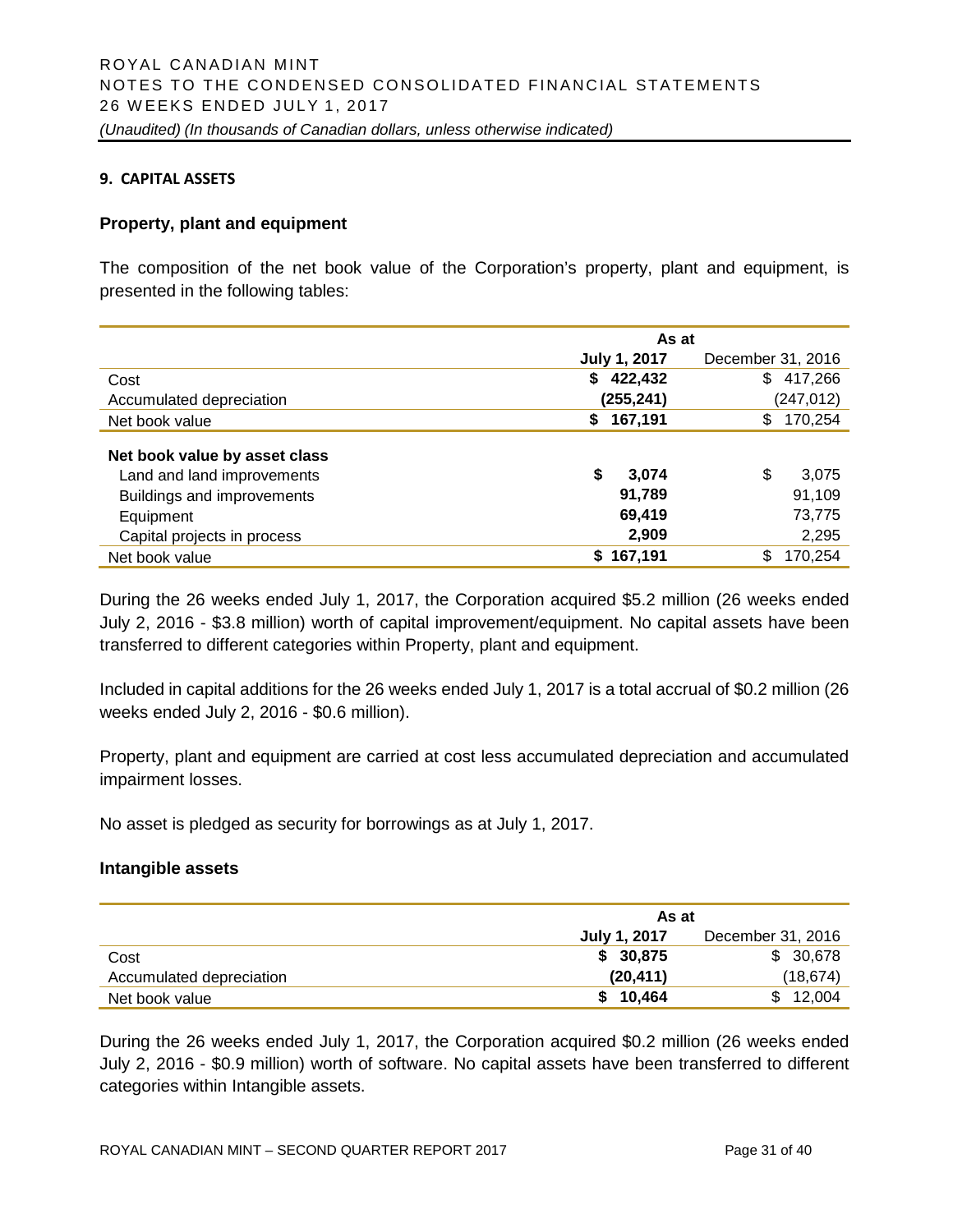#### **9. CAPITAL ASSETS**

#### **Property, plant and equipment**

The composition of the net book value of the Corporation's property, plant and equipment, is presented in the following tables:

|                               | As at               |                   |  |  |  |
|-------------------------------|---------------------|-------------------|--|--|--|
|                               | <b>July 1, 2017</b> | December 31, 2016 |  |  |  |
| Cost                          | 422,432<br>S.       | 417,266<br>\$     |  |  |  |
| Accumulated depreciation      | (255, 241)          | (247, 012)        |  |  |  |
| Net book value                | 167,191<br>\$       | \$<br>170,254     |  |  |  |
| Net book value by asset class |                     |                   |  |  |  |
| Land and land improvements    | \$<br>3,074         | \$<br>3,075       |  |  |  |
| Buildings and improvements    | 91,789              | 91,109            |  |  |  |
| Equipment                     | 69,419              | 73,775            |  |  |  |
| Capital projects in process   | 2,909               | 2,295             |  |  |  |
| Net book value                | \$167,191           | \$<br>170,254     |  |  |  |

During the 26 weeks ended July 1, 2017, the Corporation acquired \$5.2 million (26 weeks ended July 2, 2016 - \$3.8 million) worth of capital improvement/equipment. No capital assets have been transferred to different categories within Property, plant and equipment.

Included in capital additions for the 26 weeks ended July 1, 2017 is a total accrual of \$0.2 million (26 weeks ended July 2, 2016 - \$0.6 million).

Property, plant and equipment are carried at cost less accumulated depreciation and accumulated impairment losses.

No asset is pledged as security for borrowings as at July 1, 2017.

#### **Intangible assets**

|                          | As at        |                   |  |  |  |
|--------------------------|--------------|-------------------|--|--|--|
|                          | July 1, 2017 | December 31, 2016 |  |  |  |
| Cost                     | \$30,875     | \$30,678          |  |  |  |
| Accumulated depreciation | (20, 411)    | (18, 674)         |  |  |  |
| Net book value           | \$10,464     | \$12.004          |  |  |  |

During the 26 weeks ended July 1, 2017, the Corporation acquired \$0.2 million (26 weeks ended July 2, 2016 - \$0.9 million) worth of software. No capital assets have been transferred to different categories within Intangible assets.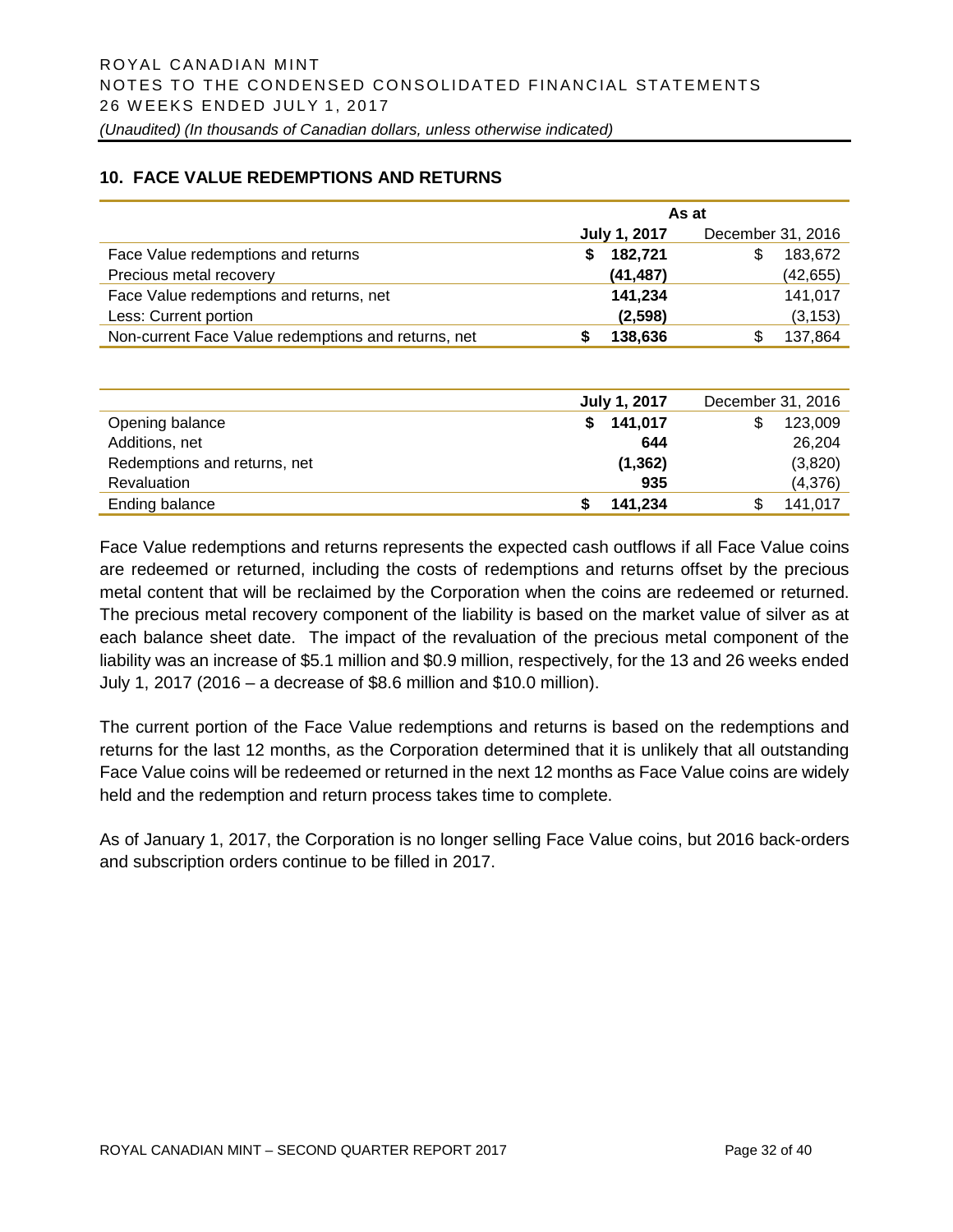#### **10. FACE VALUE REDEMPTIONS AND RETURNS**

|                                                     | As at         |                   |  |  |  |  |
|-----------------------------------------------------|---------------|-------------------|--|--|--|--|
|                                                     | July 1, 2017  | December 31, 2016 |  |  |  |  |
| Face Value redemptions and returns                  | 182,721<br>S. | 183,672<br>S      |  |  |  |  |
| Precious metal recovery                             | (41, 487)     | (42, 655)         |  |  |  |  |
| Face Value redemptions and returns, net             | 141,234       | 141,017           |  |  |  |  |
| Less: Current portion                               | (2,598)       | (3, 153)          |  |  |  |  |
| Non-current Face Value redemptions and returns, net | 138,636       | 137,864           |  |  |  |  |

|                              | July 1, 2017 | December 31, 2016 |
|------------------------------|--------------|-------------------|
| Opening balance              | \$141,017    | 123,009           |
| Additions, net               | 644          | 26,204            |
| Redemptions and returns, net | (1, 362)     | (3,820)           |
| Revaluation                  | 935          | (4,376)           |
| Ending balance               | 141.234      | 141,017           |

Face Value redemptions and returns represents the expected cash outflows if all Face Value coins are redeemed or returned, including the costs of redemptions and returns offset by the precious metal content that will be reclaimed by the Corporation when the coins are redeemed or returned. The precious metal recovery component of the liability is based on the market value of silver as at each balance sheet date. The impact of the revaluation of the precious metal component of the liability was an increase of \$5.1 million and \$0.9 million, respectively, for the 13 and 26 weeks ended July 1, 2017 (2016 – a decrease of \$8.6 million and \$10.0 million).

The current portion of the Face Value redemptions and returns is based on the redemptions and returns for the last 12 months, as the Corporation determined that it is unlikely that all outstanding Face Value coins will be redeemed or returned in the next 12 months as Face Value coins are widely held and the redemption and return process takes time to complete.

As of January 1, 2017, the Corporation is no longer selling Face Value coins, but 2016 back-orders and subscription orders continue to be filled in 2017.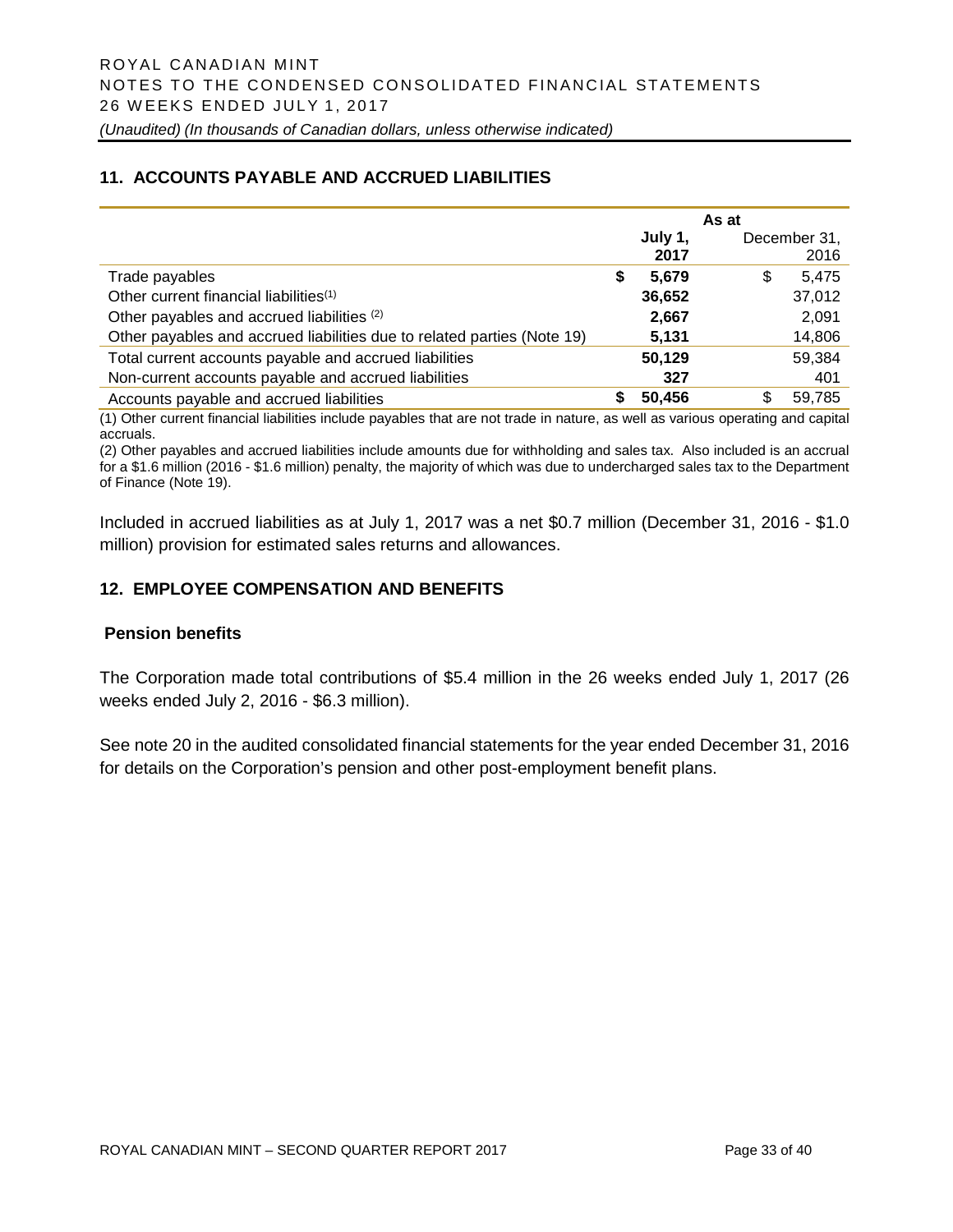# **11. ACCOUNTS PAYABLE AND ACCRUED LIABILITIES**

|                                                                         |   |                 | As at |                      |
|-------------------------------------------------------------------------|---|-----------------|-------|----------------------|
|                                                                         |   | July 1,<br>2017 |       | December 31,<br>2016 |
| Trade payables                                                          | S | 5.679           | S     | 5.475                |
| Other current financial liabilities <sup>(1)</sup>                      |   | 36,652          |       | 37,012               |
| Other payables and accrued liabilities (2)                              |   | 2,667           |       | 2,091                |
| Other payables and accrued liabilities due to related parties (Note 19) |   | 5,131           |       | 14,806               |
| Total current accounts payable and accrued liabilities                  |   | 50,129          |       | 59,384               |
| Non-current accounts payable and accrued liabilities                    |   | 327             |       | 401                  |
| Accounts payable and accrued liabilities                                |   | 50.456          | \$    | 59.785               |

(1) Other current financial liabilities include payables that are not trade in nature, as well as various operating and capital accruals.

(2) Other payables and accrued liabilities include amounts due for withholding and sales tax. Also included is an accrual for a \$1.6 million (2016 - \$1.6 million) penalty, the majority of which was due to undercharged sales tax to the Department of Finance (Note 19).

Included in accrued liabilities as at July 1, 2017 was a net \$0.7 million (December 31, 2016 - \$1.0 million) provision for estimated sales returns and allowances.

# **12. EMPLOYEE COMPENSATION AND BENEFITS**

#### **Pension benefits**

The Corporation made total contributions of \$5.4 million in the 26 weeks ended July 1, 2017 (26 weeks ended July 2, 2016 - \$6.3 million).

See note 20 in the audited consolidated financial statements for the year ended December 31, 2016 for details on the Corporation's pension and other post-employment benefit plans.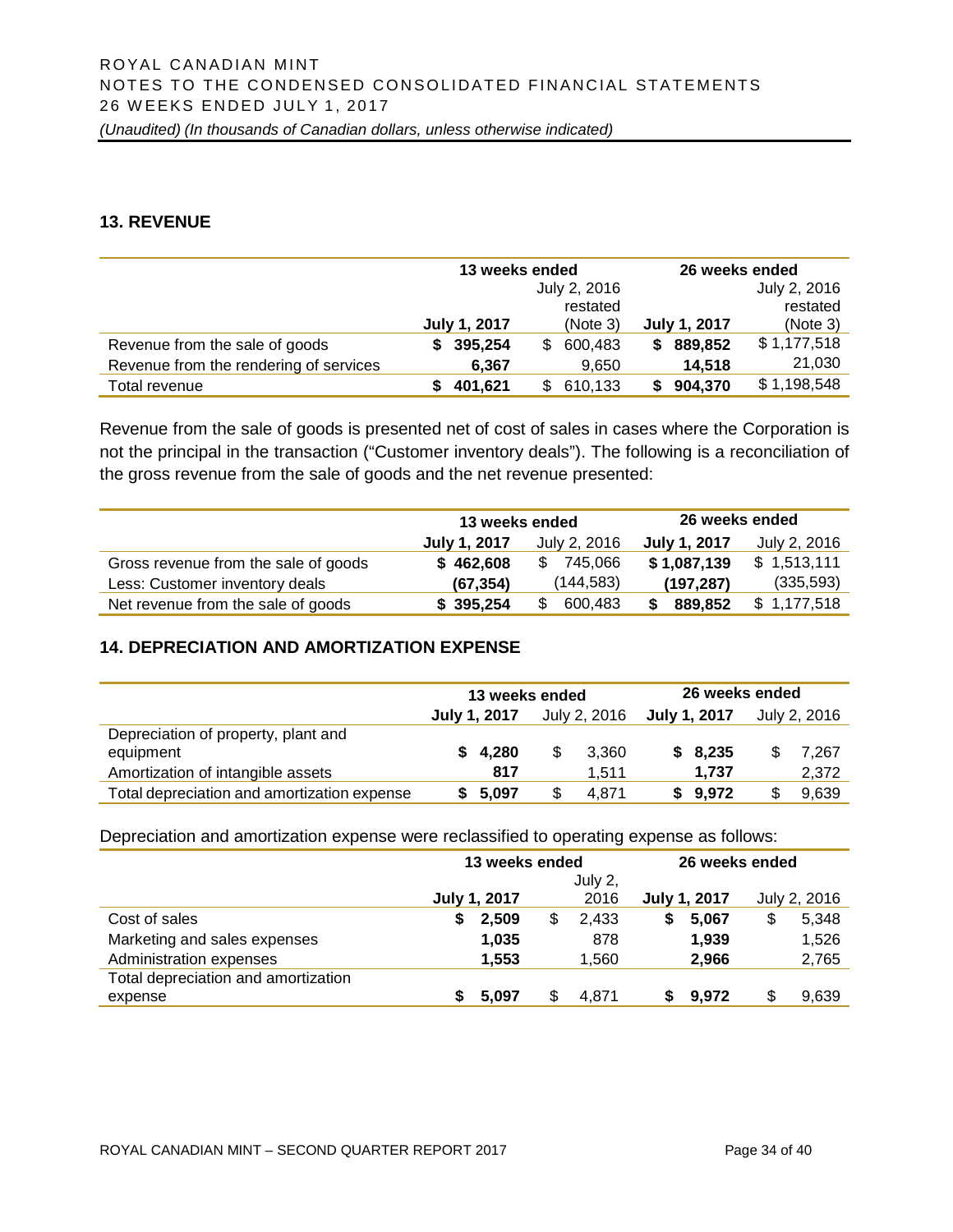### **13. REVENUE**

|                                        | 13 weeks ended      |                | 26 weeks ended                  |
|----------------------------------------|---------------------|----------------|---------------------------------|
|                                        |                     | July 2, 2016   | July 2, 2016                    |
|                                        |                     | restated       | restated                        |
|                                        | <b>July 1, 2017</b> | (Note 3)       | <b>July 1, 2017</b><br>(Note 3) |
| Revenue from the sale of goods         | 395,254<br>S        | 600,483<br>\$. | \$1,177,518<br>889,852<br>S     |
| Revenue from the rendering of services | 6,367               | 9,650          | 21,030<br>14,518                |
| Total revenue                          | 401,621             | 610,133<br>\$. | \$1,198,548<br>904,370          |

Revenue from the sale of goods is presented net of cost of sales in cases where the Corporation is not the principal in the transaction ("Customer inventory deals"). The following is a reconciliation of the gross revenue from the sale of goods and the net revenue presented:

|                                      | 13 weeks ended |                | 26 weeks ended |              |
|--------------------------------------|----------------|----------------|----------------|--------------|
|                                      | July 1, 2017   | July 2, 2016   | July 1, 2017   | July 2, 2016 |
| Gross revenue from the sale of goods | \$462,608      | 745.066<br>\$  | \$1,087,139    | \$1,513,111  |
| Less: Customer inventory deals       | (67, 354)      | (144, 583)     | (197, 287)     | (335, 593)   |
| Net revenue from the sale of goods   | \$395,254      | 600,483<br>\$. | 889,852<br>\$  | \$1,177,518  |

# **14. DEPRECIATION AND AMORTIZATION EXPENSE**

|                                             | 13 weeks ended |              |   |              | 26 weeks ended |              |  |              |
|---------------------------------------------|----------------|--------------|---|--------------|----------------|--------------|--|--------------|
|                                             |                | July 1, 2017 |   | July 2, 2016 |                | July 1, 2017 |  | July 2, 2016 |
| Depreciation of property, plant and         |                |              |   |              |                |              |  |              |
| equipment                                   |                | \$4.280      | S | 3.360        |                | \$8,235      |  | 7.267        |
| Amortization of intangible assets           |                | 817          |   | 1.511        |                | 1.737        |  | 2.372        |
| Total depreciation and amortization expense |                | 5.097        |   | 4.871        |                | \$9.972      |  | 9,639        |

Depreciation and amortization expense were reclassified to operating expense as follows:

|                                     | 13 weeks ended      |       |     | 26 weeks ended |   |              |  |              |
|-------------------------------------|---------------------|-------|-----|----------------|---|--------------|--|--------------|
|                                     |                     |       |     | July 2,        |   |              |  |              |
|                                     | <b>July 1, 2017</b> |       |     | 2016           |   | July 1, 2017 |  | July 2, 2016 |
| Cost of sales                       | S                   | 2,509 | \$. | 2.433          | S | 5,067        |  | 5,348        |
| Marketing and sales expenses        |                     | 1,035 |     | 878            |   | 1,939        |  | 1,526        |
| Administration expenses             |                     | 1.553 |     | 1.560          |   | 2.966        |  | 2,765        |
| Total depreciation and amortization |                     |       |     |                |   |              |  |              |
| expense                             |                     | 5.097 |     | 4.871          |   | 9.972        |  | 9,639        |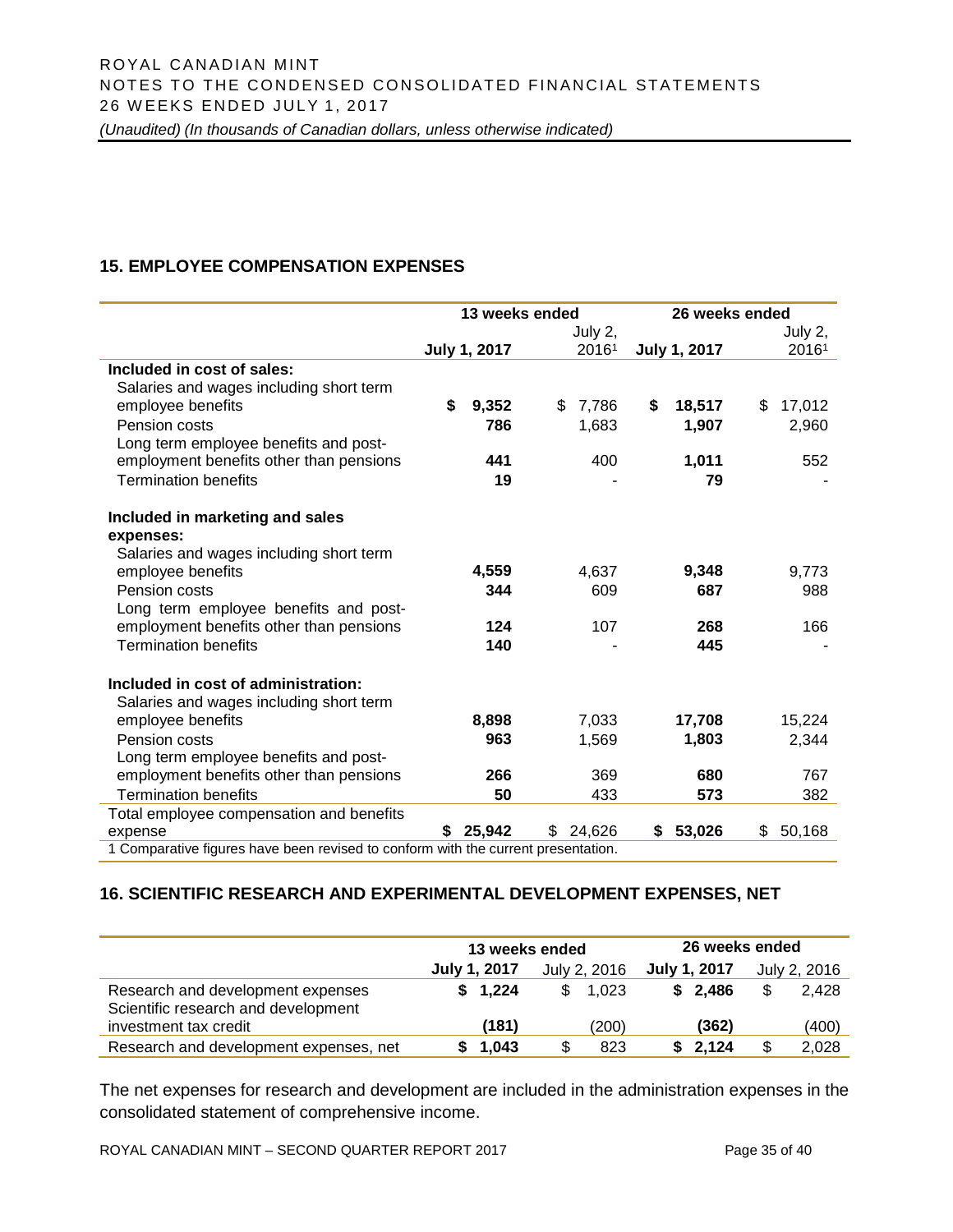# **15. EMPLOYEE COMPENSATION EXPENSES**

|                                                                                   | 13 weeks ended |                     |     | 26 weeks ended |    |                     |    |         |  |  |
|-----------------------------------------------------------------------------------|----------------|---------------------|-----|----------------|----|---------------------|----|---------|--|--|
|                                                                                   |                |                     |     | July 2,        |    |                     |    | July 2, |  |  |
|                                                                                   |                | <b>July 1, 2017</b> |     | 20161          |    | <b>July 1, 2017</b> |    | 20161   |  |  |
| Included in cost of sales:                                                        |                |                     |     |                |    |                     |    |         |  |  |
| Salaries and wages including short term                                           |                |                     |     |                |    |                     |    |         |  |  |
| employee benefits                                                                 | \$             | 9,352               | \$  | 7,786          | \$ | 18,517              | \$ | 17,012  |  |  |
| Pension costs                                                                     |                | 786                 |     | 1,683          |    | 1,907               |    | 2,960   |  |  |
| Long term employee benefits and post-                                             |                |                     |     |                |    |                     |    |         |  |  |
| employment benefits other than pensions                                           |                | 441                 |     | 400            |    | 1,011               |    | 552     |  |  |
| <b>Termination benefits</b>                                                       |                | 19                  |     |                |    | 79                  |    |         |  |  |
| Included in marketing and sales                                                   |                |                     |     |                |    |                     |    |         |  |  |
| expenses:                                                                         |                |                     |     |                |    |                     |    |         |  |  |
| Salaries and wages including short term                                           |                |                     |     |                |    |                     |    |         |  |  |
| employee benefits                                                                 |                | 4,559               |     | 4,637          |    | 9,348               |    | 9,773   |  |  |
| Pension costs                                                                     |                | 344                 |     | 609            |    | 687                 |    | 988     |  |  |
| Long term employee benefits and post-                                             |                |                     |     |                |    |                     |    |         |  |  |
| employment benefits other than pensions                                           |                | 124                 |     | 107            |    | 268                 |    | 166     |  |  |
| <b>Termination benefits</b>                                                       |                | 140                 |     |                |    | 445                 |    |         |  |  |
| Included in cost of administration:                                               |                |                     |     |                |    |                     |    |         |  |  |
| Salaries and wages including short term                                           |                |                     |     |                |    |                     |    |         |  |  |
| employee benefits                                                                 |                | 8,898               |     | 7,033          |    | 17,708              |    | 15,224  |  |  |
| Pension costs                                                                     |                | 963                 |     | 1,569          |    | 1,803               |    | 2,344   |  |  |
| Long term employee benefits and post-                                             |                |                     |     |                |    |                     |    |         |  |  |
| employment benefits other than pensions                                           |                | 266                 |     | 369            |    | 680                 |    | 767     |  |  |
| <b>Termination benefits</b>                                                       |                | 50                  |     | 433            |    | 573                 |    | 382     |  |  |
| Total employee compensation and benefits                                          |                |                     |     |                |    |                     |    |         |  |  |
| expense                                                                           | S.             | 25,942              | \$. | 24,626         | \$ | 53,026              | \$ | 50,168  |  |  |
| 1 Comparative figures have been revised to conform with the current presentation. |                |                     |     |                |    |                     |    |         |  |  |

# **16. SCIENTIFIC RESEARCH AND EXPERIMENTAL DEVELOPMENT EXPENSES, NET**

|                                                                          | 13 weeks ended |              | 26 weeks ended |              |  |  |
|--------------------------------------------------------------------------|----------------|--------------|----------------|--------------|--|--|
|                                                                          | July 1, 2017   | July 2, 2016 | July 1, 2017   | July 2, 2016 |  |  |
| Research and development expenses<br>Scientific research and development | \$1,224        | 1.023<br>\$. | \$2.486        | \$.<br>2.428 |  |  |
| investment tax credit                                                    | (181)          | (200)        | (362)          | (400)        |  |  |
| Research and development expenses, net                                   | 1.043          | 823<br>S     | 2.124          | 2,028        |  |  |

The net expenses for research and development are included in the administration expenses in the consolidated statement of comprehensive income.

ROYAL CANADIAN MINT – SECOND QUARTER REPORT 2017 Page 35 of 40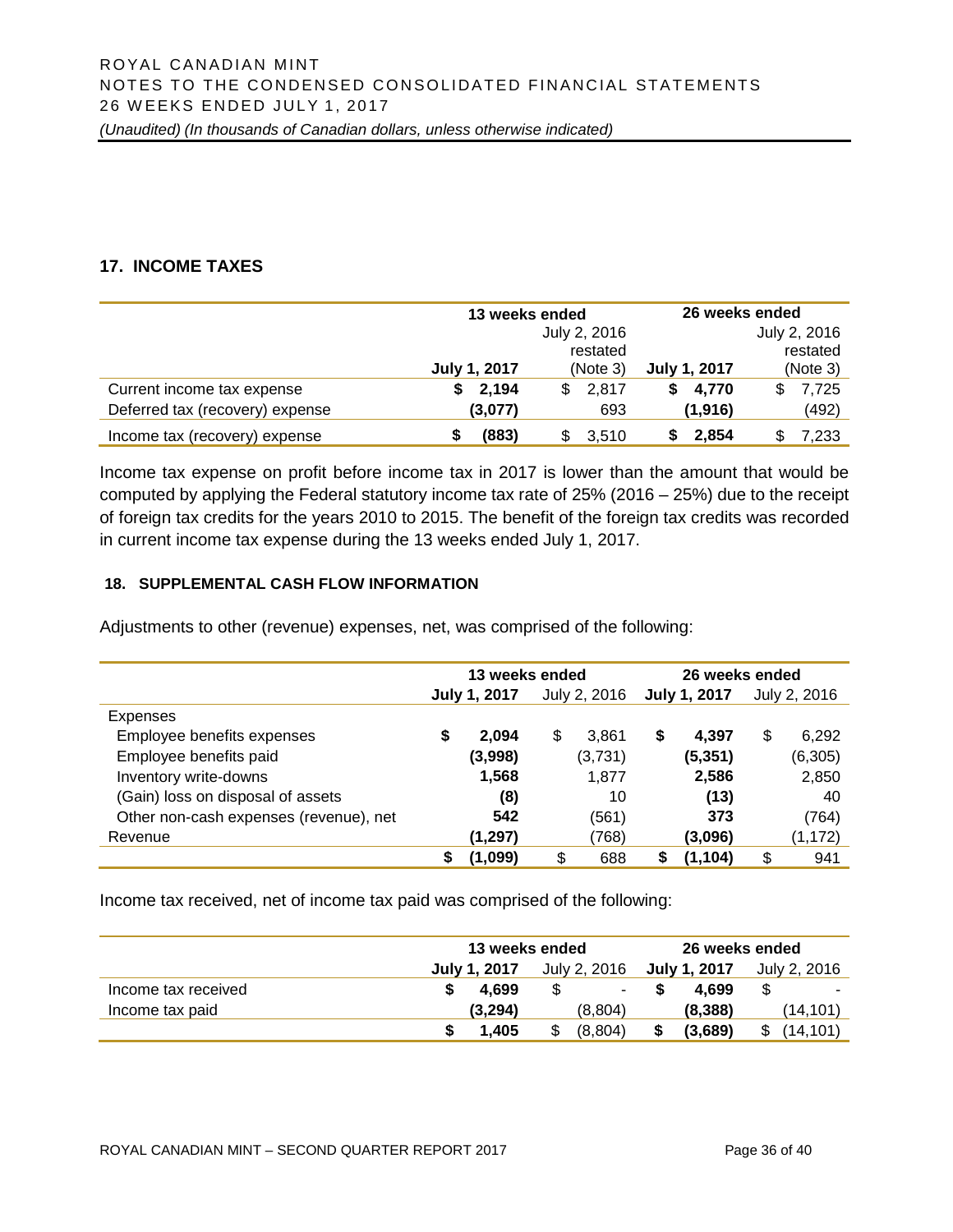# **17. INCOME TAXES**

|                                 | 13 weeks ended |              | 26 weeks ended      |              |  |  |
|---------------------------------|----------------|--------------|---------------------|--------------|--|--|
|                                 |                | July 2, 2016 |                     | July 2, 2016 |  |  |
|                                 |                | restated     |                     | restated     |  |  |
|                                 | July 1, 2017   | (Note 3)     | <b>July 1, 2017</b> | (Note 3)     |  |  |
| Current income tax expense      | 2,194<br>S.    | 2.817<br>\$  | 4,770<br>S.         | 7,725<br>S   |  |  |
| Deferred tax (recovery) expense | (3,077)        | 693          | (1,916)             | (492)        |  |  |
| Income tax (recovery) expense   | (883)          | 3,510        | 2,854               | 7,233        |  |  |

Income tax expense on profit before income tax in 2017 is lower than the amount that would be computed by applying the Federal statutory income tax rate of 25% (2016 – 25%) due to the receipt of foreign tax credits for the years 2010 to 2015. The benefit of the foreign tax credits was recorded in current income tax expense during the 13 weeks ended July 1, 2017.

#### **18. SUPPLEMENTAL CASH FLOW INFORMATION**

Adjustments to other (revenue) expenses, net, was comprised of the following:

|                                        | 13 weeks ended |                     |              |         | 26 weeks ended |          |              |          |
|----------------------------------------|----------------|---------------------|--------------|---------|----------------|----------|--------------|----------|
|                                        |                | <b>July 1, 2017</b> | July 2, 2016 |         | July 1, 2017   |          | July 2, 2016 |          |
| Expenses                               |                |                     |              |         |                |          |              |          |
| Employee benefits expenses             | \$             | 2.094               | \$           | 3.861   | \$             | 4,397    | \$           | 6,292    |
| Employee benefits paid                 |                | (3,998)             |              | (3,731) |                | (5, 351) |              | (6,305)  |
| Inventory write-downs                  |                | 1,568               |              | 1,877   |                | 2,586    |              | 2,850    |
| (Gain) loss on disposal of assets      |                | (8)                 |              | 10      |                | (13)     |              | 40       |
| Other non-cash expenses (revenue), net |                | 542                 |              | (561)   |                | 373      |              | (764)    |
| Revenue                                |                | (1, 297)            |              | (768)   |                | (3,096)  |              | (1, 172) |
|                                        | S              | (1,099)             | \$           | 688     | \$             | (1, 104) | \$           | 941      |

Income tax received, net of income tax paid was comprised of the following:

|                     | 13 weeks ended | 26 weeks ended |              |                          |  |
|---------------------|----------------|----------------|--------------|--------------------------|--|
|                     | July 1, 2017   | July 2, 2016   | July 1, 2017 | July 2, 2016             |  |
| Income tax received | 4.699          | н.             | 4.699<br>S.  | $\overline{\phantom{a}}$ |  |
| Income tax paid     | (3.294)        | (8.804)        | (8,388)      | (14.101)                 |  |
|                     | 1.405          | (8,804)        | (3,689)      | (14.101)<br>\$           |  |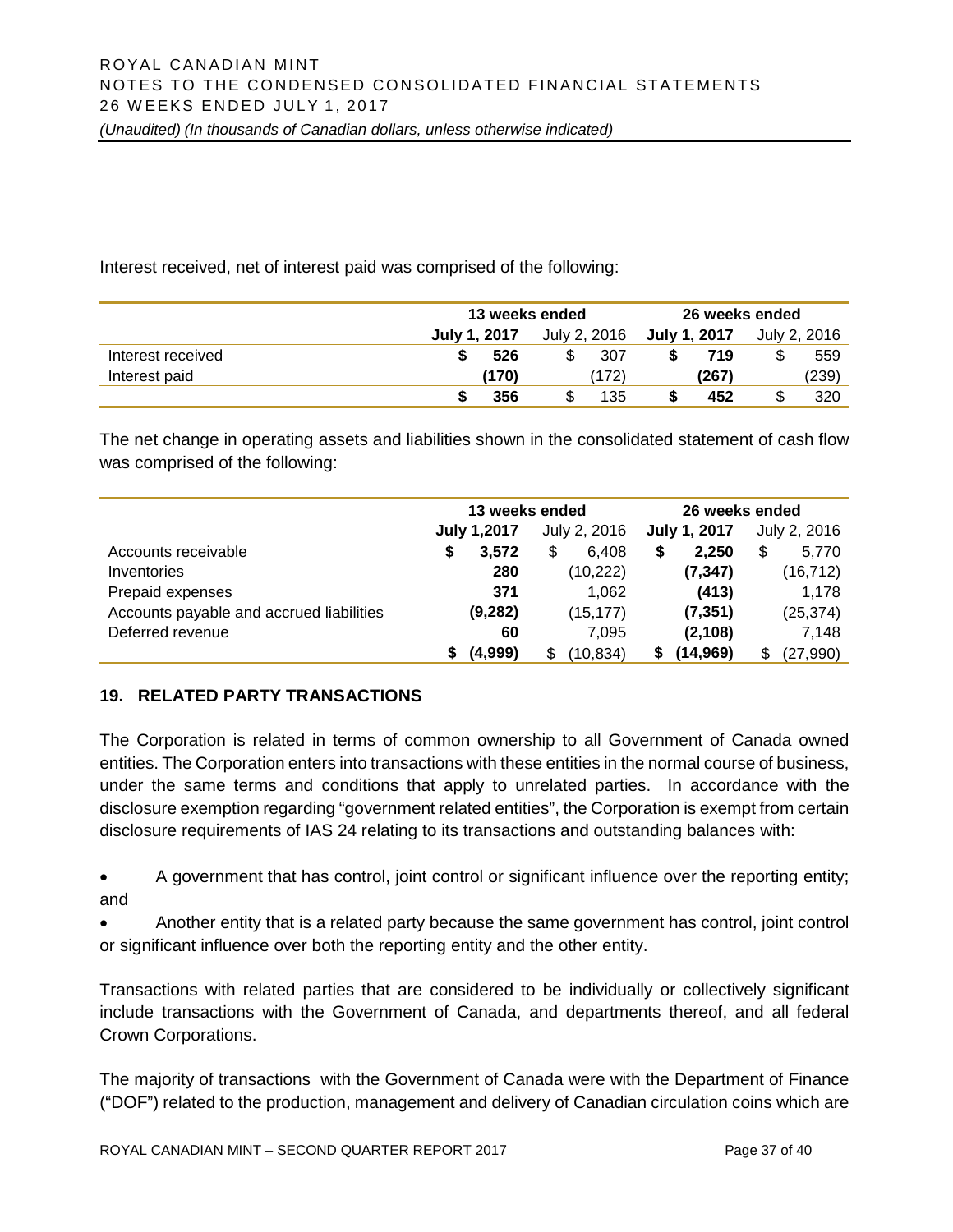Interest received, net of interest paid was comprised of the following:

|                   | 13 weeks ended | 26 weeks ended |              |              |  |
|-------------------|----------------|----------------|--------------|--------------|--|
|                   | July 1, 2017   | July 2, 2016   | July 1, 2017 | July 2, 2016 |  |
| Interest received | 526            | 307            | 719          | 559          |  |
| Interest paid     | (170)          | (172)          | (267)        | (239)        |  |
|                   | 356            | 135            | 452          | 320          |  |

The net change in operating assets and liabilities shown in the consolidated statement of cash flow was comprised of the following:

|                                          | 13 weeks ended     |              | 26 weeks ended |                 |  |
|------------------------------------------|--------------------|--------------|----------------|-----------------|--|
|                                          | <b>July 1,2017</b> | July 2, 2016 | July 1, 2017   | July 2, 2016    |  |
| Accounts receivable                      | 3.572<br>S         | S<br>6.408   | 2.250<br>S     | \$<br>5,770     |  |
| Inventories                              | 280                | (10, 222)    | (7, 347)       | (16, 712)       |  |
| Prepaid expenses                         | 371                | 1,062        | (413)          | 1,178           |  |
| Accounts payable and accrued liabilities | (9, 282)           | (15, 177)    | (7, 351)       | (25, 374)       |  |
| Deferred revenue                         | 60                 | 7.095        | (2, 108)       | 7,148           |  |
|                                          | (4,999)            | (10,834)     | (14, 969)      | (27, 990)<br>\$ |  |

# **19. RELATED PARTY TRANSACTIONS**

The Corporation is related in terms of common ownership to all Government of Canada owned entities. The Corporation enters into transactions with these entities in the normal course of business, under the same terms and conditions that apply to unrelated parties. In accordance with the disclosure exemption regarding "government related entities", the Corporation is exempt from certain disclosure requirements of IAS 24 relating to its transactions and outstanding balances with:

• A government that has control, joint control or significant influence over the reporting entity; and

• Another entity that is a related party because the same government has control, joint control or significant influence over both the reporting entity and the other entity.

Transactions with related parties that are considered to be individually or collectively significant include transactions with the Government of Canada, and departments thereof, and all federal Crown Corporations.

The majority of transactions with the Government of Canada were with the Department of Finance ("DOF") related to the production, management and delivery of Canadian circulation coins which are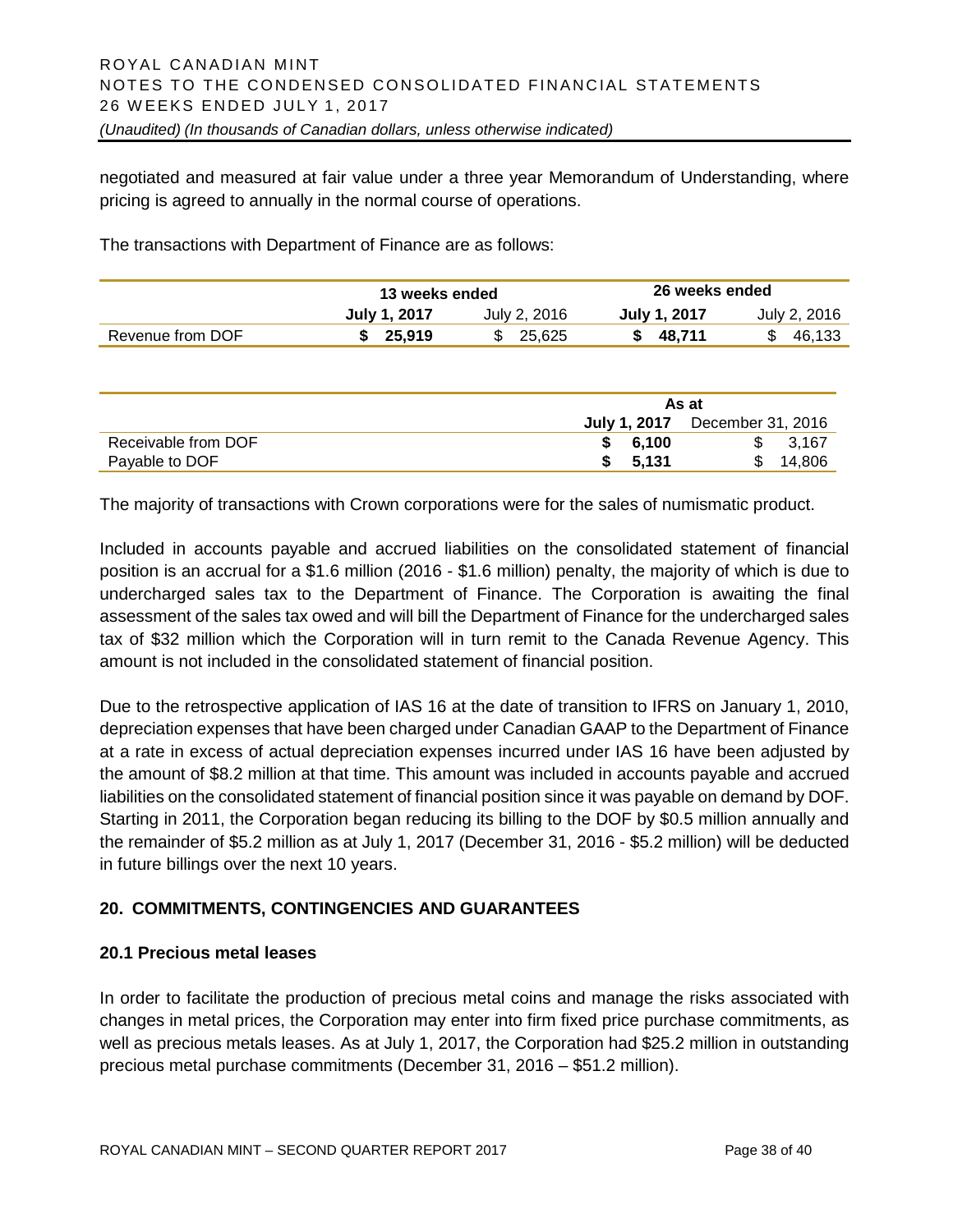negotiated and measured at fair value under a three year Memorandum of Understanding, where pricing is agreed to annually in the normal course of operations.

The transactions with Department of Finance are as follows:

|                  | 13 weeks ended |              | 26 weeks ended      |              |  |
|------------------|----------------|--------------|---------------------|--------------|--|
|                  | July 1, 2017   | July 2, 2016 | <b>July 1, 2017</b> | July 2, 2016 |  |
| Revenue from DOF | 25.919         | \$ 25.625    | 48.711              | 46.133       |  |

|                     | As at   |                                       |  |  |
|---------------------|---------|---------------------------------------|--|--|
|                     |         | <b>July 1, 2017</b> December 31, 2016 |  |  |
| Receivable from DOF | \$6.100 | 3.167                                 |  |  |
| Payable to DOF      | 5,131   | 14.806                                |  |  |

The majority of transactions with Crown corporations were for the sales of numismatic product.

Included in accounts payable and accrued liabilities on the consolidated statement of financial position is an accrual for a \$1.6 million (2016 - \$1.6 million) penalty, the majority of which is due to undercharged sales tax to the Department of Finance. The Corporation is awaiting the final assessment of the sales tax owed and will bill the Department of Finance for the undercharged sales tax of \$32 million which the Corporation will in turn remit to the Canada Revenue Agency. This amount is not included in the consolidated statement of financial position.

Due to the retrospective application of IAS 16 at the date of transition to IFRS on January 1, 2010, depreciation expenses that have been charged under Canadian GAAP to the Department of Finance at a rate in excess of actual depreciation expenses incurred under IAS 16 have been adjusted by the amount of \$8.2 million at that time. This amount was included in accounts payable and accrued liabilities on the consolidated statement of financial position since it was payable on demand by DOF. Starting in 2011, the Corporation began reducing its billing to the DOF by \$0.5 million annually and the remainder of \$5.2 million as at July 1, 2017 (December 31, 2016 - \$5.2 million) will be deducted in future billings over the next 10 years.

# **20. COMMITMENTS, CONTINGENCIES AND GUARANTEES**

#### **20.1 Precious metal leases**

In order to facilitate the production of precious metal coins and manage the risks associated with changes in metal prices, the Corporation may enter into firm fixed price purchase commitments, as well as precious metals leases. As at July 1, 2017, the Corporation had \$25.2 million in outstanding precious metal purchase commitments (December 31, 2016 – \$51.2 million).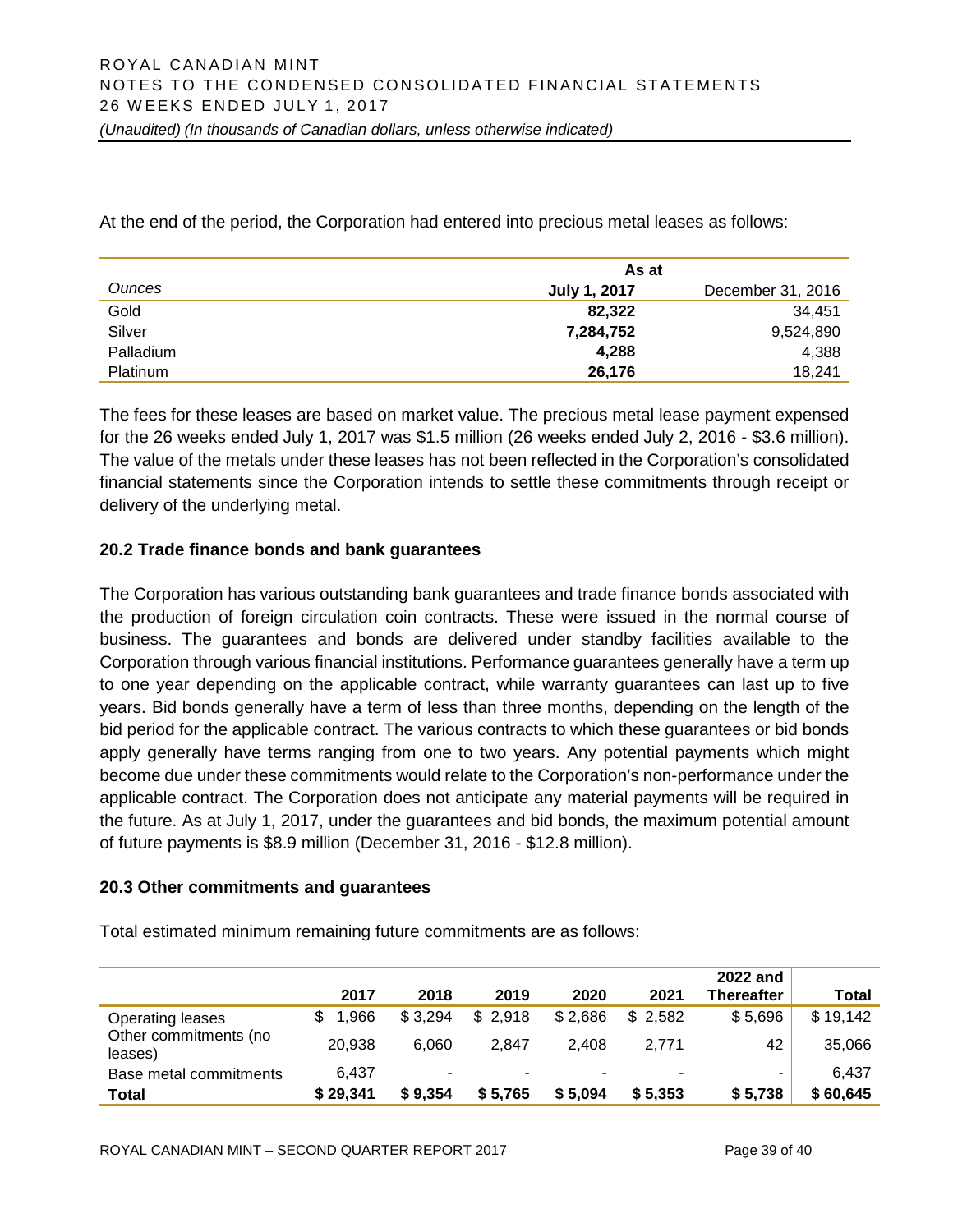At the end of the period, the Corporation had entered into precious metal leases as follows:

|                 | As at               |                   |  |
|-----------------|---------------------|-------------------|--|
| <b>Ounces</b>   | <b>July 1, 2017</b> | December 31, 2016 |  |
| Gold            | 82.322              | 34.451            |  |
| Silver          | 7,284,752           | 9,524,890         |  |
| Palladium       | 4,288               | 4,388             |  |
| <b>Platinum</b> | 26,176              | 18.241            |  |

The fees for these leases are based on market value. The precious metal lease payment expensed for the 26 weeks ended July 1, 2017 was \$1.5 million (26 weeks ended July 2, 2016 - \$3.6 million). The value of the metals under these leases has not been reflected in the Corporation's consolidated financial statements since the Corporation intends to settle these commitments through receipt or delivery of the underlying metal.

# **20.2 Trade finance bonds and bank guarantees**

The Corporation has various outstanding bank guarantees and trade finance bonds associated with the production of foreign circulation coin contracts. These were issued in the normal course of business. The guarantees and bonds are delivered under standby facilities available to the Corporation through various financial institutions. Performance guarantees generally have a term up to one year depending on the applicable contract, while warranty guarantees can last up to five years. Bid bonds generally have a term of less than three months, depending on the length of the bid period for the applicable contract. The various contracts to which these guarantees or bid bonds apply generally have terms ranging from one to two years. Any potential payments which might become due under these commitments would relate to the Corporation's non-performance under the applicable contract. The Corporation does not anticipate any material payments will be required in the future. As at July 1, 2017, under the guarantees and bid bonds, the maximum potential amount of future payments is \$8.9 million (December 31, 2016 - \$12.8 million).

#### **20.3 Other commitments and guarantees**

|                                  | 2017     | 2018    | 2019    | 2020    | 2021    | 2022 and<br>Thereafter | Total    |
|----------------------------------|----------|---------|---------|---------|---------|------------------------|----------|
| Operating leases                 | 1.966    | \$3,294 | \$2,918 | \$2,686 | \$2,582 | \$5,696                | \$19,142 |
| Other commitments (no<br>leases) | 20,938   | 6.060   | 2.847   | 2.408   | 2.771   | 42                     | 35,066   |
| Base metal commitments           | 6.437    | ٠       |         | ۰       | ٠       |                        | 6.437    |
| Total                            | \$29,341 | \$9,354 | \$5,765 | \$5,094 | \$5,353 | \$5,738                | \$60,645 |

Total estimated minimum remaining future commitments are as follows: